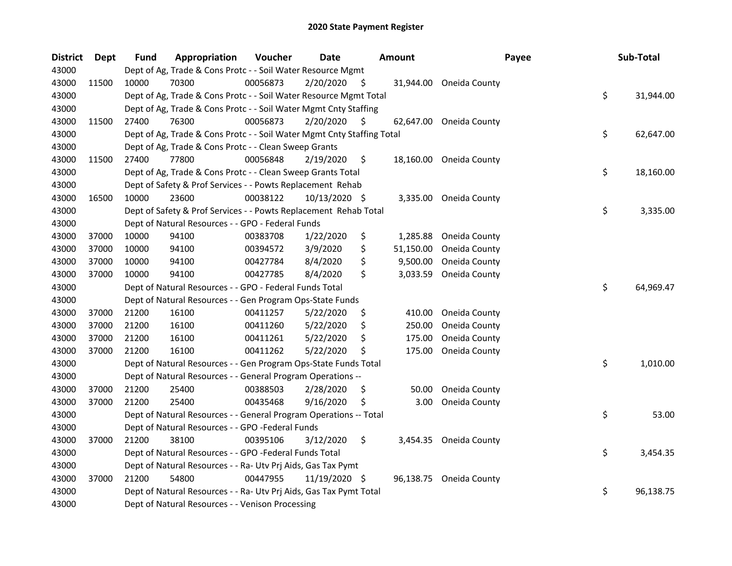| <b>District</b> | <b>Dept</b> | <b>Fund</b> | Appropriation                                                          | Voucher  | <b>Date</b>   |     | <b>Amount</b> | Payee                   | Sub-Total       |
|-----------------|-------------|-------------|------------------------------------------------------------------------|----------|---------------|-----|---------------|-------------------------|-----------------|
| 43000           |             |             | Dept of Ag, Trade & Cons Protc - - Soil Water Resource Mgmt            |          |               |     |               |                         |                 |
| 43000           | 11500       | 10000       | 70300                                                                  | 00056873 | 2/20/2020     | \$. | 31,944.00     | Oneida County           |                 |
| 43000           |             |             | Dept of Ag, Trade & Cons Protc - - Soil Water Resource Mgmt Total      |          |               |     |               |                         | \$<br>31,944.00 |
| 43000           |             |             | Dept of Ag, Trade & Cons Protc - - Soil Water Mgmt Cnty Staffing       |          |               |     |               |                         |                 |
| 43000           | 11500       | 27400       | 76300                                                                  | 00056873 | 2/20/2020     | S   | 62,647.00     | Oneida County           |                 |
| 43000           |             |             | Dept of Ag, Trade & Cons Protc - - Soil Water Mgmt Cnty Staffing Total |          |               |     |               |                         | \$<br>62,647.00 |
| 43000           |             |             | Dept of Ag, Trade & Cons Protc - - Clean Sweep Grants                  |          |               |     |               |                         |                 |
| 43000           | 11500       | 27400       | 77800                                                                  | 00056848 | 2/19/2020     | \$  |               | 18,160.00 Oneida County |                 |
| 43000           |             |             | Dept of Ag, Trade & Cons Protc - - Clean Sweep Grants Total            |          |               |     |               |                         | \$<br>18,160.00 |
| 43000           |             |             | Dept of Safety & Prof Services - - Powts Replacement Rehab             |          |               |     |               |                         |                 |
| 43000           | 16500       | 10000       | 23600                                                                  | 00038122 | 10/13/2020 \$ |     | 3,335.00      | Oneida County           |                 |
| 43000           |             |             | Dept of Safety & Prof Services - - Powts Replacement Rehab Total       |          |               |     |               |                         | \$<br>3,335.00  |
| 43000           |             |             | Dept of Natural Resources - - GPO - Federal Funds                      |          |               |     |               |                         |                 |
| 43000           | 37000       | 10000       | 94100                                                                  | 00383708 | 1/22/2020     | \$  | 1,285.88      | Oneida County           |                 |
| 43000           | 37000       | 10000       | 94100                                                                  | 00394572 | 3/9/2020      | \$  | 51,150.00     | Oneida County           |                 |
| 43000           | 37000       | 10000       | 94100                                                                  | 00427784 | 8/4/2020      | \$  | 9,500.00      | Oneida County           |                 |
| 43000           | 37000       | 10000       | 94100                                                                  | 00427785 | 8/4/2020      | \$  | 3,033.59      | Oneida County           |                 |
| 43000           |             |             | Dept of Natural Resources - - GPO - Federal Funds Total                |          |               |     |               |                         | \$<br>64,969.47 |
| 43000           |             |             | Dept of Natural Resources - - Gen Program Ops-State Funds              |          |               |     |               |                         |                 |
| 43000           | 37000       | 21200       | 16100                                                                  | 00411257 | 5/22/2020     | \$  | 410.00        | Oneida County           |                 |
| 43000           | 37000       | 21200       | 16100                                                                  | 00411260 | 5/22/2020     | \$  | 250.00        | Oneida County           |                 |
| 43000           | 37000       | 21200       | 16100                                                                  | 00411261 | 5/22/2020     | \$  | 175.00        | Oneida County           |                 |
| 43000           | 37000       | 21200       | 16100                                                                  | 00411262 | 5/22/2020     | \$  | 175.00        | Oneida County           |                 |
| 43000           |             |             | Dept of Natural Resources - - Gen Program Ops-State Funds Total        |          |               |     |               |                         | \$<br>1,010.00  |
| 43000           |             |             | Dept of Natural Resources - - General Program Operations --            |          |               |     |               |                         |                 |
| 43000           | 37000       | 21200       | 25400                                                                  | 00388503 | 2/28/2020     | \$. | 50.00         | Oneida County           |                 |
| 43000           | 37000       | 21200       | 25400                                                                  | 00435468 | 9/16/2020     | \$, | 3.00          | Oneida County           |                 |
| 43000           |             |             | Dept of Natural Resources - - General Program Operations -- Total      |          |               |     |               |                         | \$<br>53.00     |
| 43000           |             |             | Dept of Natural Resources - - GPO -Federal Funds                       |          |               |     |               |                         |                 |
| 43000           | 37000       | 21200       | 38100                                                                  | 00395106 | 3/12/2020     | \$  |               | 3,454.35 Oneida County  |                 |
| 43000           |             |             | Dept of Natural Resources - - GPO -Federal Funds Total                 |          |               |     |               |                         | \$<br>3,454.35  |
| 43000           |             |             | Dept of Natural Resources - - Ra- Utv Prj Aids, Gas Tax Pymt           |          |               |     |               |                         |                 |
| 43000           | 37000       | 21200       | 54800                                                                  | 00447955 | 11/19/2020 \$ |     | 96,138.75     | Oneida County           |                 |
| 43000           |             |             | Dept of Natural Resources - - Ra- Utv Prj Aids, Gas Tax Pymt Total     |          |               |     |               |                         | \$<br>96,138.75 |
| 43000           |             |             | Dept of Natural Resources - - Venison Processing                       |          |               |     |               |                         |                 |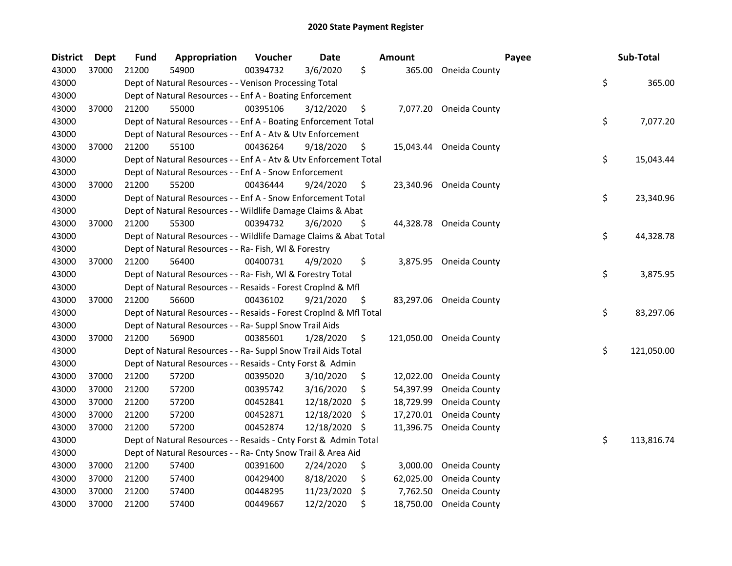| <b>District</b> | Dept  | <b>Fund</b> | Appropriation                                                      | Voucher  | <b>Date</b> |     | <b>Amount</b> |                         | Payee | Sub-Total        |
|-----------------|-------|-------------|--------------------------------------------------------------------|----------|-------------|-----|---------------|-------------------------|-------|------------------|
| 43000           | 37000 | 21200       | 54900                                                              | 00394732 | 3/6/2020    | \$  | 365.00        | Oneida County           |       |                  |
| 43000           |       |             | Dept of Natural Resources - - Venison Processing Total             |          |             |     |               |                         |       | \$<br>365.00     |
| 43000           |       |             | Dept of Natural Resources - - Enf A - Boating Enforcement          |          |             |     |               |                         |       |                  |
| 43000           | 37000 | 21200       | 55000                                                              | 00395106 | 3/12/2020   | \$  |               | 7,077.20 Oneida County  |       |                  |
| 43000           |       |             | Dept of Natural Resources - - Enf A - Boating Enforcement Total    |          |             |     |               |                         |       | \$<br>7,077.20   |
| 43000           |       |             | Dept of Natural Resources - - Enf A - Atv & Utv Enforcement        |          |             |     |               |                         |       |                  |
| 43000           | 37000 | 21200       | 55100                                                              | 00436264 | 9/18/2020   | \$  | 15,043.44     | Oneida County           |       |                  |
| 43000           |       |             | Dept of Natural Resources - - Enf A - Atv & Utv Enforcement Total  |          |             |     |               |                         |       | \$<br>15,043.44  |
| 43000           |       |             | Dept of Natural Resources - - Enf A - Snow Enforcement             |          |             |     |               |                         |       |                  |
| 43000           | 37000 | 21200       | 55200                                                              | 00436444 | 9/24/2020   | \$  |               | 23,340.96 Oneida County |       |                  |
| 43000           |       |             | Dept of Natural Resources - - Enf A - Snow Enforcement Total       |          |             |     |               |                         |       | \$<br>23,340.96  |
| 43000           |       |             | Dept of Natural Resources - - Wildlife Damage Claims & Abat        |          |             |     |               |                         |       |                  |
| 43000           | 37000 | 21200       | 55300                                                              | 00394732 | 3/6/2020    | \$  |               | 44,328.78 Oneida County |       |                  |
| 43000           |       |             | Dept of Natural Resources - - Wildlife Damage Claims & Abat Total  |          |             |     |               |                         |       | \$<br>44,328.78  |
| 43000           |       |             | Dept of Natural Resources - - Ra- Fish, WI & Forestry              |          |             |     |               |                         |       |                  |
| 43000           | 37000 | 21200       | 56400                                                              | 00400731 | 4/9/2020    | \$  | 3,875.95      | Oneida County           |       |                  |
| 43000           |       |             | Dept of Natural Resources - - Ra- Fish, WI & Forestry Total        |          |             |     |               |                         |       | \$<br>3,875.95   |
| 43000           |       |             | Dept of Natural Resources - - Resaids - Forest Croplnd & Mfl       |          |             |     |               |                         |       |                  |
| 43000           | 37000 | 21200       | 56600                                                              | 00436102 | 9/21/2020   | \$  | 83,297.06     | Oneida County           |       |                  |
| 43000           |       |             | Dept of Natural Resources - - Resaids - Forest CropInd & Mfl Total |          |             |     |               |                         |       | \$<br>83,297.06  |
| 43000           |       |             | Dept of Natural Resources - - Ra- Suppl Snow Trail Aids            |          |             |     |               |                         |       |                  |
| 43000           | 37000 | 21200       | 56900                                                              | 00385601 | 1/28/2020   | \$  | 121,050.00    | Oneida County           |       |                  |
| 43000           |       |             | Dept of Natural Resources - - Ra- Suppl Snow Trail Aids Total      |          |             |     |               |                         |       | \$<br>121,050.00 |
| 43000           |       |             | Dept of Natural Resources - - Resaids - Cnty Forst & Admin         |          |             |     |               |                         |       |                  |
| 43000           | 37000 | 21200       | 57200                                                              | 00395020 | 3/10/2020   | \$  | 12,022.00     | Oneida County           |       |                  |
| 43000           | 37000 | 21200       | 57200                                                              | 00395742 | 3/16/2020   | \$  | 54,397.99     | Oneida County           |       |                  |
| 43000           | 37000 | 21200       | 57200                                                              | 00452841 | 12/18/2020  | \$  | 18,729.99     | Oneida County           |       |                  |
| 43000           | 37000 | 21200       | 57200                                                              | 00452871 | 12/18/2020  | \$  | 17,270.01     | Oneida County           |       |                  |
| 43000           | 37000 | 21200       | 57200                                                              | 00452874 | 12/18/2020  | -\$ | 11,396.75     | Oneida County           |       |                  |
| 43000           |       |             | Dept of Natural Resources - - Resaids - Cnty Forst & Admin Total   |          |             |     |               |                         |       | \$<br>113,816.74 |
| 43000           |       |             | Dept of Natural Resources - - Ra- Cnty Snow Trail & Area Aid       |          |             |     |               |                         |       |                  |
| 43000           | 37000 | 21200       | 57400                                                              | 00391600 | 2/24/2020   | \$  | 3,000.00      | Oneida County           |       |                  |
| 43000           | 37000 | 21200       | 57400                                                              | 00429400 | 8/18/2020   | \$  | 62,025.00     | Oneida County           |       |                  |
| 43000           | 37000 | 21200       | 57400                                                              | 00448295 | 11/23/2020  | \$  | 7,762.50      | Oneida County           |       |                  |
| 43000           | 37000 | 21200       | 57400                                                              | 00449667 | 12/2/2020   | \$  | 18,750.00     | Oneida County           |       |                  |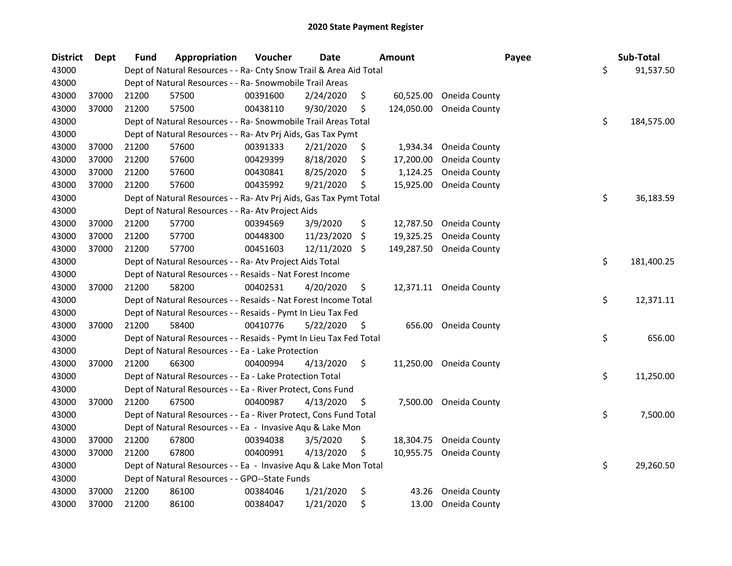| <b>District</b> | <b>Dept</b> | <b>Fund</b> | Appropriation                                                      | Voucher  | <b>Date</b> |     | <b>Amount</b> | Payee         | Sub-Total        |
|-----------------|-------------|-------------|--------------------------------------------------------------------|----------|-------------|-----|---------------|---------------|------------------|
| 43000           |             |             | Dept of Natural Resources - - Ra- Cnty Snow Trail & Area Aid Total |          |             |     |               |               | \$<br>91,537.50  |
| 43000           |             |             | Dept of Natural Resources - - Ra- Snowmobile Trail Areas           |          |             |     |               |               |                  |
| 43000           | 37000       | 21200       | 57500                                                              | 00391600 | 2/24/2020   | S.  | 60,525.00     | Oneida County |                  |
| 43000           | 37000       | 21200       | 57500                                                              | 00438110 | 9/30/2020   | \$. | 124,050.00    | Oneida County |                  |
| 43000           |             |             | Dept of Natural Resources - - Ra- Snowmobile Trail Areas Total     |          |             |     |               |               | \$<br>184,575.00 |
| 43000           |             |             | Dept of Natural Resources - - Ra- Atv Prj Aids, Gas Tax Pymt       |          |             |     |               |               |                  |
| 43000           | 37000       | 21200       | 57600                                                              | 00391333 | 2/21/2020   | \$  | 1,934.34      | Oneida County |                  |
| 43000           | 37000       | 21200       | 57600                                                              | 00429399 | 8/18/2020   | \$  | 17,200.00     | Oneida County |                  |
| 43000           | 37000       | 21200       | 57600                                                              | 00430841 | 8/25/2020   | \$  | 1,124.25      | Oneida County |                  |
| 43000           | 37000       | 21200       | 57600                                                              | 00435992 | 9/21/2020   | \$  | 15,925.00     | Oneida County |                  |
| 43000           |             |             | Dept of Natural Resources - - Ra- Atv Prj Aids, Gas Tax Pymt Total |          |             |     |               |               | \$<br>36,183.59  |
| 43000           |             |             | Dept of Natural Resources - - Ra- Atv Project Aids                 |          |             |     |               |               |                  |
| 43000           | 37000       | 21200       | 57700                                                              | 00394569 | 3/9/2020    | \$  | 12,787.50     | Oneida County |                  |
| 43000           | 37000       | 21200       | 57700                                                              | 00448300 | 11/23/2020  | \$. | 19,325.25     | Oneida County |                  |
| 43000           | 37000       | 21200       | 57700                                                              | 00451603 | 12/11/2020  | \$  | 149,287.50    | Oneida County |                  |
| 43000           |             |             | Dept of Natural Resources - - Ra- Atv Project Aids Total           |          |             |     |               |               | \$<br>181,400.25 |
| 43000           |             |             | Dept of Natural Resources - - Resaids - Nat Forest Income          |          |             |     |               |               |                  |
| 43000           | 37000       | 21200       | 58200                                                              | 00402531 | 4/20/2020   | \$  | 12,371.11     | Oneida County |                  |
| 43000           |             |             | Dept of Natural Resources - - Resaids - Nat Forest Income Total    |          |             |     |               |               | \$<br>12,371.11  |
| 43000           |             |             | Dept of Natural Resources - - Resaids - Pymt In Lieu Tax Fed       |          |             |     |               |               |                  |
| 43000           | 37000       | 21200       | 58400                                                              | 00410776 | 5/22/2020   | \$  | 656.00        | Oneida County |                  |
| 43000           |             |             | Dept of Natural Resources - - Resaids - Pymt In Lieu Tax Fed Total |          |             |     |               |               | \$<br>656.00     |
| 43000           |             |             | Dept of Natural Resources - - Ea - Lake Protection                 |          |             |     |               |               |                  |
| 43000           | 37000       | 21200       | 66300                                                              | 00400994 | 4/13/2020   | \$  | 11,250.00     | Oneida County |                  |
| 43000           |             |             | Dept of Natural Resources - - Ea - Lake Protection Total           |          |             |     |               |               | \$<br>11,250.00  |
| 43000           |             |             | Dept of Natural Resources - - Ea - River Protect, Cons Fund        |          |             |     |               |               |                  |
| 43000           | 37000       | 21200       | 67500                                                              | 00400987 | 4/13/2020   | S   | 7,500.00      | Oneida County |                  |
| 43000           |             |             | Dept of Natural Resources - - Ea - River Protect, Cons Fund Total  |          |             |     |               |               | \$<br>7,500.00   |
| 43000           |             |             | Dept of Natural Resources - - Ea - Invasive Aqu & Lake Mon         |          |             |     |               |               |                  |
| 43000           | 37000       | 21200       | 67800                                                              | 00394038 | 3/5/2020    | \$  | 18,304.75     | Oneida County |                  |
| 43000           | 37000       | 21200       | 67800                                                              | 00400991 | 4/13/2020   | \$  | 10,955.75     | Oneida County |                  |
| 43000           |             |             | Dept of Natural Resources - - Ea - Invasive Aqu & Lake Mon Total   |          |             |     |               |               | \$<br>29,260.50  |
| 43000           |             |             | Dept of Natural Resources - - GPO--State Funds                     |          |             |     |               |               |                  |
| 43000           | 37000       | 21200       | 86100                                                              | 00384046 | 1/21/2020   | \$  | 43.26         | Oneida County |                  |
| 43000           | 37000       | 21200       | 86100                                                              | 00384047 | 1/21/2020   | \$  | 13.00         | Oneida County |                  |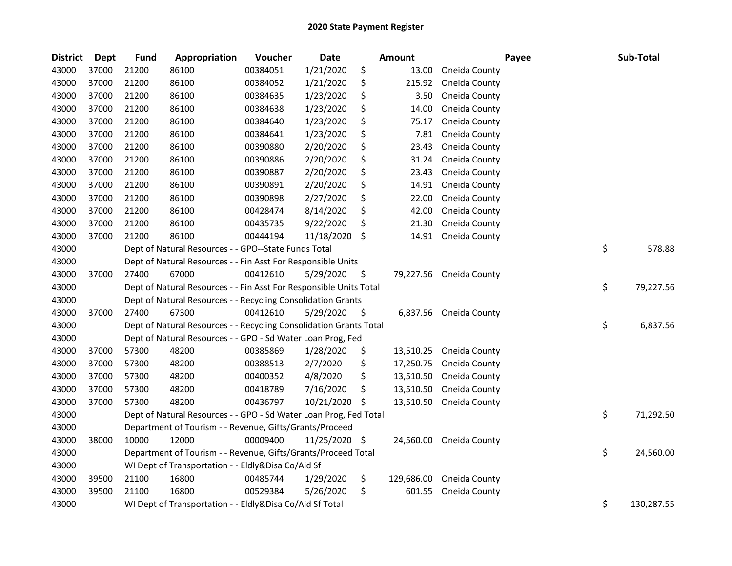| <b>District</b> | <b>Dept</b> | <b>Fund</b> | <b>Appropriation</b>                                               | Voucher  | Date          |    | <b>Amount</b> | Payee                   | Sub-Total        |
|-----------------|-------------|-------------|--------------------------------------------------------------------|----------|---------------|----|---------------|-------------------------|------------------|
| 43000           | 37000       | 21200       | 86100                                                              | 00384051 | 1/21/2020     | \$ | 13.00         | Oneida County           |                  |
| 43000           | 37000       | 21200       | 86100                                                              | 00384052 | 1/21/2020     | \$ | 215.92        | Oneida County           |                  |
| 43000           | 37000       | 21200       | 86100                                                              | 00384635 | 1/23/2020     | \$ | 3.50          | Oneida County           |                  |
| 43000           | 37000       | 21200       | 86100                                                              | 00384638 | 1/23/2020     | \$ | 14.00         | Oneida County           |                  |
| 43000           | 37000       | 21200       | 86100                                                              | 00384640 | 1/23/2020     | \$ | 75.17         | Oneida County           |                  |
| 43000           | 37000       | 21200       | 86100                                                              | 00384641 | 1/23/2020     | \$ | 7.81          | Oneida County           |                  |
| 43000           | 37000       | 21200       | 86100                                                              | 00390880 | 2/20/2020     | \$ | 23.43         | Oneida County           |                  |
| 43000           | 37000       | 21200       | 86100                                                              | 00390886 | 2/20/2020     | \$ | 31.24         | Oneida County           |                  |
| 43000           | 37000       | 21200       | 86100                                                              | 00390887 | 2/20/2020     | \$ | 23.43         | Oneida County           |                  |
| 43000           | 37000       | 21200       | 86100                                                              | 00390891 | 2/20/2020     | \$ | 14.91         | Oneida County           |                  |
| 43000           | 37000       | 21200       | 86100                                                              | 00390898 | 2/27/2020     | \$ | 22.00         | Oneida County           |                  |
| 43000           | 37000       | 21200       | 86100                                                              | 00428474 | 8/14/2020     | \$ | 42.00         | Oneida County           |                  |
| 43000           | 37000       | 21200       | 86100                                                              | 00435735 | 9/22/2020     | \$ | 21.30         | Oneida County           |                  |
| 43000           | 37000       | 21200       | 86100                                                              | 00444194 | 11/18/2020    | \$ | 14.91         | Oneida County           |                  |
| 43000           |             |             | Dept of Natural Resources - - GPO--State Funds Total               |          |               |    |               |                         | \$<br>578.88     |
| 43000           |             |             | Dept of Natural Resources - - Fin Asst For Responsible Units       |          |               |    |               |                         |                  |
| 43000           | 37000       | 27400       | 67000                                                              | 00412610 | 5/29/2020     | \$ | 79,227.56     | Oneida County           |                  |
| 43000           |             |             | Dept of Natural Resources - - Fin Asst For Responsible Units Total |          |               |    |               |                         | \$<br>79,227.56  |
| 43000           |             |             | Dept of Natural Resources - - Recycling Consolidation Grants       |          |               |    |               |                         |                  |
| 43000           | 37000       | 27400       | 67300                                                              | 00412610 | 5/29/2020     | \$ | 6,837.56      | Oneida County           |                  |
| 43000           |             |             | Dept of Natural Resources - - Recycling Consolidation Grants Total |          |               |    |               |                         | \$<br>6,837.56   |
| 43000           |             |             | Dept of Natural Resources - - GPO - Sd Water Loan Prog, Fed        |          |               |    |               |                         |                  |
| 43000           | 37000       | 57300       | 48200                                                              | 00385869 | 1/28/2020     | \$ | 13,510.25     | Oneida County           |                  |
| 43000           | 37000       | 57300       | 48200                                                              | 00388513 | 2/7/2020      | \$ | 17,250.75     | Oneida County           |                  |
| 43000           | 37000       | 57300       | 48200                                                              | 00400352 | 4/8/2020      | \$ | 13,510.50     | Oneida County           |                  |
| 43000           | 37000       | 57300       | 48200                                                              | 00418789 | 7/16/2020     | \$ | 13,510.50     | Oneida County           |                  |
| 43000           | 37000       | 57300       | 48200                                                              | 00436797 | 10/21/2020    | S. | 13,510.50     | Oneida County           |                  |
| 43000           |             |             | Dept of Natural Resources - - GPO - Sd Water Loan Prog, Fed Total  |          |               |    |               |                         | \$<br>71,292.50  |
| 43000           |             |             | Department of Tourism - - Revenue, Gifts/Grants/Proceed            |          |               |    |               |                         |                  |
| 43000           | 38000       | 10000       | 12000                                                              | 00009400 | 11/25/2020 \$ |    |               | 24,560.00 Oneida County |                  |
| 43000           |             |             | Department of Tourism - - Revenue, Gifts/Grants/Proceed Total      |          |               |    |               |                         | \$<br>24,560.00  |
| 43000           |             |             | WI Dept of Transportation - - Eldly&Disa Co/Aid Sf                 |          |               |    |               |                         |                  |
| 43000           | 39500       | 21100       | 16800                                                              | 00485744 | 1/29/2020     | \$ | 129,686.00    | Oneida County           |                  |
| 43000           | 39500       | 21100       | 16800                                                              | 00529384 | 5/26/2020     | \$ | 601.55        | Oneida County           |                  |
| 43000           |             |             | WI Dept of Transportation - - Eldly&Disa Co/Aid Sf Total           |          |               |    |               |                         | \$<br>130,287.55 |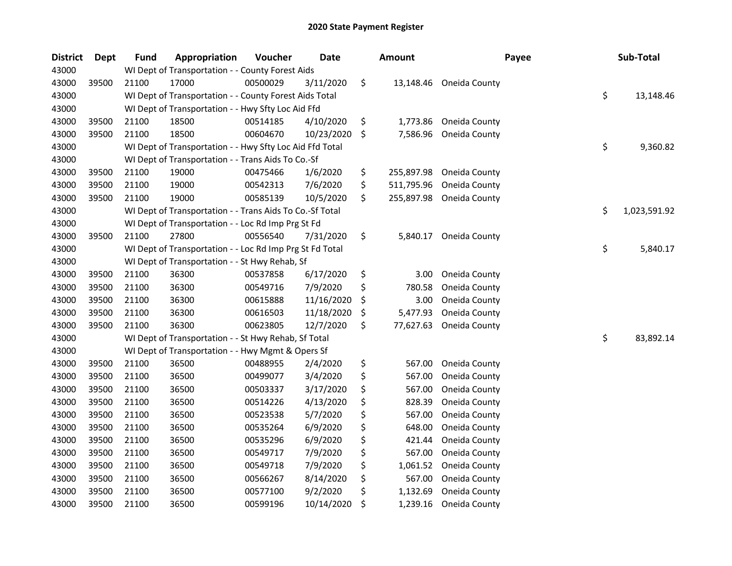| <b>District</b> | Dept  | <b>Fund</b> | <b>Appropriation</b>                                     | Voucher  | <b>Date</b> | <b>Amount</b>    | Payee         | Sub-Total          |
|-----------------|-------|-------------|----------------------------------------------------------|----------|-------------|------------------|---------------|--------------------|
| 43000           |       |             | WI Dept of Transportation - - County Forest Aids         |          |             |                  |               |                    |
| 43000           | 39500 | 21100       | 17000                                                    | 00500029 | 3/11/2020   | \$<br>13,148.46  | Oneida County |                    |
| 43000           |       |             | WI Dept of Transportation - - County Forest Aids Total   |          |             |                  |               | \$<br>13,148.46    |
| 43000           |       |             | WI Dept of Transportation - - Hwy Sfty Loc Aid Ffd       |          |             |                  |               |                    |
| 43000           | 39500 | 21100       | 18500                                                    | 00514185 | 4/10/2020   | \$<br>1,773.86   | Oneida County |                    |
| 43000           | 39500 | 21100       | 18500                                                    | 00604670 | 10/23/2020  | \$<br>7,586.96   | Oneida County |                    |
| 43000           |       |             | WI Dept of Transportation - - Hwy Sfty Loc Aid Ffd Total |          |             |                  |               | \$<br>9,360.82     |
| 43000           |       |             | WI Dept of Transportation - - Trans Aids To Co.-Sf       |          |             |                  |               |                    |
| 43000           | 39500 | 21100       | 19000                                                    | 00475466 | 1/6/2020    | \$<br>255,897.98 | Oneida County |                    |
| 43000           | 39500 | 21100       | 19000                                                    | 00542313 | 7/6/2020    | \$<br>511,795.96 | Oneida County |                    |
| 43000           | 39500 | 21100       | 19000                                                    | 00585139 | 10/5/2020   | \$<br>255,897.98 | Oneida County |                    |
| 43000           |       |             | WI Dept of Transportation - - Trans Aids To Co.-Sf Total |          |             |                  |               | \$<br>1,023,591.92 |
| 43000           |       |             | WI Dept of Transportation - - Loc Rd Imp Prg St Fd       |          |             |                  |               |                    |
| 43000           | 39500 | 21100       | 27800                                                    | 00556540 | 7/31/2020   | \$<br>5,840.17   | Oneida County |                    |
| 43000           |       |             | WI Dept of Transportation - - Loc Rd Imp Prg St Fd Total |          |             |                  |               | \$<br>5,840.17     |
| 43000           |       |             | WI Dept of Transportation - - St Hwy Rehab, Sf           |          |             |                  |               |                    |
| 43000           | 39500 | 21100       | 36300                                                    | 00537858 | 6/17/2020   | \$<br>3.00       | Oneida County |                    |
| 43000           | 39500 | 21100       | 36300                                                    | 00549716 | 7/9/2020    | \$<br>780.58     | Oneida County |                    |
| 43000           | 39500 | 21100       | 36300                                                    | 00615888 | 11/16/2020  | \$<br>3.00       | Oneida County |                    |
| 43000           | 39500 | 21100       | 36300                                                    | 00616503 | 11/18/2020  | \$<br>5,477.93   | Oneida County |                    |
| 43000           | 39500 | 21100       | 36300                                                    | 00623805 | 12/7/2020   | \$<br>77,627.63  | Oneida County |                    |
| 43000           |       |             | WI Dept of Transportation - - St Hwy Rehab, Sf Total     |          |             |                  |               | \$<br>83,892.14    |
| 43000           |       |             | WI Dept of Transportation - - Hwy Mgmt & Opers Sf        |          |             |                  |               |                    |
| 43000           | 39500 | 21100       | 36500                                                    | 00488955 | 2/4/2020    | \$<br>567.00     | Oneida County |                    |
| 43000           | 39500 | 21100       | 36500                                                    | 00499077 | 3/4/2020    | \$<br>567.00     | Oneida County |                    |
| 43000           | 39500 | 21100       | 36500                                                    | 00503337 | 3/17/2020   | \$<br>567.00     | Oneida County |                    |
| 43000           | 39500 | 21100       | 36500                                                    | 00514226 | 4/13/2020   | \$<br>828.39     | Oneida County |                    |
| 43000           | 39500 | 21100       | 36500                                                    | 00523538 | 5/7/2020    | \$<br>567.00     | Oneida County |                    |
| 43000           | 39500 | 21100       | 36500                                                    | 00535264 | 6/9/2020    | \$<br>648.00     | Oneida County |                    |
| 43000           | 39500 | 21100       | 36500                                                    | 00535296 | 6/9/2020    | \$<br>421.44     | Oneida County |                    |
| 43000           | 39500 | 21100       | 36500                                                    | 00549717 | 7/9/2020    | \$<br>567.00     | Oneida County |                    |
| 43000           | 39500 | 21100       | 36500                                                    | 00549718 | 7/9/2020    | \$<br>1,061.52   | Oneida County |                    |
| 43000           | 39500 | 21100       | 36500                                                    | 00566267 | 8/14/2020   | \$<br>567.00     | Oneida County |                    |
| 43000           | 39500 | 21100       | 36500                                                    | 00577100 | 9/2/2020    | \$<br>1,132.69   | Oneida County |                    |
| 43000           | 39500 | 21100       | 36500                                                    | 00599196 | 10/14/2020  | \$<br>1,239.16   | Oneida County |                    |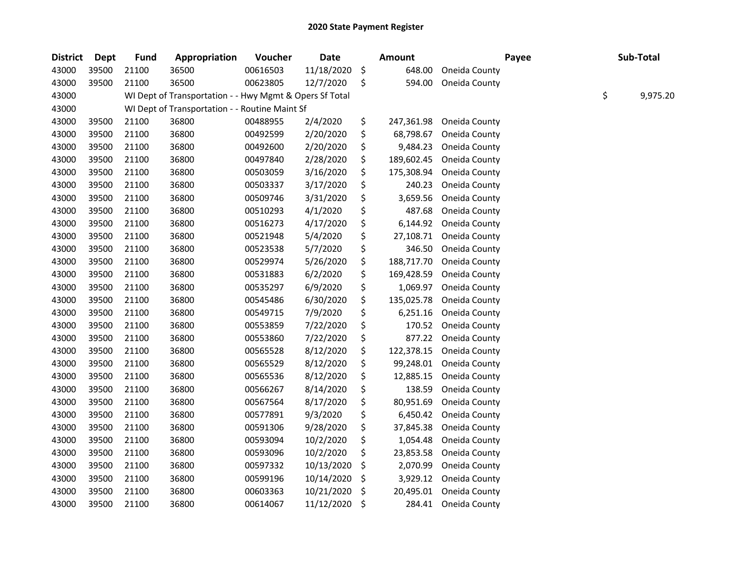| <b>District</b> | <b>Dept</b> | <b>Fund</b> | Appropriation                                           | Voucher  | <b>Date</b> | Amount           |               | Payee | Sub-Total      |
|-----------------|-------------|-------------|---------------------------------------------------------|----------|-------------|------------------|---------------|-------|----------------|
| 43000           | 39500       | 21100       | 36500                                                   | 00616503 | 11/18/2020  | \$<br>648.00     | Oneida County |       |                |
| 43000           | 39500       | 21100       | 36500                                                   | 00623805 | 12/7/2020   | \$<br>594.00     | Oneida County |       |                |
| 43000           |             |             | WI Dept of Transportation - - Hwy Mgmt & Opers Sf Total |          |             |                  |               |       | \$<br>9,975.20 |
| 43000           |             |             | WI Dept of Transportation - - Routine Maint Sf          |          |             |                  |               |       |                |
| 43000           | 39500       | 21100       | 36800                                                   | 00488955 | 2/4/2020    | \$<br>247,361.98 | Oneida County |       |                |
| 43000           | 39500       | 21100       | 36800                                                   | 00492599 | 2/20/2020   | \$<br>68,798.67  | Oneida County |       |                |
| 43000           | 39500       | 21100       | 36800                                                   | 00492600 | 2/20/2020   | \$<br>9,484.23   | Oneida County |       |                |
| 43000           | 39500       | 21100       | 36800                                                   | 00497840 | 2/28/2020   | \$<br>189,602.45 | Oneida County |       |                |
| 43000           | 39500       | 21100       | 36800                                                   | 00503059 | 3/16/2020   | \$<br>175,308.94 | Oneida County |       |                |
| 43000           | 39500       | 21100       | 36800                                                   | 00503337 | 3/17/2020   | \$<br>240.23     | Oneida County |       |                |
| 43000           | 39500       | 21100       | 36800                                                   | 00509746 | 3/31/2020   | \$<br>3,659.56   | Oneida County |       |                |
| 43000           | 39500       | 21100       | 36800                                                   | 00510293 | 4/1/2020    | \$<br>487.68     | Oneida County |       |                |
| 43000           | 39500       | 21100       | 36800                                                   | 00516273 | 4/17/2020   | \$<br>6,144.92   | Oneida County |       |                |
| 43000           | 39500       | 21100       | 36800                                                   | 00521948 | 5/4/2020    | \$<br>27,108.71  | Oneida County |       |                |
| 43000           | 39500       | 21100       | 36800                                                   | 00523538 | 5/7/2020    | \$<br>346.50     | Oneida County |       |                |
| 43000           | 39500       | 21100       | 36800                                                   | 00529974 | 5/26/2020   | \$<br>188,717.70 | Oneida County |       |                |
| 43000           | 39500       | 21100       | 36800                                                   | 00531883 | 6/2/2020    | \$<br>169,428.59 | Oneida County |       |                |
| 43000           | 39500       | 21100       | 36800                                                   | 00535297 | 6/9/2020    | \$<br>1,069.97   | Oneida County |       |                |
| 43000           | 39500       | 21100       | 36800                                                   | 00545486 | 6/30/2020   | \$<br>135,025.78 | Oneida County |       |                |
| 43000           | 39500       | 21100       | 36800                                                   | 00549715 | 7/9/2020    | \$<br>6,251.16   | Oneida County |       |                |
| 43000           | 39500       | 21100       | 36800                                                   | 00553859 | 7/22/2020   | \$<br>170.52     | Oneida County |       |                |
| 43000           | 39500       | 21100       | 36800                                                   | 00553860 | 7/22/2020   | \$<br>877.22     | Oneida County |       |                |
| 43000           | 39500       | 21100       | 36800                                                   | 00565528 | 8/12/2020   | \$<br>122,378.15 | Oneida County |       |                |
| 43000           | 39500       | 21100       | 36800                                                   | 00565529 | 8/12/2020   | \$<br>99,248.01  | Oneida County |       |                |
| 43000           | 39500       | 21100       | 36800                                                   | 00565536 | 8/12/2020   | \$<br>12,885.15  | Oneida County |       |                |
| 43000           | 39500       | 21100       | 36800                                                   | 00566267 | 8/14/2020   | \$<br>138.59     | Oneida County |       |                |
| 43000           | 39500       | 21100       | 36800                                                   | 00567564 | 8/17/2020   | \$<br>80,951.69  | Oneida County |       |                |
| 43000           | 39500       | 21100       | 36800                                                   | 00577891 | 9/3/2020    | \$<br>6,450.42   | Oneida County |       |                |
| 43000           | 39500       | 21100       | 36800                                                   | 00591306 | 9/28/2020   | \$<br>37,845.38  | Oneida County |       |                |
| 43000           | 39500       | 21100       | 36800                                                   | 00593094 | 10/2/2020   | \$<br>1,054.48   | Oneida County |       |                |
| 43000           | 39500       | 21100       | 36800                                                   | 00593096 | 10/2/2020   | \$<br>23,853.58  | Oneida County |       |                |
| 43000           | 39500       | 21100       | 36800                                                   | 00597332 | 10/13/2020  | \$<br>2,070.99   | Oneida County |       |                |
| 43000           | 39500       | 21100       | 36800                                                   | 00599196 | 10/14/2020  | \$<br>3,929.12   | Oneida County |       |                |
| 43000           | 39500       | 21100       | 36800                                                   | 00603363 | 10/21/2020  | \$<br>20,495.01  | Oneida County |       |                |
| 43000           | 39500       | 21100       | 36800                                                   | 00614067 | 11/12/2020  | \$<br>284.41     | Oneida County |       |                |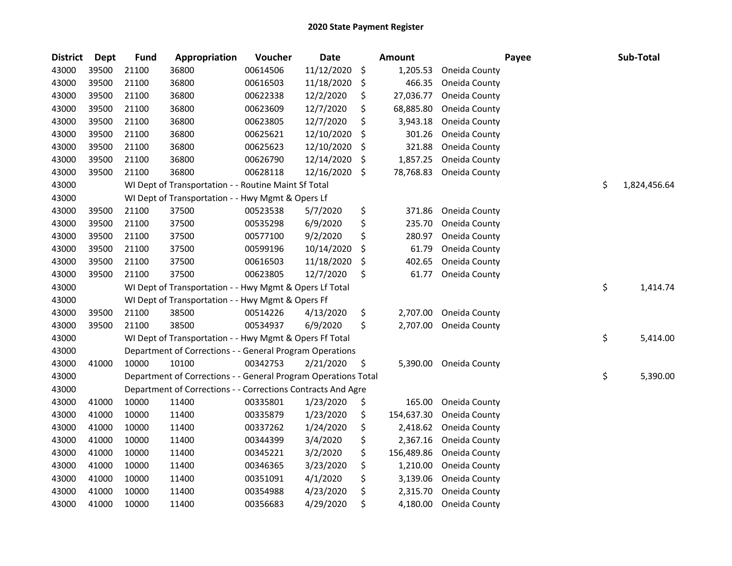| <b>District</b> | Dept  | <b>Fund</b> | Appropriation                                                  | Voucher  | <b>Date</b> | Amount           |               | Payee | Sub-Total    |
|-----------------|-------|-------------|----------------------------------------------------------------|----------|-------------|------------------|---------------|-------|--------------|
| 43000           | 39500 | 21100       | 36800                                                          | 00614506 | 11/12/2020  | \$<br>1,205.53   | Oneida County |       |              |
| 43000           | 39500 | 21100       | 36800                                                          | 00616503 | 11/18/2020  | \$<br>466.35     | Oneida County |       |              |
| 43000           | 39500 | 21100       | 36800                                                          | 00622338 | 12/2/2020   | \$<br>27,036.77  | Oneida County |       |              |
| 43000           | 39500 | 21100       | 36800                                                          | 00623609 | 12/7/2020   | \$<br>68,885.80  | Oneida County |       |              |
| 43000           | 39500 | 21100       | 36800                                                          | 00623805 | 12/7/2020   | \$<br>3,943.18   | Oneida County |       |              |
| 43000           | 39500 | 21100       | 36800                                                          | 00625621 | 12/10/2020  | \$<br>301.26     | Oneida County |       |              |
| 43000           | 39500 | 21100       | 36800                                                          | 00625623 | 12/10/2020  | \$<br>321.88     | Oneida County |       |              |
| 43000           | 39500 | 21100       | 36800                                                          | 00626790 | 12/14/2020  | \$<br>1,857.25   | Oneida County |       |              |
| 43000           | 39500 | 21100       | 36800                                                          | 00628118 | 12/16/2020  | \$<br>78,768.83  | Oneida County |       |              |
| 43000           |       |             | WI Dept of Transportation - - Routine Maint Sf Total           |          |             |                  |               | \$    | 1,824,456.64 |
| 43000           |       |             | WI Dept of Transportation - - Hwy Mgmt & Opers Lf              |          |             |                  |               |       |              |
| 43000           | 39500 | 21100       | 37500                                                          | 00523538 | 5/7/2020    | \$<br>371.86     | Oneida County |       |              |
| 43000           | 39500 | 21100       | 37500                                                          | 00535298 | 6/9/2020    | \$<br>235.70     | Oneida County |       |              |
| 43000           | 39500 | 21100       | 37500                                                          | 00577100 | 9/2/2020    | \$<br>280.97     | Oneida County |       |              |
| 43000           | 39500 | 21100       | 37500                                                          | 00599196 | 10/14/2020  | \$<br>61.79      | Oneida County |       |              |
| 43000           | 39500 | 21100       | 37500                                                          | 00616503 | 11/18/2020  | \$<br>402.65     | Oneida County |       |              |
| 43000           | 39500 | 21100       | 37500                                                          | 00623805 | 12/7/2020   | \$<br>61.77      | Oneida County |       |              |
| 43000           |       |             | WI Dept of Transportation - - Hwy Mgmt & Opers Lf Total        |          |             |                  |               | \$    | 1,414.74     |
| 43000           |       |             | WI Dept of Transportation - - Hwy Mgmt & Opers Ff              |          |             |                  |               |       |              |
| 43000           | 39500 | 21100       | 38500                                                          | 00514226 | 4/13/2020   | \$<br>2,707.00   | Oneida County |       |              |
| 43000           | 39500 | 21100       | 38500                                                          | 00534937 | 6/9/2020    | \$<br>2,707.00   | Oneida County |       |              |
| 43000           |       |             | WI Dept of Transportation - - Hwy Mgmt & Opers Ff Total        |          |             |                  |               | \$    | 5,414.00     |
| 43000           |       |             | Department of Corrections - - General Program Operations       |          |             |                  |               |       |              |
| 43000           | 41000 | 10000       | 10100                                                          | 00342753 | 2/21/2020   | \$<br>5,390.00   | Oneida County |       |              |
| 43000           |       |             | Department of Corrections - - General Program Operations Total |          |             |                  |               | \$    | 5,390.00     |
| 43000           |       |             | Department of Corrections - - Corrections Contracts And Agre   |          |             |                  |               |       |              |
| 43000           | 41000 | 10000       | 11400                                                          | 00335801 | 1/23/2020   | \$<br>165.00     | Oneida County |       |              |
| 43000           | 41000 | 10000       | 11400                                                          | 00335879 | 1/23/2020   | \$<br>154,637.30 | Oneida County |       |              |
| 43000           | 41000 | 10000       | 11400                                                          | 00337262 | 1/24/2020   | \$<br>2,418.62   | Oneida County |       |              |
| 43000           | 41000 | 10000       | 11400                                                          | 00344399 | 3/4/2020    | \$<br>2,367.16   | Oneida County |       |              |
| 43000           | 41000 | 10000       | 11400                                                          | 00345221 | 3/2/2020    | \$<br>156,489.86 | Oneida County |       |              |
| 43000           | 41000 | 10000       | 11400                                                          | 00346365 | 3/23/2020   | \$<br>1,210.00   | Oneida County |       |              |
| 43000           | 41000 | 10000       | 11400                                                          | 00351091 | 4/1/2020    | \$<br>3,139.06   | Oneida County |       |              |
| 43000           | 41000 | 10000       | 11400                                                          | 00354988 | 4/23/2020   | \$<br>2,315.70   | Oneida County |       |              |
| 43000           | 41000 | 10000       | 11400                                                          | 00356683 | 4/29/2020   | \$<br>4,180.00   | Oneida County |       |              |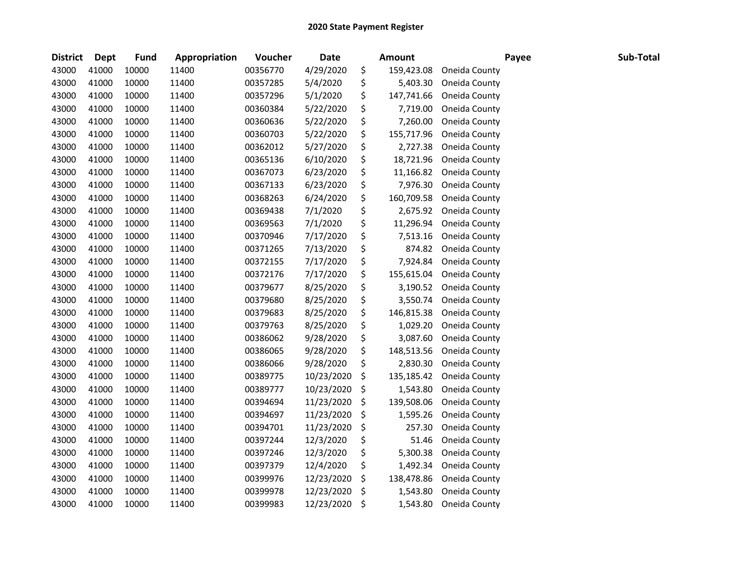| <b>District</b> | <b>Dept</b> | <b>Fund</b> | Appropriation | Voucher  | Date       | <b>Amount</b>    |               | Payee | Sub-Total |
|-----------------|-------------|-------------|---------------|----------|------------|------------------|---------------|-------|-----------|
| 43000           | 41000       | 10000       | 11400         | 00356770 | 4/29/2020  | \$<br>159,423.08 | Oneida County |       |           |
| 43000           | 41000       | 10000       | 11400         | 00357285 | 5/4/2020   | \$<br>5,403.30   | Oneida County |       |           |
| 43000           | 41000       | 10000       | 11400         | 00357296 | 5/1/2020   | \$<br>147,741.66 | Oneida County |       |           |
| 43000           | 41000       | 10000       | 11400         | 00360384 | 5/22/2020  | \$<br>7,719.00   | Oneida County |       |           |
| 43000           | 41000       | 10000       | 11400         | 00360636 | 5/22/2020  | \$<br>7,260.00   | Oneida County |       |           |
| 43000           | 41000       | 10000       | 11400         | 00360703 | 5/22/2020  | \$<br>155,717.96 | Oneida County |       |           |
| 43000           | 41000       | 10000       | 11400         | 00362012 | 5/27/2020  | \$<br>2,727.38   | Oneida County |       |           |
| 43000           | 41000       | 10000       | 11400         | 00365136 | 6/10/2020  | \$<br>18,721.96  | Oneida County |       |           |
| 43000           | 41000       | 10000       | 11400         | 00367073 | 6/23/2020  | \$<br>11,166.82  | Oneida County |       |           |
| 43000           | 41000       | 10000       | 11400         | 00367133 | 6/23/2020  | \$<br>7,976.30   | Oneida County |       |           |
| 43000           | 41000       | 10000       | 11400         | 00368263 | 6/24/2020  | \$<br>160,709.58 | Oneida County |       |           |
| 43000           | 41000       | 10000       | 11400         | 00369438 | 7/1/2020   | \$<br>2,675.92   | Oneida County |       |           |
| 43000           | 41000       | 10000       | 11400         | 00369563 | 7/1/2020   | \$<br>11,296.94  | Oneida County |       |           |
| 43000           | 41000       | 10000       | 11400         | 00370946 | 7/17/2020  | \$<br>7,513.16   | Oneida County |       |           |
| 43000           | 41000       | 10000       | 11400         | 00371265 | 7/13/2020  | \$<br>874.82     | Oneida County |       |           |
| 43000           | 41000       | 10000       | 11400         | 00372155 | 7/17/2020  | \$<br>7,924.84   | Oneida County |       |           |
| 43000           | 41000       | 10000       | 11400         | 00372176 | 7/17/2020  | \$<br>155,615.04 | Oneida County |       |           |
| 43000           | 41000       | 10000       | 11400         | 00379677 | 8/25/2020  | \$<br>3,190.52   | Oneida County |       |           |
| 43000           | 41000       | 10000       | 11400         | 00379680 | 8/25/2020  | \$<br>3,550.74   | Oneida County |       |           |
| 43000           | 41000       | 10000       | 11400         | 00379683 | 8/25/2020  | \$<br>146,815.38 | Oneida County |       |           |
| 43000           | 41000       | 10000       | 11400         | 00379763 | 8/25/2020  | \$<br>1,029.20   | Oneida County |       |           |
| 43000           | 41000       | 10000       | 11400         | 00386062 | 9/28/2020  | \$<br>3,087.60   | Oneida County |       |           |
| 43000           | 41000       | 10000       | 11400         | 00386065 | 9/28/2020  | \$<br>148,513.56 | Oneida County |       |           |
| 43000           | 41000       | 10000       | 11400         | 00386066 | 9/28/2020  | \$<br>2,830.30   | Oneida County |       |           |
| 43000           | 41000       | 10000       | 11400         | 00389775 | 10/23/2020 | \$<br>135,185.42 | Oneida County |       |           |
| 43000           | 41000       | 10000       | 11400         | 00389777 | 10/23/2020 | \$<br>1,543.80   | Oneida County |       |           |
| 43000           | 41000       | 10000       | 11400         | 00394694 | 11/23/2020 | \$<br>139,508.06 | Oneida County |       |           |
| 43000           | 41000       | 10000       | 11400         | 00394697 | 11/23/2020 | \$<br>1,595.26   | Oneida County |       |           |
| 43000           | 41000       | 10000       | 11400         | 00394701 | 11/23/2020 | \$<br>257.30     | Oneida County |       |           |
| 43000           | 41000       | 10000       | 11400         | 00397244 | 12/3/2020  | \$<br>51.46      | Oneida County |       |           |
| 43000           | 41000       | 10000       | 11400         | 00397246 | 12/3/2020  | \$<br>5,300.38   | Oneida County |       |           |
| 43000           | 41000       | 10000       | 11400         | 00397379 | 12/4/2020  | \$<br>1,492.34   | Oneida County |       |           |
| 43000           | 41000       | 10000       | 11400         | 00399976 | 12/23/2020 | \$<br>138,478.86 | Oneida County |       |           |
| 43000           | 41000       | 10000       | 11400         | 00399978 | 12/23/2020 | \$<br>1,543.80   | Oneida County |       |           |
| 43000           | 41000       | 10000       | 11400         | 00399983 | 12/23/2020 | \$<br>1,543.80   | Oneida County |       |           |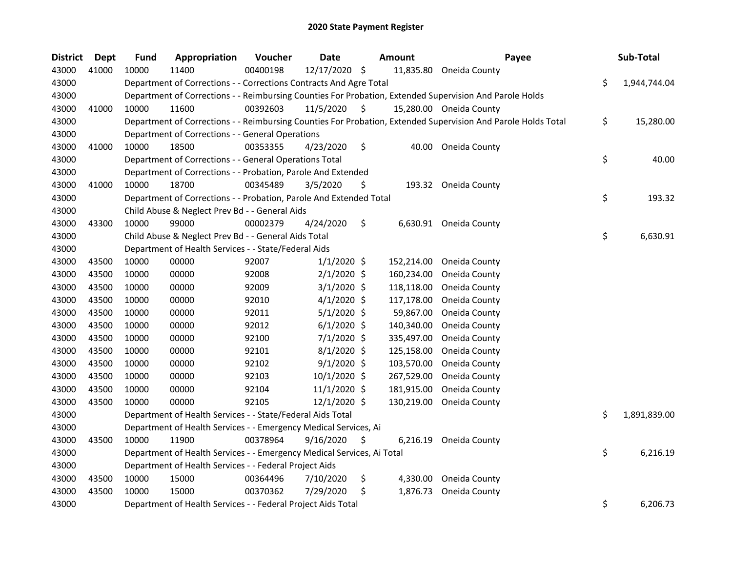| <b>District</b> | Dept  | <b>Fund</b> | Appropriation                                                          | Voucher  | <b>Date</b>    | Amount         | Payee                                                                                                         | Sub-Total          |
|-----------------|-------|-------------|------------------------------------------------------------------------|----------|----------------|----------------|---------------------------------------------------------------------------------------------------------------|--------------------|
| 43000           | 41000 | 10000       | 11400                                                                  | 00400198 | 12/17/2020 \$  | 11,835.80      | Oneida County                                                                                                 |                    |
| 43000           |       |             | Department of Corrections - - Corrections Contracts And Agre Total     |          |                |                |                                                                                                               | \$<br>1,944,744.04 |
| 43000           |       |             |                                                                        |          |                |                | Department of Corrections - - Reimbursing Counties For Probation, Extended Supervision And Parole Holds       |                    |
| 43000           | 41000 | 10000       | 11600                                                                  | 00392603 | 11/5/2020      | \$             | 15,280.00 Oneida County                                                                                       |                    |
| 43000           |       |             |                                                                        |          |                |                | Department of Corrections - - Reimbursing Counties For Probation, Extended Supervision And Parole Holds Total | \$<br>15,280.00    |
| 43000           |       |             | Department of Corrections - - General Operations                       |          |                |                |                                                                                                               |                    |
| 43000           | 41000 | 10000       | 18500                                                                  | 00353355 | 4/23/2020      | \$             | 40.00 Oneida County                                                                                           |                    |
| 43000           |       |             | Department of Corrections - - General Operations Total                 |          |                |                |                                                                                                               | \$<br>40.00        |
| 43000           |       |             | Department of Corrections - - Probation, Parole And Extended           |          |                |                |                                                                                                               |                    |
| 43000           | 41000 | 10000       | 18700                                                                  | 00345489 | 3/5/2020       | \$             | 193.32 Oneida County                                                                                          |                    |
| 43000           |       |             | Department of Corrections - - Probation, Parole And Extended Total     |          |                |                |                                                                                                               | \$<br>193.32       |
| 43000           |       |             | Child Abuse & Neglect Prev Bd - - General Aids                         |          |                |                |                                                                                                               |                    |
| 43000           | 43300 | 10000       | 99000                                                                  | 00002379 | 4/24/2020      | \$<br>6,630.91 | Oneida County                                                                                                 |                    |
| 43000           |       |             | Child Abuse & Neglect Prev Bd - - General Aids Total                   |          |                |                |                                                                                                               | \$<br>6,630.91     |
| 43000           |       |             | Department of Health Services - - State/Federal Aids                   |          |                |                |                                                                                                               |                    |
| 43000           | 43500 | 10000       | 00000                                                                  | 92007    | $1/1/2020$ \$  | 152,214.00     | Oneida County                                                                                                 |                    |
| 43000           | 43500 | 10000       | 00000                                                                  | 92008    | $2/1/2020$ \$  | 160,234.00     | Oneida County                                                                                                 |                    |
| 43000           | 43500 | 10000       | 00000                                                                  | 92009    | $3/1/2020$ \$  | 118,118.00     | Oneida County                                                                                                 |                    |
| 43000           | 43500 | 10000       | 00000                                                                  | 92010    | $4/1/2020$ \$  | 117,178.00     | Oneida County                                                                                                 |                    |
| 43000           | 43500 | 10000       | 00000                                                                  | 92011    | $5/1/2020$ \$  | 59,867.00      | Oneida County                                                                                                 |                    |
| 43000           | 43500 | 10000       | 00000                                                                  | 92012    | $6/1/2020$ \$  | 140,340.00     | Oneida County                                                                                                 |                    |
| 43000           | 43500 | 10000       | 00000                                                                  | 92100    | 7/1/2020 \$    | 335,497.00     | Oneida County                                                                                                 |                    |
| 43000           | 43500 | 10000       | 00000                                                                  | 92101    | $8/1/2020$ \$  | 125,158.00     | Oneida County                                                                                                 |                    |
| 43000           | 43500 | 10000       | 00000                                                                  | 92102    | $9/1/2020$ \$  | 103,570.00     | Oneida County                                                                                                 |                    |
| 43000           | 43500 | 10000       | 00000                                                                  | 92103    | 10/1/2020 \$   | 267,529.00     | Oneida County                                                                                                 |                    |
| 43000           | 43500 | 10000       | 00000                                                                  | 92104    | $11/1/2020$ \$ | 181,915.00     | Oneida County                                                                                                 |                    |
| 43000           | 43500 | 10000       | 00000                                                                  | 92105    | 12/1/2020 \$   | 130,219.00     | Oneida County                                                                                                 |                    |
| 43000           |       |             | Department of Health Services - - State/Federal Aids Total             |          |                |                |                                                                                                               | \$<br>1,891,839.00 |
| 43000           |       |             | Department of Health Services - - Emergency Medical Services, Ai       |          |                |                |                                                                                                               |                    |
| 43000           | 43500 | 10000       | 11900                                                                  | 00378964 | 9/16/2020      | \$<br>6,216.19 | Oneida County                                                                                                 |                    |
| 43000           |       |             | Department of Health Services - - Emergency Medical Services, Ai Total |          |                |                |                                                                                                               | \$<br>6,216.19     |
| 43000           |       |             | Department of Health Services - - Federal Project Aids                 |          |                |                |                                                                                                               |                    |
| 43000           | 43500 | 10000       | 15000                                                                  | 00364496 | 7/10/2020      | \$<br>4,330.00 | Oneida County                                                                                                 |                    |
| 43000           | 43500 | 10000       | 15000                                                                  | 00370362 | 7/29/2020      | \$<br>1,876.73 | Oneida County                                                                                                 |                    |
| 43000           |       |             | Department of Health Services - - Federal Project Aids Total           |          |                |                |                                                                                                               | \$<br>6,206.73     |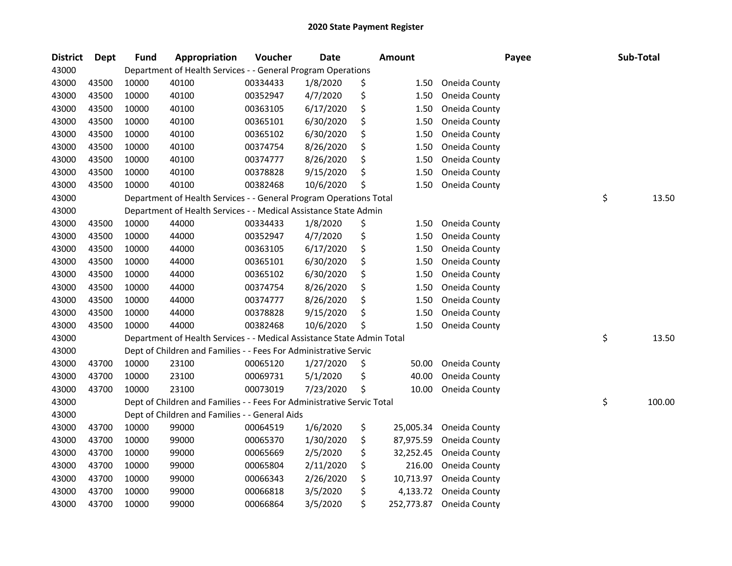| <b>District</b> | Dept  | <b>Fund</b> | Appropriation                                                          | Voucher  | <b>Date</b> | <b>Amount</b>    |               | Payee | Sub-Total    |
|-----------------|-------|-------------|------------------------------------------------------------------------|----------|-------------|------------------|---------------|-------|--------------|
| 43000           |       |             | Department of Health Services - - General Program Operations           |          |             |                  |               |       |              |
| 43000           | 43500 | 10000       | 40100                                                                  | 00334433 | 1/8/2020    | \$<br>1.50       | Oneida County |       |              |
| 43000           | 43500 | 10000       | 40100                                                                  | 00352947 | 4/7/2020    | \$<br>1.50       | Oneida County |       |              |
| 43000           | 43500 | 10000       | 40100                                                                  | 00363105 | 6/17/2020   | \$<br>1.50       | Oneida County |       |              |
| 43000           | 43500 | 10000       | 40100                                                                  | 00365101 | 6/30/2020   | \$<br>1.50       | Oneida County |       |              |
| 43000           | 43500 | 10000       | 40100                                                                  | 00365102 | 6/30/2020   | \$<br>1.50       | Oneida County |       |              |
| 43000           | 43500 | 10000       | 40100                                                                  | 00374754 | 8/26/2020   | \$<br>1.50       | Oneida County |       |              |
| 43000           | 43500 | 10000       | 40100                                                                  | 00374777 | 8/26/2020   | \$<br>1.50       | Oneida County |       |              |
| 43000           | 43500 | 10000       | 40100                                                                  | 00378828 | 9/15/2020   | \$<br>1.50       | Oneida County |       |              |
| 43000           | 43500 | 10000       | 40100                                                                  | 00382468 | 10/6/2020   | \$<br>1.50       | Oneida County |       |              |
| 43000           |       |             | Department of Health Services - - General Program Operations Total     |          |             |                  |               |       | \$<br>13.50  |
| 43000           |       |             | Department of Health Services - - Medical Assistance State Admin       |          |             |                  |               |       |              |
| 43000           | 43500 | 10000       | 44000                                                                  | 00334433 | 1/8/2020    | \$<br>1.50       | Oneida County |       |              |
| 43000           | 43500 | 10000       | 44000                                                                  | 00352947 | 4/7/2020    | \$<br>1.50       | Oneida County |       |              |
| 43000           | 43500 | 10000       | 44000                                                                  | 00363105 | 6/17/2020   | \$<br>1.50       | Oneida County |       |              |
| 43000           | 43500 | 10000       | 44000                                                                  | 00365101 | 6/30/2020   | \$<br>1.50       | Oneida County |       |              |
| 43000           | 43500 | 10000       | 44000                                                                  | 00365102 | 6/30/2020   | \$<br>1.50       | Oneida County |       |              |
| 43000           | 43500 | 10000       | 44000                                                                  | 00374754 | 8/26/2020   | \$<br>1.50       | Oneida County |       |              |
| 43000           | 43500 | 10000       | 44000                                                                  | 00374777 | 8/26/2020   | \$<br>1.50       | Oneida County |       |              |
| 43000           | 43500 | 10000       | 44000                                                                  | 00378828 | 9/15/2020   | \$<br>1.50       | Oneida County |       |              |
| 43000           | 43500 | 10000       | 44000                                                                  | 00382468 | 10/6/2020   | \$<br>1.50       | Oneida County |       |              |
| 43000           |       |             | Department of Health Services - - Medical Assistance State Admin Total |          |             |                  |               |       | \$<br>13.50  |
| 43000           |       |             | Dept of Children and Families - - Fees For Administrative Servic       |          |             |                  |               |       |              |
| 43000           | 43700 | 10000       | 23100                                                                  | 00065120 | 1/27/2020   | \$<br>50.00      | Oneida County |       |              |
| 43000           | 43700 | 10000       | 23100                                                                  | 00069731 | 5/1/2020    | \$<br>40.00      | Oneida County |       |              |
| 43000           | 43700 | 10000       | 23100                                                                  | 00073019 | 7/23/2020   | \$<br>10.00      | Oneida County |       |              |
| 43000           |       |             | Dept of Children and Families - - Fees For Administrative Servic Total |          |             |                  |               |       | \$<br>100.00 |
| 43000           |       |             | Dept of Children and Families - - General Aids                         |          |             |                  |               |       |              |
| 43000           | 43700 | 10000       | 99000                                                                  | 00064519 | 1/6/2020    | \$<br>25,005.34  | Oneida County |       |              |
| 43000           | 43700 | 10000       | 99000                                                                  | 00065370 | 1/30/2020   | \$<br>87,975.59  | Oneida County |       |              |
| 43000           | 43700 | 10000       | 99000                                                                  | 00065669 | 2/5/2020    | \$<br>32,252.45  | Oneida County |       |              |
| 43000           | 43700 | 10000       | 99000                                                                  | 00065804 | 2/11/2020   | \$<br>216.00     | Oneida County |       |              |
| 43000           | 43700 | 10000       | 99000                                                                  | 00066343 | 2/26/2020   | \$<br>10,713.97  | Oneida County |       |              |
| 43000           | 43700 | 10000       | 99000                                                                  | 00066818 | 3/5/2020    | \$<br>4,133.72   | Oneida County |       |              |
| 43000           | 43700 | 10000       | 99000                                                                  | 00066864 | 3/5/2020    | \$<br>252,773.87 | Oneida County |       |              |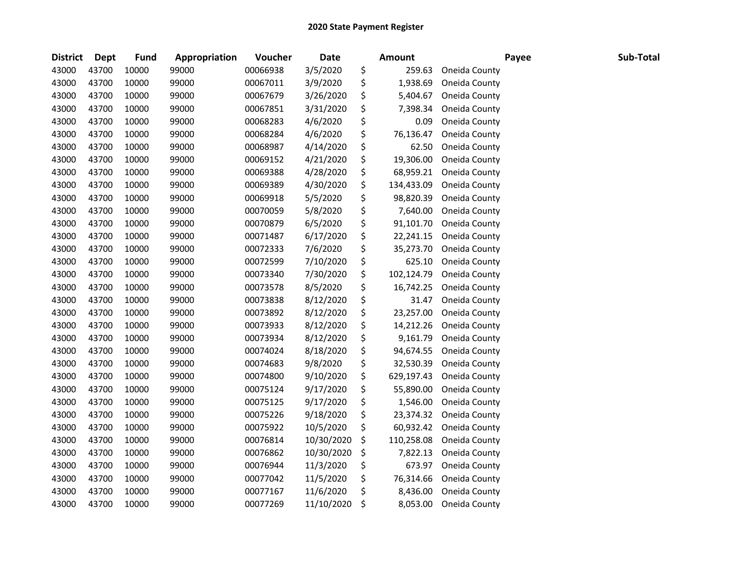| <b>District</b> | <b>Dept</b> | <b>Fund</b> | Appropriation | Voucher  | <b>Date</b> | <b>Amount</b>    |               | Payee | Sub-Total |
|-----------------|-------------|-------------|---------------|----------|-------------|------------------|---------------|-------|-----------|
| 43000           | 43700       | 10000       | 99000         | 00066938 | 3/5/2020    | \$<br>259.63     | Oneida County |       |           |
| 43000           | 43700       | 10000       | 99000         | 00067011 | 3/9/2020    | \$<br>1,938.69   | Oneida County |       |           |
| 43000           | 43700       | 10000       | 99000         | 00067679 | 3/26/2020   | \$<br>5,404.67   | Oneida County |       |           |
| 43000           | 43700       | 10000       | 99000         | 00067851 | 3/31/2020   | \$<br>7,398.34   | Oneida County |       |           |
| 43000           | 43700       | 10000       | 99000         | 00068283 | 4/6/2020    | \$<br>0.09       | Oneida County |       |           |
| 43000           | 43700       | 10000       | 99000         | 00068284 | 4/6/2020    | \$<br>76,136.47  | Oneida County |       |           |
| 43000           | 43700       | 10000       | 99000         | 00068987 | 4/14/2020   | \$<br>62.50      | Oneida County |       |           |
| 43000           | 43700       | 10000       | 99000         | 00069152 | 4/21/2020   | \$<br>19,306.00  | Oneida County |       |           |
| 43000           | 43700       | 10000       | 99000         | 00069388 | 4/28/2020   | \$<br>68,959.21  | Oneida County |       |           |
| 43000           | 43700       | 10000       | 99000         | 00069389 | 4/30/2020   | \$<br>134,433.09 | Oneida County |       |           |
| 43000           | 43700       | 10000       | 99000         | 00069918 | 5/5/2020    | \$<br>98,820.39  | Oneida County |       |           |
| 43000           | 43700       | 10000       | 99000         | 00070059 | 5/8/2020    | \$<br>7,640.00   | Oneida County |       |           |
| 43000           | 43700       | 10000       | 99000         | 00070879 | 6/5/2020    | \$<br>91,101.70  | Oneida County |       |           |
| 43000           | 43700       | 10000       | 99000         | 00071487 | 6/17/2020   | \$<br>22,241.15  | Oneida County |       |           |
| 43000           | 43700       | 10000       | 99000         | 00072333 | 7/6/2020    | \$<br>35,273.70  | Oneida County |       |           |
| 43000           | 43700       | 10000       | 99000         | 00072599 | 7/10/2020   | \$<br>625.10     | Oneida County |       |           |
| 43000           | 43700       | 10000       | 99000         | 00073340 | 7/30/2020   | \$<br>102,124.79 | Oneida County |       |           |
| 43000           | 43700       | 10000       | 99000         | 00073578 | 8/5/2020    | \$<br>16,742.25  | Oneida County |       |           |
| 43000           | 43700       | 10000       | 99000         | 00073838 | 8/12/2020   | \$<br>31.47      | Oneida County |       |           |
| 43000           | 43700       | 10000       | 99000         | 00073892 | 8/12/2020   | \$<br>23,257.00  | Oneida County |       |           |
| 43000           | 43700       | 10000       | 99000         | 00073933 | 8/12/2020   | \$<br>14,212.26  | Oneida County |       |           |
| 43000           | 43700       | 10000       | 99000         | 00073934 | 8/12/2020   | \$<br>9,161.79   | Oneida County |       |           |
| 43000           | 43700       | 10000       | 99000         | 00074024 | 8/18/2020   | \$<br>94,674.55  | Oneida County |       |           |
| 43000           | 43700       | 10000       | 99000         | 00074683 | 9/8/2020    | \$<br>32,530.39  | Oneida County |       |           |
| 43000           | 43700       | 10000       | 99000         | 00074800 | 9/10/2020   | \$<br>629,197.43 | Oneida County |       |           |
| 43000           | 43700       | 10000       | 99000         | 00075124 | 9/17/2020   | \$<br>55,890.00  | Oneida County |       |           |
| 43000           | 43700       | 10000       | 99000         | 00075125 | 9/17/2020   | \$<br>1,546.00   | Oneida County |       |           |
| 43000           | 43700       | 10000       | 99000         | 00075226 | 9/18/2020   | \$<br>23,374.32  | Oneida County |       |           |
| 43000           | 43700       | 10000       | 99000         | 00075922 | 10/5/2020   | \$<br>60,932.42  | Oneida County |       |           |
| 43000           | 43700       | 10000       | 99000         | 00076814 | 10/30/2020  | \$<br>110,258.08 | Oneida County |       |           |
| 43000           | 43700       | 10000       | 99000         | 00076862 | 10/30/2020  | \$<br>7,822.13   | Oneida County |       |           |
| 43000           | 43700       | 10000       | 99000         | 00076944 | 11/3/2020   | \$<br>673.97     | Oneida County |       |           |
| 43000           | 43700       | 10000       | 99000         | 00077042 | 11/5/2020   | \$<br>76,314.66  | Oneida County |       |           |
| 43000           | 43700       | 10000       | 99000         | 00077167 | 11/6/2020   | \$<br>8,436.00   | Oneida County |       |           |
| 43000           | 43700       | 10000       | 99000         | 00077269 | 11/10/2020  | \$<br>8,053.00   | Oneida County |       |           |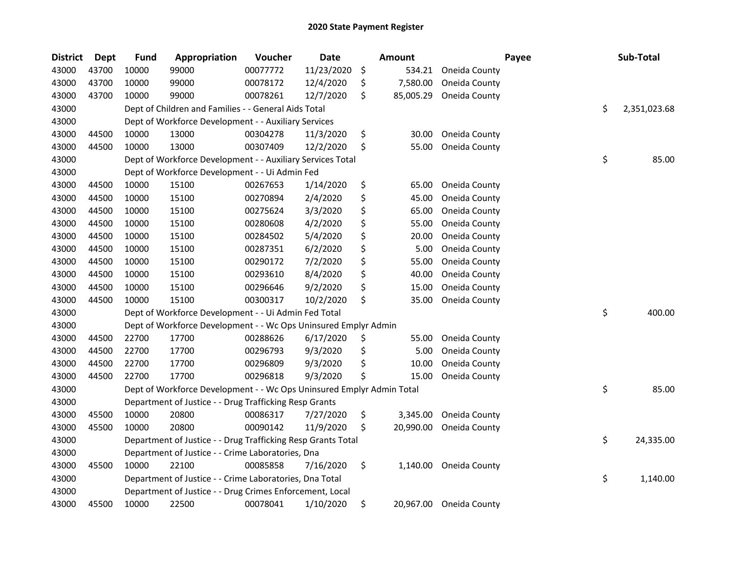| <b>District</b> | Dept  | <b>Fund</b> | Appropriation                                                         | Voucher  | <b>Date</b> | <b>Amount</b>   |                         | Payee | Sub-Total          |
|-----------------|-------|-------------|-----------------------------------------------------------------------|----------|-------------|-----------------|-------------------------|-------|--------------------|
| 43000           | 43700 | 10000       | 99000                                                                 | 00077772 | 11/23/2020  | \$<br>534.21    | Oneida County           |       |                    |
| 43000           | 43700 | 10000       | 99000                                                                 | 00078172 | 12/4/2020   | \$<br>7,580.00  | Oneida County           |       |                    |
| 43000           | 43700 | 10000       | 99000                                                                 | 00078261 | 12/7/2020   | \$<br>85,005.29 | Oneida County           |       |                    |
| 43000           |       |             | Dept of Children and Families - - General Aids Total                  |          |             |                 |                         |       | \$<br>2,351,023.68 |
| 43000           |       |             | Dept of Workforce Development - - Auxiliary Services                  |          |             |                 |                         |       |                    |
| 43000           | 44500 | 10000       | 13000                                                                 | 00304278 | 11/3/2020   | \$<br>30.00     | Oneida County           |       |                    |
| 43000           | 44500 | 10000       | 13000                                                                 | 00307409 | 12/2/2020   | \$<br>55.00     | Oneida County           |       |                    |
| 43000           |       |             | Dept of Workforce Development - - Auxiliary Services Total            |          |             |                 |                         |       | \$<br>85.00        |
| 43000           |       |             | Dept of Workforce Development - - Ui Admin Fed                        |          |             |                 |                         |       |                    |
| 43000           | 44500 | 10000       | 15100                                                                 | 00267653 | 1/14/2020   | \$<br>65.00     | Oneida County           |       |                    |
| 43000           | 44500 | 10000       | 15100                                                                 | 00270894 | 2/4/2020    | \$<br>45.00     | Oneida County           |       |                    |
| 43000           | 44500 | 10000       | 15100                                                                 | 00275624 | 3/3/2020    | \$<br>65.00     | Oneida County           |       |                    |
| 43000           | 44500 | 10000       | 15100                                                                 | 00280608 | 4/2/2020    | \$<br>55.00     | Oneida County           |       |                    |
| 43000           | 44500 | 10000       | 15100                                                                 | 00284502 | 5/4/2020    | \$<br>20.00     | Oneida County           |       |                    |
| 43000           | 44500 | 10000       | 15100                                                                 | 00287351 | 6/2/2020    | \$<br>5.00      | Oneida County           |       |                    |
| 43000           | 44500 | 10000       | 15100                                                                 | 00290172 | 7/2/2020    | \$<br>55.00     | Oneida County           |       |                    |
| 43000           | 44500 | 10000       | 15100                                                                 | 00293610 | 8/4/2020    | \$<br>40.00     | Oneida County           |       |                    |
| 43000           | 44500 | 10000       | 15100                                                                 | 00296646 | 9/2/2020    | \$<br>15.00     | Oneida County           |       |                    |
| 43000           | 44500 | 10000       | 15100                                                                 | 00300317 | 10/2/2020   | \$<br>35.00     | Oneida County           |       |                    |
| 43000           |       |             | Dept of Workforce Development - - Ui Admin Fed Total                  |          |             |                 |                         |       | \$<br>400.00       |
| 43000           |       |             | Dept of Workforce Development - - Wc Ops Uninsured Emplyr Admin       |          |             |                 |                         |       |                    |
| 43000           | 44500 | 22700       | 17700                                                                 | 00288626 | 6/17/2020   | \$<br>55.00     | Oneida County           |       |                    |
| 43000           | 44500 | 22700       | 17700                                                                 | 00296793 | 9/3/2020    | \$<br>5.00      | Oneida County           |       |                    |
| 43000           | 44500 | 22700       | 17700                                                                 | 00296809 | 9/3/2020    | \$<br>10.00     | Oneida County           |       |                    |
| 43000           | 44500 | 22700       | 17700                                                                 | 00296818 | 9/3/2020    | \$<br>15.00     | Oneida County           |       |                    |
| 43000           |       |             | Dept of Workforce Development - - Wc Ops Uninsured Emplyr Admin Total |          |             |                 |                         |       | \$<br>85.00        |
| 43000           |       |             | Department of Justice - - Drug Trafficking Resp Grants                |          |             |                 |                         |       |                    |
| 43000           | 45500 | 10000       | 20800                                                                 | 00086317 | 7/27/2020   | \$<br>3,345.00  | Oneida County           |       |                    |
| 43000           | 45500 | 10000       | 20800                                                                 | 00090142 | 11/9/2020   | \$<br>20,990.00 | Oneida County           |       |                    |
| 43000           |       |             | Department of Justice - - Drug Trafficking Resp Grants Total          |          |             |                 |                         |       | \$<br>24,335.00    |
| 43000           |       |             | Department of Justice - - Crime Laboratories, Dna                     |          |             |                 |                         |       |                    |
| 43000           | 45500 | 10000       | 22100                                                                 | 00085858 | 7/16/2020   | \$<br>1,140.00  | Oneida County           |       |                    |
| 43000           |       |             | Department of Justice - - Crime Laboratories, Dna Total               |          |             |                 |                         |       | \$<br>1,140.00     |
| 43000           |       |             | Department of Justice - - Drug Crimes Enforcement, Local              |          |             |                 |                         |       |                    |
| 43000           | 45500 | 10000       | 22500                                                                 | 00078041 | 1/10/2020   | \$              | 20,967.00 Oneida County |       |                    |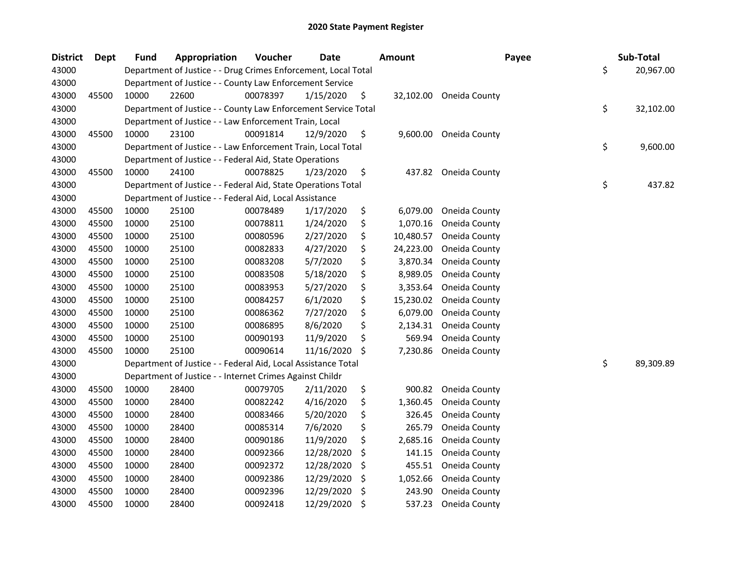| <b>District</b> | <b>Dept</b> | <b>Fund</b> | Appropriation                                                  | Voucher  | <b>Date</b> |    | Amount    | Payee                  | Sub-Total       |
|-----------------|-------------|-------------|----------------------------------------------------------------|----------|-------------|----|-----------|------------------------|-----------------|
| 43000           |             |             | Department of Justice - - Drug Crimes Enforcement, Local Total |          |             |    |           |                        | \$<br>20,967.00 |
| 43000           |             |             | Department of Justice - - County Law Enforcement Service       |          |             |    |           |                        |                 |
| 43000           | 45500       | 10000       | 22600                                                          | 00078397 | 1/15/2020   | \$ | 32,102.00 | Oneida County          |                 |
| 43000           |             |             | Department of Justice - - County Law Enforcement Service Total |          |             |    |           |                        | \$<br>32,102.00 |
| 43000           |             |             | Department of Justice - - Law Enforcement Train, Local         |          |             |    |           |                        |                 |
| 43000           | 45500       | 10000       | 23100                                                          | 00091814 | 12/9/2020   | \$ |           | 9,600.00 Oneida County |                 |
| 43000           |             |             | Department of Justice - - Law Enforcement Train, Local Total   |          |             |    |           |                        | \$<br>9,600.00  |
| 43000           |             |             | Department of Justice - - Federal Aid, State Operations        |          |             |    |           |                        |                 |
| 43000           | 45500       | 10000       | 24100                                                          | 00078825 | 1/23/2020   | \$ | 437.82    | Oneida County          |                 |
| 43000           |             |             | Department of Justice - - Federal Aid, State Operations Total  |          |             |    |           |                        | \$<br>437.82    |
| 43000           |             |             | Department of Justice - - Federal Aid, Local Assistance        |          |             |    |           |                        |                 |
| 43000           | 45500       | 10000       | 25100                                                          | 00078489 | 1/17/2020   | \$ | 6,079.00  | Oneida County          |                 |
| 43000           | 45500       | 10000       | 25100                                                          | 00078811 | 1/24/2020   | \$ | 1,070.16  | Oneida County          |                 |
| 43000           | 45500       | 10000       | 25100                                                          | 00080596 | 2/27/2020   | \$ | 10,480.57 | Oneida County          |                 |
| 43000           | 45500       | 10000       | 25100                                                          | 00082833 | 4/27/2020   | \$ | 24,223.00 | Oneida County          |                 |
| 43000           | 45500       | 10000       | 25100                                                          | 00083208 | 5/7/2020    | \$ | 3,870.34  | Oneida County          |                 |
| 43000           | 45500       | 10000       | 25100                                                          | 00083508 | 5/18/2020   | \$ | 8,989.05  | Oneida County          |                 |
| 43000           | 45500       | 10000       | 25100                                                          | 00083953 | 5/27/2020   | \$ | 3,353.64  | Oneida County          |                 |
| 43000           | 45500       | 10000       | 25100                                                          | 00084257 | 6/1/2020    | \$ | 15,230.02 | Oneida County          |                 |
| 43000           | 45500       | 10000       | 25100                                                          | 00086362 | 7/27/2020   | \$ | 6,079.00  | Oneida County          |                 |
| 43000           | 45500       | 10000       | 25100                                                          | 00086895 | 8/6/2020    | \$ | 2,134.31  | Oneida County          |                 |
| 43000           | 45500       | 10000       | 25100                                                          | 00090193 | 11/9/2020   | \$ | 569.94    | Oneida County          |                 |
| 43000           | 45500       | 10000       | 25100                                                          | 00090614 | 11/16/2020  | \$ | 7,230.86  | Oneida County          |                 |
| 43000           |             |             | Department of Justice - - Federal Aid, Local Assistance Total  |          |             |    |           |                        | \$<br>89,309.89 |
| 43000           |             |             | Department of Justice - - Internet Crimes Against Childr       |          |             |    |           |                        |                 |
| 43000           | 45500       | 10000       | 28400                                                          | 00079705 | 2/11/2020   | \$ | 900.82    | Oneida County          |                 |
| 43000           | 45500       | 10000       | 28400                                                          | 00082242 | 4/16/2020   | \$ | 1,360.45  | Oneida County          |                 |
| 43000           | 45500       | 10000       | 28400                                                          | 00083466 | 5/20/2020   | \$ | 326.45    | Oneida County          |                 |
| 43000           | 45500       | 10000       | 28400                                                          | 00085314 | 7/6/2020    | \$ | 265.79    | Oneida County          |                 |
| 43000           | 45500       | 10000       | 28400                                                          | 00090186 | 11/9/2020   | \$ | 2,685.16  | Oneida County          |                 |
| 43000           | 45500       | 10000       | 28400                                                          | 00092366 | 12/28/2020  | \$ | 141.15    | Oneida County          |                 |
| 43000           | 45500       | 10000       | 28400                                                          | 00092372 | 12/28/2020  | S. | 455.51    | Oneida County          |                 |
| 43000           | 45500       | 10000       | 28400                                                          | 00092386 | 12/29/2020  | \$ | 1,052.66  | Oneida County          |                 |
| 43000           | 45500       | 10000       | 28400                                                          | 00092396 | 12/29/2020  | \$ | 243.90    | Oneida County          |                 |
| 43000           | 45500       | 10000       | 28400                                                          | 00092418 | 12/29/2020  | \$ | 537.23    | Oneida County          |                 |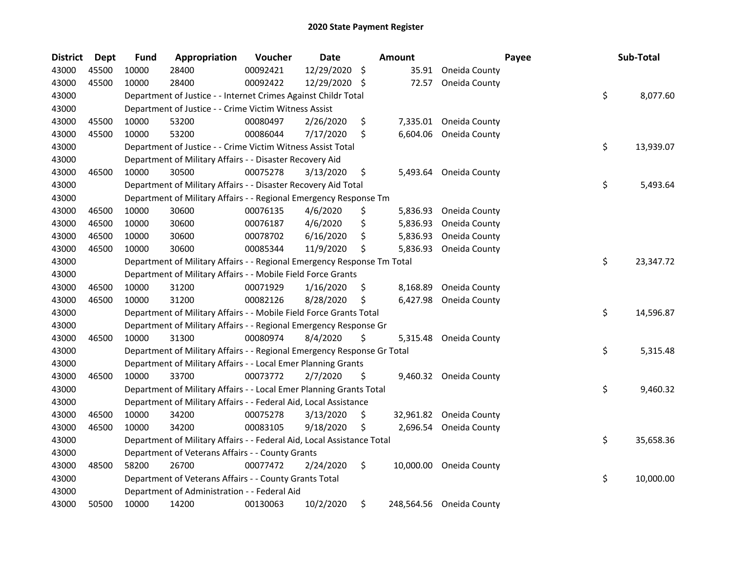| <b>District</b> | <b>Dept</b> | <b>Fund</b> | Appropriation                                                           | Voucher  | <b>Date</b> |     | Amount    |                          | Payee | Sub-Total       |
|-----------------|-------------|-------------|-------------------------------------------------------------------------|----------|-------------|-----|-----------|--------------------------|-------|-----------------|
| 43000           | 45500       | 10000       | 28400                                                                   | 00092421 | 12/29/2020  | \$  | 35.91     | Oneida County            |       |                 |
| 43000           | 45500       | 10000       | 28400                                                                   | 00092422 | 12/29/2020  | -\$ | 72.57     | Oneida County            |       |                 |
| 43000           |             |             | Department of Justice - - Internet Crimes Against Childr Total          |          |             |     |           |                          |       | \$<br>8,077.60  |
| 43000           |             |             | Department of Justice - - Crime Victim Witness Assist                   |          |             |     |           |                          |       |                 |
| 43000           | 45500       | 10000       | 53200                                                                   | 00080497 | 2/26/2020   | \$  |           | 7,335.01 Oneida County   |       |                 |
| 43000           | 45500       | 10000       | 53200                                                                   | 00086044 | 7/17/2020   | \$  | 6,604.06  | Oneida County            |       |                 |
| 43000           |             |             | Department of Justice - - Crime Victim Witness Assist Total             |          |             |     |           |                          |       | \$<br>13,939.07 |
| 43000           |             |             | Department of Military Affairs - - Disaster Recovery Aid                |          |             |     |           |                          |       |                 |
| 43000           | 46500       | 10000       | 30500                                                                   | 00075278 | 3/13/2020   | \$  |           | 5,493.64 Oneida County   |       |                 |
| 43000           |             |             | Department of Military Affairs - - Disaster Recovery Aid Total          |          |             |     |           |                          |       | \$<br>5,493.64  |
| 43000           |             |             | Department of Military Affairs - - Regional Emergency Response Tm       |          |             |     |           |                          |       |                 |
| 43000           | 46500       | 10000       | 30600                                                                   | 00076135 | 4/6/2020    | \$  | 5,836.93  | Oneida County            |       |                 |
| 43000           | 46500       | 10000       | 30600                                                                   | 00076187 | 4/6/2020    | \$  | 5,836.93  | Oneida County            |       |                 |
| 43000           | 46500       | 10000       | 30600                                                                   | 00078702 | 6/16/2020   | \$  | 5,836.93  | Oneida County            |       |                 |
| 43000           | 46500       | 10000       | 30600                                                                   | 00085344 | 11/9/2020   | \$  | 5,836.93  | Oneida County            |       |                 |
| 43000           |             |             | Department of Military Affairs - - Regional Emergency Response Tm Total |          |             |     |           |                          |       | \$<br>23,347.72 |
| 43000           |             |             | Department of Military Affairs - - Mobile Field Force Grants            |          |             |     |           |                          |       |                 |
| 43000           | 46500       | 10000       | 31200                                                                   | 00071929 | 1/16/2020   | \$. | 8,168.89  | Oneida County            |       |                 |
| 43000           | 46500       | 10000       | 31200                                                                   | 00082126 | 8/28/2020   | \$  | 6,427.98  | Oneida County            |       |                 |
| 43000           |             |             | Department of Military Affairs - - Mobile Field Force Grants Total      |          |             |     |           |                          |       | \$<br>14,596.87 |
| 43000           |             |             | Department of Military Affairs - - Regional Emergency Response Gr       |          |             |     |           |                          |       |                 |
| 43000           | 46500       | 10000       | 31300                                                                   | 00080974 | 8/4/2020    | \$  | 5,315.48  | Oneida County            |       |                 |
| 43000           |             |             | Department of Military Affairs - - Regional Emergency Response Gr Total |          |             |     |           |                          |       | \$<br>5,315.48  |
| 43000           |             |             | Department of Military Affairs - - Local Emer Planning Grants           |          |             |     |           |                          |       |                 |
| 43000           | 46500       | 10000       | 33700                                                                   | 00073772 | 2/7/2020    | \$  |           | 9,460.32 Oneida County   |       |                 |
| 43000           |             |             | Department of Military Affairs - - Local Emer Planning Grants Total     |          |             |     |           |                          |       | \$<br>9,460.32  |
| 43000           |             |             | Department of Military Affairs - - Federal Aid, Local Assistance        |          |             |     |           |                          |       |                 |
| 43000           | 46500       | 10000       | 34200                                                                   | 00075278 | 3/13/2020   | \$. | 32,961.82 | Oneida County            |       |                 |
| 43000           | 46500       | 10000       | 34200                                                                   | 00083105 | 9/18/2020   | \$  | 2,696.54  | Oneida County            |       |                 |
| 43000           |             |             | Department of Military Affairs - - Federal Aid, Local Assistance Total  |          |             |     |           |                          |       | \$<br>35,658.36 |
| 43000           |             |             | Department of Veterans Affairs - - County Grants                        |          |             |     |           |                          |       |                 |
| 43000           | 48500       | 58200       | 26700                                                                   | 00077472 | 2/24/2020   | \$  | 10,000.00 | Oneida County            |       |                 |
| 43000           |             |             | Department of Veterans Affairs - - County Grants Total                  |          |             |     |           |                          |       | \$<br>10,000.00 |
| 43000           |             |             | Department of Administration - - Federal Aid                            |          |             |     |           |                          |       |                 |
| 43000           | 50500       | 10000       | 14200                                                                   | 00130063 | 10/2/2020   | \$  |           | 248,564.56 Oneida County |       |                 |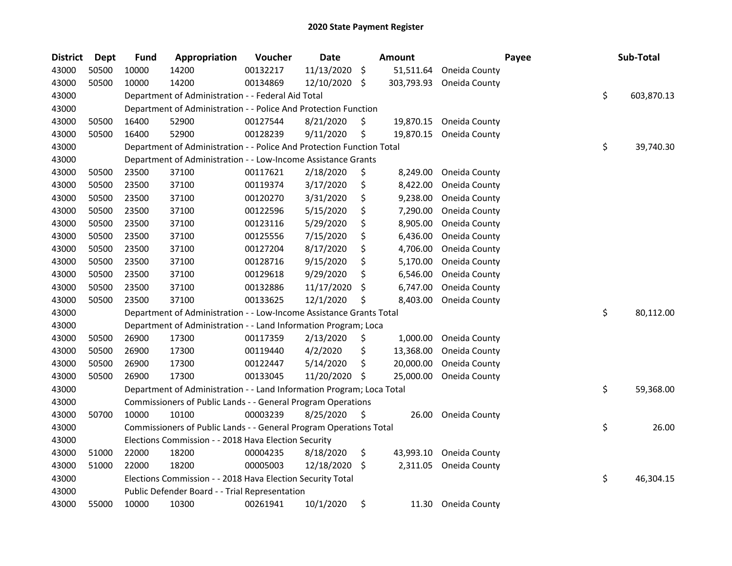| <b>District</b> | <b>Dept</b> | <b>Fund</b> | Appropriation                                                         | Voucher  | <b>Date</b> |     | Amount     |               | Payee | Sub-Total        |
|-----------------|-------------|-------------|-----------------------------------------------------------------------|----------|-------------|-----|------------|---------------|-------|------------------|
| 43000           | 50500       | 10000       | 14200                                                                 | 00132217 | 11/13/2020  | \$  | 51,511.64  | Oneida County |       |                  |
| 43000           | 50500       | 10000       | 14200                                                                 | 00134869 | 12/10/2020  | \$  | 303,793.93 | Oneida County |       |                  |
| 43000           |             |             | Department of Administration - - Federal Aid Total                    |          |             |     |            |               |       | \$<br>603,870.13 |
| 43000           |             |             | Department of Administration - - Police And Protection Function       |          |             |     |            |               |       |                  |
| 43000           | 50500       | 16400       | 52900                                                                 | 00127544 | 8/21/2020   | \$  | 19,870.15  | Oneida County |       |                  |
| 43000           | 50500       | 16400       | 52900                                                                 | 00128239 | 9/11/2020   | \$  | 19,870.15  | Oneida County |       |                  |
| 43000           |             |             | Department of Administration - - Police And Protection Function Total |          |             |     |            |               |       | \$<br>39,740.30  |
| 43000           |             |             | Department of Administration - - Low-Income Assistance Grants         |          |             |     |            |               |       |                  |
| 43000           | 50500       | 23500       | 37100                                                                 | 00117621 | 2/18/2020   | \$  | 8,249.00   | Oneida County |       |                  |
| 43000           | 50500       | 23500       | 37100                                                                 | 00119374 | 3/17/2020   | \$  | 8,422.00   | Oneida County |       |                  |
| 43000           | 50500       | 23500       | 37100                                                                 | 00120270 | 3/31/2020   | \$  | 9,238.00   | Oneida County |       |                  |
| 43000           | 50500       | 23500       | 37100                                                                 | 00122596 | 5/15/2020   | \$  | 7,290.00   | Oneida County |       |                  |
| 43000           | 50500       | 23500       | 37100                                                                 | 00123116 | 5/29/2020   | \$  | 8,905.00   | Oneida County |       |                  |
| 43000           | 50500       | 23500       | 37100                                                                 | 00125556 | 7/15/2020   | \$  | 6,436.00   | Oneida County |       |                  |
| 43000           | 50500       | 23500       | 37100                                                                 | 00127204 | 8/17/2020   | \$  | 4,706.00   | Oneida County |       |                  |
| 43000           | 50500       | 23500       | 37100                                                                 | 00128716 | 9/15/2020   | \$  | 5,170.00   | Oneida County |       |                  |
| 43000           | 50500       | 23500       | 37100                                                                 | 00129618 | 9/29/2020   | \$  | 6,546.00   | Oneida County |       |                  |
| 43000           | 50500       | 23500       | 37100                                                                 | 00132886 | 11/17/2020  | \$  | 6,747.00   | Oneida County |       |                  |
| 43000           | 50500       | 23500       | 37100                                                                 | 00133625 | 12/1/2020   | \$  | 8,403.00   | Oneida County |       |                  |
| 43000           |             |             | Department of Administration - - Low-Income Assistance Grants Total   |          |             |     |            |               |       | \$<br>80,112.00  |
| 43000           |             |             | Department of Administration - - Land Information Program; Loca       |          |             |     |            |               |       |                  |
| 43000           | 50500       | 26900       | 17300                                                                 | 00117359 | 2/13/2020   | \$  | 1,000.00   | Oneida County |       |                  |
| 43000           | 50500       | 26900       | 17300                                                                 | 00119440 | 4/2/2020    | \$  | 13,368.00  | Oneida County |       |                  |
| 43000           | 50500       | 26900       | 17300                                                                 | 00122447 | 5/14/2020   | \$  | 20,000.00  | Oneida County |       |                  |
| 43000           | 50500       | 26900       | 17300                                                                 | 00133045 | 11/20/2020  | \$  | 25,000.00  | Oneida County |       |                  |
| 43000           |             |             | Department of Administration - - Land Information Program; Loca Total |          |             |     |            |               |       | \$<br>59,368.00  |
| 43000           |             |             | Commissioners of Public Lands - - General Program Operations          |          |             |     |            |               |       |                  |
| 43000           | 50700       | 10000       | 10100                                                                 | 00003239 | 8/25/2020   | \$. | 26.00      | Oneida County |       |                  |
| 43000           |             |             | Commissioners of Public Lands - - General Program Operations Total    |          |             |     |            |               |       | \$<br>26.00      |
| 43000           |             |             | Elections Commission - - 2018 Hava Election Security                  |          |             |     |            |               |       |                  |
| 43000           | 51000       | 22000       | 18200                                                                 | 00004235 | 8/18/2020   | \$  | 43,993.10  | Oneida County |       |                  |
| 43000           | 51000       | 22000       | 18200                                                                 | 00005003 | 12/18/2020  | \$  | 2,311.05   | Oneida County |       |                  |
| 43000           |             |             | Elections Commission - - 2018 Hava Election Security Total            |          |             |     |            |               |       | \$<br>46,304.15  |
| 43000           |             |             | Public Defender Board - - Trial Representation                        |          |             |     |            |               |       |                  |
| 43000           | 55000       | 10000       | 10300                                                                 | 00261941 | 10/1/2020   | \$  | 11.30      | Oneida County |       |                  |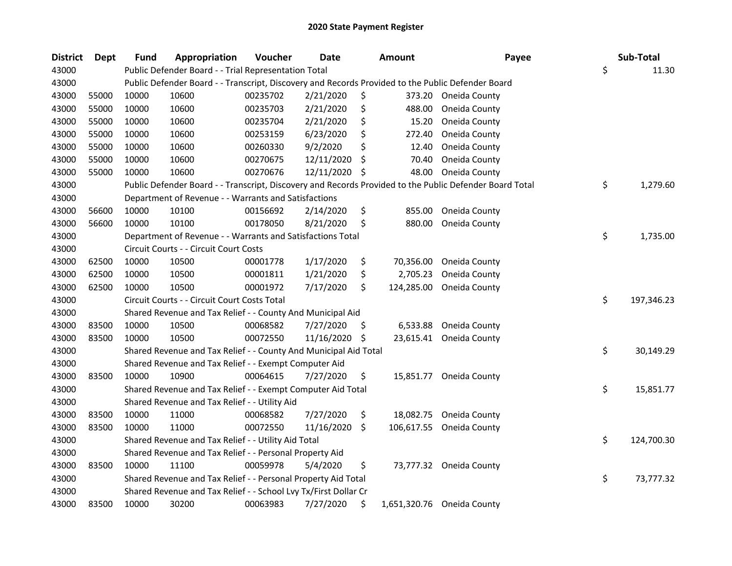| <b>District</b> | <b>Dept</b> | Fund  | Appropriation                                                                                     | Voucher  | <b>Date</b> |     | <b>Amount</b> | Payee                                                                                                   | Sub-Total        |
|-----------------|-------------|-------|---------------------------------------------------------------------------------------------------|----------|-------------|-----|---------------|---------------------------------------------------------------------------------------------------------|------------------|
| 43000           |             |       | Public Defender Board - - Trial Representation Total                                              |          |             |     |               |                                                                                                         | \$<br>11.30      |
| 43000           |             |       | Public Defender Board - - Transcript, Discovery and Records Provided to the Public Defender Board |          |             |     |               |                                                                                                         |                  |
| 43000           | 55000       | 10000 | 10600                                                                                             | 00235702 | 2/21/2020   | \$  |               | 373.20 Oneida County                                                                                    |                  |
| 43000           | 55000       | 10000 | 10600                                                                                             | 00235703 | 2/21/2020   | \$  | 488.00        | Oneida County                                                                                           |                  |
| 43000           | 55000       | 10000 | 10600                                                                                             | 00235704 | 2/21/2020   | \$  | 15.20         | Oneida County                                                                                           |                  |
| 43000           | 55000       | 10000 | 10600                                                                                             | 00253159 | 6/23/2020   | \$  | 272.40        | Oneida County                                                                                           |                  |
| 43000           | 55000       | 10000 | 10600                                                                                             | 00260330 | 9/2/2020    | \$  | 12.40         | Oneida County                                                                                           |                  |
| 43000           | 55000       | 10000 | 10600                                                                                             | 00270675 | 12/11/2020  | \$  | 70.40         | Oneida County                                                                                           |                  |
| 43000           | 55000       | 10000 | 10600                                                                                             | 00270676 | 12/11/2020  | \$  | 48.00         | Oneida County                                                                                           |                  |
| 43000           |             |       |                                                                                                   |          |             |     |               | Public Defender Board - - Transcript, Discovery and Records Provided to the Public Defender Board Total | \$<br>1,279.60   |
| 43000           |             |       | Department of Revenue - - Warrants and Satisfactions                                              |          |             |     |               |                                                                                                         |                  |
| 43000           | 56600       | 10000 | 10100                                                                                             | 00156692 | 2/14/2020   | \$  | 855.00        | Oneida County                                                                                           |                  |
| 43000           | 56600       | 10000 | 10100                                                                                             | 00178050 | 8/21/2020   | \$  | 880.00        | Oneida County                                                                                           |                  |
| 43000           |             |       | Department of Revenue - - Warrants and Satisfactions Total                                        |          |             |     |               |                                                                                                         | \$<br>1,735.00   |
| 43000           |             |       | Circuit Courts - - Circuit Court Costs                                                            |          |             |     |               |                                                                                                         |                  |
| 43000           | 62500       | 10000 | 10500                                                                                             | 00001778 | 1/17/2020   | \$  | 70,356.00     | Oneida County                                                                                           |                  |
| 43000           | 62500       | 10000 | 10500                                                                                             | 00001811 | 1/21/2020   | \$  | 2,705.23      | Oneida County                                                                                           |                  |
| 43000           | 62500       | 10000 | 10500                                                                                             | 00001972 | 7/17/2020   | \$  | 124,285.00    | Oneida County                                                                                           |                  |
| 43000           |             |       | Circuit Courts - - Circuit Court Costs Total                                                      |          |             |     |               |                                                                                                         | \$<br>197,346.23 |
| 43000           |             |       | Shared Revenue and Tax Relief - - County And Municipal Aid                                        |          |             |     |               |                                                                                                         |                  |
| 43000           | 83500       | 10000 | 10500                                                                                             | 00068582 | 7/27/2020   | \$. | 6,533.88      | Oneida County                                                                                           |                  |
| 43000           | 83500       | 10000 | 10500                                                                                             | 00072550 | 11/16/2020  | S   | 23,615.41     | Oneida County                                                                                           |                  |
| 43000           |             |       | Shared Revenue and Tax Relief - - County And Municipal Aid Total                                  |          |             |     |               |                                                                                                         | \$<br>30,149.29  |
| 43000           |             |       | Shared Revenue and Tax Relief - - Exempt Computer Aid                                             |          |             |     |               |                                                                                                         |                  |
| 43000           | 83500       | 10000 | 10900                                                                                             | 00064615 | 7/27/2020   | \$  | 15,851.77     | Oneida County                                                                                           |                  |
| 43000           |             |       | Shared Revenue and Tax Relief - - Exempt Computer Aid Total                                       |          |             |     |               |                                                                                                         | \$<br>15,851.77  |
| 43000           |             |       | Shared Revenue and Tax Relief - - Utility Aid                                                     |          |             |     |               |                                                                                                         |                  |
| 43000           | 83500       | 10000 | 11000                                                                                             | 00068582 | 7/27/2020   | \$  | 18,082.75     | Oneida County                                                                                           |                  |
| 43000           | 83500       | 10000 | 11000                                                                                             | 00072550 | 11/16/2020  | \$. | 106,617.55    | Oneida County                                                                                           |                  |
| 43000           |             |       | Shared Revenue and Tax Relief - - Utility Aid Total                                               |          |             |     |               |                                                                                                         | \$<br>124,700.30 |
| 43000           |             |       | Shared Revenue and Tax Relief - - Personal Property Aid                                           |          |             |     |               |                                                                                                         |                  |
| 43000           | 83500       | 10000 | 11100                                                                                             | 00059978 | 5/4/2020    | \$  |               | 73,777.32 Oneida County                                                                                 |                  |
| 43000           |             |       | Shared Revenue and Tax Relief - - Personal Property Aid Total                                     |          |             |     |               |                                                                                                         | \$<br>73,777.32  |
| 43000           |             |       | Shared Revenue and Tax Relief - - School Lvy Tx/First Dollar Cr                                   |          |             |     |               |                                                                                                         |                  |
| 43000           | 83500       | 10000 | 30200                                                                                             | 00063983 | 7/27/2020   | \$  |               | 1,651,320.76 Oneida County                                                                              |                  |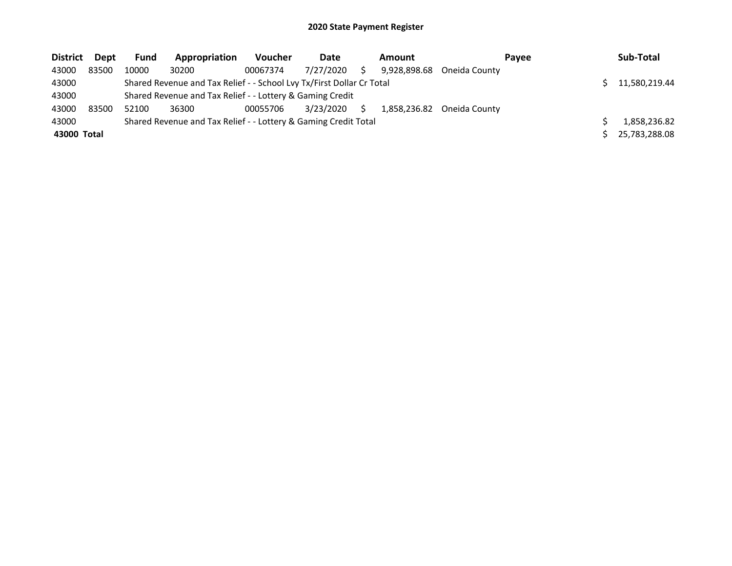| <b>District</b> | Dept  | <b>Fund</b> | Appropriation                                                         | <b>Voucher</b> | Date      |   | Amount       | Pavee         | Sub-Total     |
|-----------------|-------|-------------|-----------------------------------------------------------------------|----------------|-----------|---|--------------|---------------|---------------|
| 43000           | 83500 | 10000       | 30200                                                                 | 00067374       | 7/27/2020 |   | 9.928.898.68 | Oneida County |               |
| 43000           |       |             | Shared Revenue and Tax Relief - - School Lvy Tx/First Dollar Cr Total |                |           |   |              |               | 11,580,219.44 |
| 43000           |       |             | Shared Revenue and Tax Relief - - Lottery & Gaming Credit             |                |           |   |              |               |               |
| 43000           | 83500 | 52100       | 36300                                                                 | 00055706       | 3/23/2020 | S | 1,858,236.82 | Oneida County |               |
| 43000           |       |             | Shared Revenue and Tax Relief - - Lottery & Gaming Credit Total       |                |           |   |              |               | 1,858,236.82  |
| 43000 Total     |       |             |                                                                       |                |           |   |              |               | 25,783,288.08 |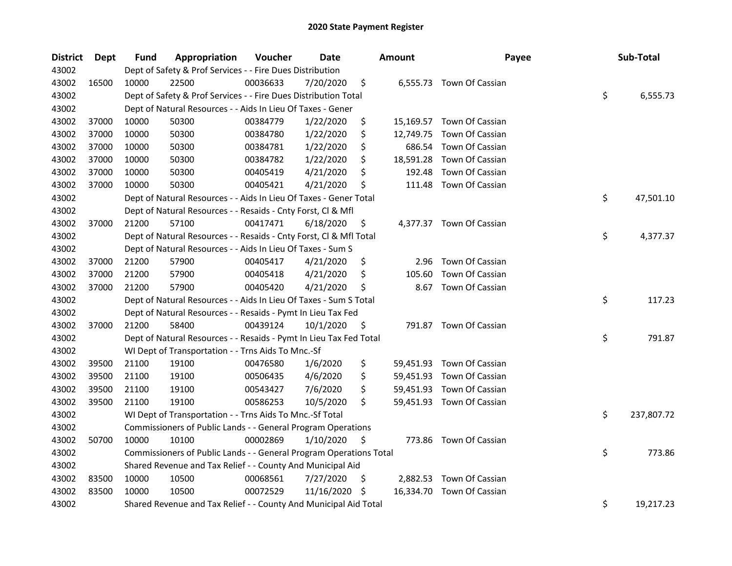| <b>District</b> | Dept  | Fund  | Appropriation                                                      | Voucher  | <b>Date</b> |     | <b>Amount</b> | Payee                     | Sub-Total        |
|-----------------|-------|-------|--------------------------------------------------------------------|----------|-------------|-----|---------------|---------------------------|------------------|
| 43002           |       |       | Dept of Safety & Prof Services - - Fire Dues Distribution          |          |             |     |               |                           |                  |
| 43002           | 16500 | 10000 | 22500                                                              | 00036633 | 7/20/2020   | \$  |               | 6,555.73 Town Of Cassian  |                  |
| 43002           |       |       | Dept of Safety & Prof Services - - Fire Dues Distribution Total    |          |             |     |               |                           | \$<br>6,555.73   |
| 43002           |       |       | Dept of Natural Resources - - Aids In Lieu Of Taxes - Gener        |          |             |     |               |                           |                  |
| 43002           | 37000 | 10000 | 50300                                                              | 00384779 | 1/22/2020   | \$  |               | 15,169.57 Town Of Cassian |                  |
| 43002           | 37000 | 10000 | 50300                                                              | 00384780 | 1/22/2020   | \$  | 12,749.75     | Town Of Cassian           |                  |
| 43002           | 37000 | 10000 | 50300                                                              | 00384781 | 1/22/2020   | \$  |               | 686.54 Town Of Cassian    |                  |
| 43002           | 37000 | 10000 | 50300                                                              | 00384782 | 1/22/2020   | \$  |               | 18,591.28 Town Of Cassian |                  |
| 43002           | 37000 | 10000 | 50300                                                              | 00405419 | 4/21/2020   | \$  | 192.48        | Town Of Cassian           |                  |
| 43002           | 37000 | 10000 | 50300                                                              | 00405421 | 4/21/2020   | \$  | 111.48        | Town Of Cassian           |                  |
| 43002           |       |       | Dept of Natural Resources - - Aids In Lieu Of Taxes - Gener Total  |          |             |     |               |                           | \$<br>47,501.10  |
| 43002           |       |       | Dept of Natural Resources - - Resaids - Cnty Forst, Cl & Mfl       |          |             |     |               |                           |                  |
| 43002           | 37000 | 21200 | 57100                                                              | 00417471 | 6/18/2020   | \$  |               | 4,377.37 Town Of Cassian  |                  |
| 43002           |       |       | Dept of Natural Resources - - Resaids - Cnty Forst, Cl & Mfl Total |          |             |     |               |                           | \$<br>4,377.37   |
| 43002           |       |       | Dept of Natural Resources - - Aids In Lieu Of Taxes - Sum S        |          |             |     |               |                           |                  |
| 43002           | 37000 | 21200 | 57900                                                              | 00405417 | 4/21/2020   | \$  | 2.96          | Town Of Cassian           |                  |
| 43002           | 37000 | 21200 | 57900                                                              | 00405418 | 4/21/2020   | \$, | 105.60        | Town Of Cassian           |                  |
| 43002           | 37000 | 21200 | 57900                                                              | 00405420 | 4/21/2020   | \$  | 8.67          | Town Of Cassian           |                  |
| 43002           |       |       | Dept of Natural Resources - - Aids In Lieu Of Taxes - Sum S Total  |          |             |     |               |                           | \$<br>117.23     |
| 43002           |       |       | Dept of Natural Resources - - Resaids - Pymt In Lieu Tax Fed       |          |             |     |               |                           |                  |
| 43002           | 37000 | 21200 | 58400                                                              | 00439124 | 10/1/2020   | \$  |               | 791.87 Town Of Cassian    |                  |
| 43002           |       |       | Dept of Natural Resources - - Resaids - Pymt In Lieu Tax Fed Total |          |             |     |               |                           | \$<br>791.87     |
| 43002           |       |       | WI Dept of Transportation - - Trns Aids To Mnc.-Sf                 |          |             |     |               |                           |                  |
| 43002           | 39500 | 21100 | 19100                                                              | 00476580 | 1/6/2020    | \$  |               | 59,451.93 Town Of Cassian |                  |
| 43002           | 39500 | 21100 | 19100                                                              | 00506435 | 4/6/2020    | \$  |               | 59,451.93 Town Of Cassian |                  |
| 43002           | 39500 | 21100 | 19100                                                              | 00543427 | 7/6/2020    | \$  |               | 59,451.93 Town Of Cassian |                  |
| 43002           | 39500 | 21100 | 19100                                                              | 00586253 | 10/5/2020   | \$  |               | 59,451.93 Town Of Cassian |                  |
| 43002           |       |       | WI Dept of Transportation - - Trns Aids To Mnc.-Sf Total           |          |             |     |               |                           | \$<br>237,807.72 |
| 43002           |       |       | Commissioners of Public Lands - - General Program Operations       |          |             |     |               |                           |                  |
| 43002           | 50700 | 10000 | 10100                                                              | 00002869 | 1/10/2020   | \$  |               | 773.86 Town Of Cassian    |                  |
| 43002           |       |       | Commissioners of Public Lands - - General Program Operations Total |          |             |     |               |                           | \$<br>773.86     |
| 43002           |       |       | Shared Revenue and Tax Relief - - County And Municipal Aid         |          |             |     |               |                           |                  |
| 43002           | 83500 | 10000 | 10500                                                              | 00068561 | 7/27/2020   | \$  |               | 2,882.53 Town Of Cassian  |                  |
| 43002           | 83500 | 10000 | 10500                                                              | 00072529 | 11/16/2020  | -S  |               | 16,334.70 Town Of Cassian |                  |
| 43002           |       |       | Shared Revenue and Tax Relief - - County And Municipal Aid Total   |          |             |     |               |                           | \$<br>19,217.23  |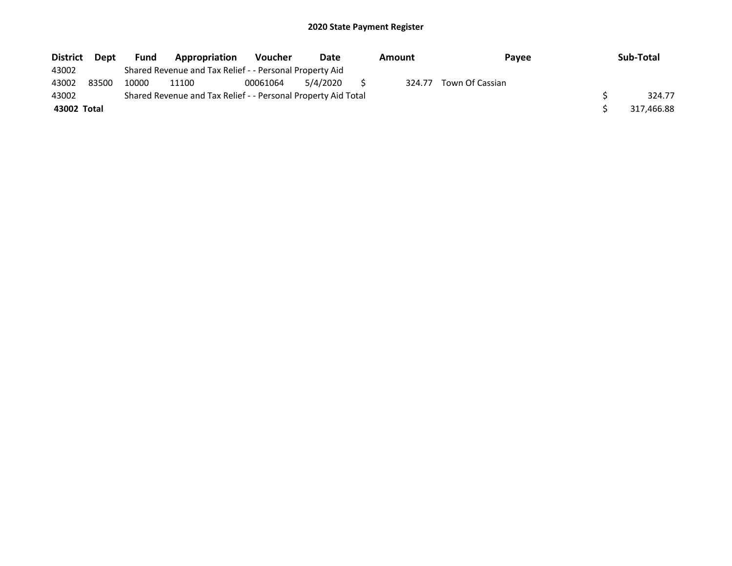| <b>District</b> | <b>Dept</b> | <b>Fund</b> | <b>Appropriation</b>                                          | <b>Voucher</b> | Date     | Amount | <b>Pavee</b>    | Sub-Total  |
|-----------------|-------------|-------------|---------------------------------------------------------------|----------------|----------|--------|-----------------|------------|
| 43002           |             |             | Shared Revenue and Tax Relief - - Personal Property Aid       |                |          |        |                 |            |
| 43002           | 83500       | 10000       | 11100                                                         | 00061064       | 5/4/2020 | 324.77 | Town Of Cassian |            |
| 43002           |             |             | Shared Revenue and Tax Relief - - Personal Property Aid Total |                |          |        |                 | 324.77     |
| 43002 Total     |             |             |                                                               |                |          |        |                 | 317,466.88 |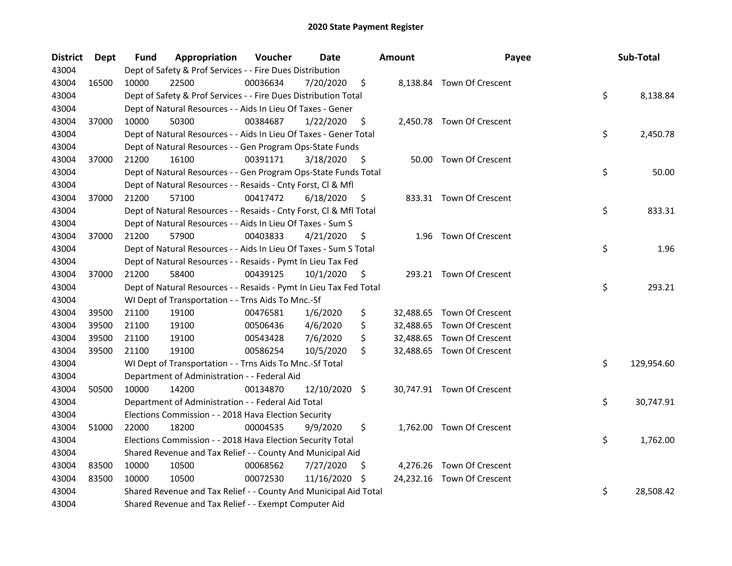| <b>District</b> | <b>Dept</b> | Fund  | Appropriation                                                      | Voucher  | <b>Date</b>   |     | <b>Amount</b> | Payee                      | Sub-Total        |
|-----------------|-------------|-------|--------------------------------------------------------------------|----------|---------------|-----|---------------|----------------------------|------------------|
| 43004           |             |       | Dept of Safety & Prof Services - - Fire Dues Distribution          |          |               |     |               |                            |                  |
| 43004           | 16500       | 10000 | 22500                                                              | 00036634 | 7/20/2020     | \$  |               | 8,138.84 Town Of Crescent  |                  |
| 43004           |             |       | Dept of Safety & Prof Services - - Fire Dues Distribution Total    |          |               |     |               |                            | \$<br>8,138.84   |
| 43004           |             |       | Dept of Natural Resources - - Aids In Lieu Of Taxes - Gener        |          |               |     |               |                            |                  |
| 43004           | 37000       | 10000 | 50300                                                              | 00384687 | 1/22/2020     | \$  |               | 2,450.78 Town Of Crescent  |                  |
| 43004           |             |       | Dept of Natural Resources - - Aids In Lieu Of Taxes - Gener Total  |          |               |     |               |                            | \$<br>2,450.78   |
| 43004           |             |       | Dept of Natural Resources - - Gen Program Ops-State Funds          |          |               |     |               |                            |                  |
| 43004           | 37000       | 21200 | 16100                                                              | 00391171 | 3/18/2020     | \$  |               | 50.00 Town Of Crescent     |                  |
| 43004           |             |       | Dept of Natural Resources - - Gen Program Ops-State Funds Total    |          |               |     |               |                            | \$<br>50.00      |
| 43004           |             |       | Dept of Natural Resources - - Resaids - Cnty Forst, Cl & Mfl       |          |               |     |               |                            |                  |
| 43004           | 37000       | 21200 | 57100                                                              | 00417472 | 6/18/2020     | \$  |               | 833.31 Town Of Crescent    |                  |
| 43004           |             |       | Dept of Natural Resources - - Resaids - Cnty Forst, Cl & Mfl Total |          |               |     |               |                            | \$<br>833.31     |
| 43004           |             |       | Dept of Natural Resources - - Aids In Lieu Of Taxes - Sum S        |          |               |     |               |                            |                  |
| 43004           | 37000       | 21200 | 57900                                                              | 00403833 | 4/21/2020     | \$. |               | 1.96 Town Of Crescent      |                  |
| 43004           |             |       | Dept of Natural Resources - - Aids In Lieu Of Taxes - Sum S Total  |          |               |     |               |                            | \$<br>1.96       |
| 43004           |             |       | Dept of Natural Resources - - Resaids - Pymt In Lieu Tax Fed       |          |               |     |               |                            |                  |
| 43004           | 37000       | 21200 | 58400                                                              | 00439125 | 10/1/2020     | \$  |               | 293.21 Town Of Crescent    |                  |
| 43004           |             |       | Dept of Natural Resources - - Resaids - Pymt In Lieu Tax Fed Total |          |               |     |               |                            | \$<br>293.21     |
| 43004           |             |       | WI Dept of Transportation - - Trns Aids To Mnc.-Sf                 |          |               |     |               |                            |                  |
| 43004           | 39500       | 21100 | 19100                                                              | 00476581 | 1/6/2020      | \$  |               | 32,488.65 Town Of Crescent |                  |
| 43004           | 39500       | 21100 | 19100                                                              | 00506436 | 4/6/2020      | \$  |               | 32,488.65 Town Of Crescent |                  |
| 43004           | 39500       | 21100 | 19100                                                              | 00543428 | 7/6/2020      | \$  |               | 32,488.65 Town Of Crescent |                  |
| 43004           | 39500       | 21100 | 19100                                                              | 00586254 | 10/5/2020     | \$  |               | 32,488.65 Town Of Crescent |                  |
| 43004           |             |       | WI Dept of Transportation - - Trns Aids To Mnc.-Sf Total           |          |               |     |               |                            | \$<br>129,954.60 |
| 43004           |             |       | Department of Administration - - Federal Aid                       |          |               |     |               |                            |                  |
| 43004           | 50500       | 10000 | 14200                                                              | 00134870 | 12/10/2020 \$ |     |               | 30,747.91 Town Of Crescent |                  |
| 43004           |             |       | Department of Administration - - Federal Aid Total                 |          |               |     |               |                            | \$<br>30,747.91  |
| 43004           |             |       | Elections Commission - - 2018 Hava Election Security               |          |               |     |               |                            |                  |
| 43004           | 51000       | 22000 | 18200                                                              | 00004535 | 9/9/2020      | \$  |               | 1,762.00 Town Of Crescent  |                  |
| 43004           |             |       | Elections Commission - - 2018 Hava Election Security Total         |          |               |     |               |                            | \$<br>1,762.00   |
| 43004           |             |       | Shared Revenue and Tax Relief - - County And Municipal Aid         |          |               |     |               |                            |                  |
| 43004           | 83500       | 10000 | 10500                                                              | 00068562 | 7/27/2020     | S   |               | 4,276.26 Town Of Crescent  |                  |
| 43004           | 83500       | 10000 | 10500                                                              | 00072530 | 11/16/2020    | S   |               | 24,232.16 Town Of Crescent |                  |
| 43004           |             |       | Shared Revenue and Tax Relief - - County And Municipal Aid Total   |          |               |     |               |                            | \$<br>28,508.42  |
| 43004           |             |       | Shared Revenue and Tax Relief - - Exempt Computer Aid              |          |               |     |               |                            |                  |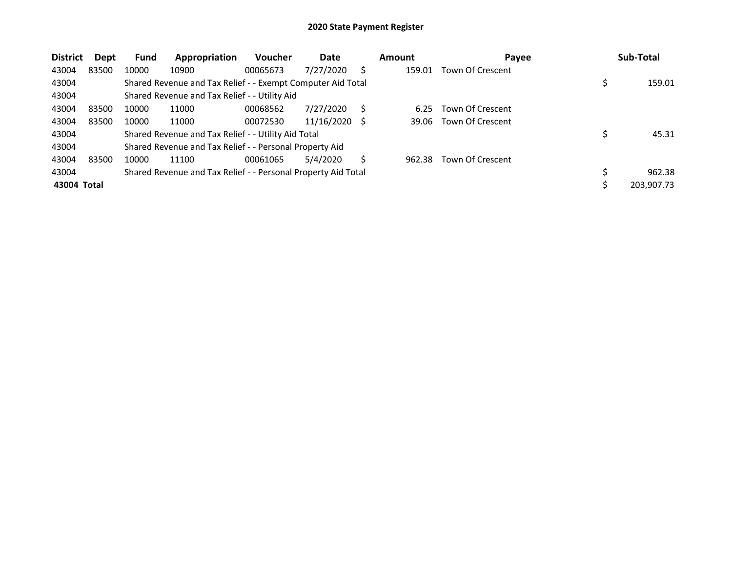| <b>District</b> | Dept  | <b>Fund</b> | Appropriation                                                 | <b>Voucher</b> | Date       |     | <b>Amount</b> | Payee            | Sub-Total    |
|-----------------|-------|-------------|---------------------------------------------------------------|----------------|------------|-----|---------------|------------------|--------------|
| 43004           | 83500 | 10000       | 10900                                                         | 00065673       | 7/27/2020  | S   | 159.01        | Town Of Crescent |              |
| 43004           |       |             | Shared Revenue and Tax Relief - - Exempt Computer Aid Total   |                |            |     |               |                  | 159.01       |
| 43004           |       |             | Shared Revenue and Tax Relief - - Utility Aid                 |                |            |     |               |                  |              |
| 43004           | 83500 | 10000       | 11000                                                         | 00068562       | 7/27/2020  | Ś   | 6.25          | Town Of Crescent |              |
| 43004           | 83500 | 10000       | 11000                                                         | 00072530       | 11/16/2020 | - S | 39.06         | Town Of Crescent |              |
| 43004           |       |             | Shared Revenue and Tax Relief - - Utility Aid Total           |                |            |     |               |                  | 45.31        |
| 43004           |       |             | Shared Revenue and Tax Relief - - Personal Property Aid       |                |            |     |               |                  |              |
| 43004           | 83500 | 10000       | 11100                                                         | 00061065       | 5/4/2020   | S   | 962.38        | Town Of Crescent |              |
| 43004           |       |             | Shared Revenue and Tax Relief - - Personal Property Aid Total |                |            |     |               |                  | \$<br>962.38 |
| 43004 Total     |       |             |                                                               |                |            |     |               |                  | 203,907.73   |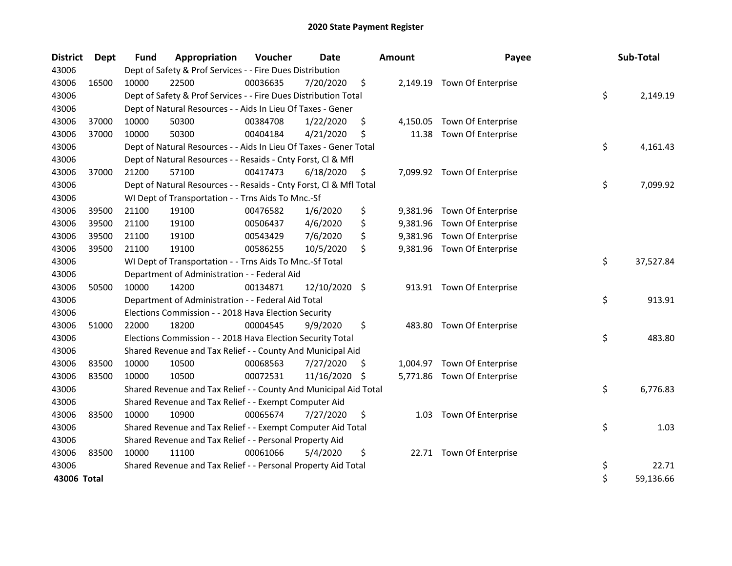| <b>District</b> | <b>Dept</b> | <b>Fund</b> | Appropriation                                                      | Voucher  | <b>Date</b>   |     | <b>Amount</b> | Payee                       | Sub-Total       |
|-----------------|-------------|-------------|--------------------------------------------------------------------|----------|---------------|-----|---------------|-----------------------------|-----------------|
| 43006           |             |             | Dept of Safety & Prof Services - - Fire Dues Distribution          |          |               |     |               |                             |                 |
| 43006           | 16500       | 10000       | 22500                                                              | 00036635 | 7/20/2020     | \$  |               | 2,149.19 Town Of Enterprise |                 |
| 43006           |             |             | Dept of Safety & Prof Services - - Fire Dues Distribution Total    |          |               |     |               |                             | \$<br>2,149.19  |
| 43006           |             |             | Dept of Natural Resources - - Aids In Lieu Of Taxes - Gener        |          |               |     |               |                             |                 |
| 43006           | 37000       | 10000       | 50300                                                              | 00384708 | 1/22/2020     | \$  | 4,150.05      | Town Of Enterprise          |                 |
| 43006           | 37000       | 10000       | 50300                                                              | 00404184 | 4/21/2020     | \$  | 11.38         | Town Of Enterprise          |                 |
| 43006           |             |             | Dept of Natural Resources - - Aids In Lieu Of Taxes - Gener Total  |          |               |     |               |                             | \$<br>4,161.43  |
| 43006           |             |             | Dept of Natural Resources - - Resaids - Cnty Forst, Cl & Mfl       |          |               |     |               |                             |                 |
| 43006           | 37000       | 21200       | 57100                                                              | 00417473 | 6/18/2020     | \$  |               | 7,099.92 Town Of Enterprise |                 |
| 43006           |             |             | Dept of Natural Resources - - Resaids - Cnty Forst, Cl & Mfl Total |          |               |     |               |                             | \$<br>7,099.92  |
| 43006           |             |             | WI Dept of Transportation - - Trns Aids To Mnc.-Sf                 |          |               |     |               |                             |                 |
| 43006           | 39500       | 21100       | 19100                                                              | 00476582 | 1/6/2020      | \$  |               | 9,381.96 Town Of Enterprise |                 |
| 43006           | 39500       | 21100       | 19100                                                              | 00506437 | 4/6/2020      | \$  | 9,381.96      | Town Of Enterprise          |                 |
| 43006           | 39500       | 21100       | 19100                                                              | 00543429 | 7/6/2020      | \$  | 9,381.96      | Town Of Enterprise          |                 |
| 43006           | 39500       | 21100       | 19100                                                              | 00586255 | 10/5/2020     | \$  |               | 9,381.96 Town Of Enterprise |                 |
| 43006           |             |             | WI Dept of Transportation - - Trns Aids To Mnc.-Sf Total           |          |               |     |               |                             | \$<br>37,527.84 |
| 43006           |             |             | Department of Administration - - Federal Aid                       |          |               |     |               |                             |                 |
| 43006           | 50500       | 10000       | 14200                                                              | 00134871 | 12/10/2020 \$ |     |               | 913.91 Town Of Enterprise   |                 |
| 43006           |             |             | Department of Administration - - Federal Aid Total                 |          |               |     |               |                             | \$<br>913.91    |
| 43006           |             |             | Elections Commission - - 2018 Hava Election Security               |          |               |     |               |                             |                 |
| 43006           | 51000       | 22000       | 18200                                                              | 00004545 | 9/9/2020      | \$  | 483.80        | Town Of Enterprise          |                 |
| 43006           |             |             | Elections Commission - - 2018 Hava Election Security Total         |          |               |     |               |                             | \$<br>483.80    |
| 43006           |             |             | Shared Revenue and Tax Relief - - County And Municipal Aid         |          |               |     |               |                             |                 |
| 43006           | 83500       | 10000       | 10500                                                              | 00068563 | 7/27/2020     | \$. | 1,004.97      | Town Of Enterprise          |                 |
| 43006           | 83500       | 10000       | 10500                                                              | 00072531 | 11/16/2020    | \$  |               | 5,771.86 Town Of Enterprise |                 |
| 43006           |             |             | Shared Revenue and Tax Relief - - County And Municipal Aid Total   |          |               |     |               |                             | \$<br>6,776.83  |
| 43006           |             |             | Shared Revenue and Tax Relief - - Exempt Computer Aid              |          |               |     |               |                             |                 |
| 43006           | 83500       | 10000       | 10900                                                              | 00065674 | 7/27/2020     | \$  | 1.03          | Town Of Enterprise          |                 |
| 43006           |             |             | Shared Revenue and Tax Relief - - Exempt Computer Aid Total        |          |               |     |               |                             | \$<br>1.03      |
| 43006           |             |             | Shared Revenue and Tax Relief - - Personal Property Aid            |          |               |     |               |                             |                 |
| 43006           | 83500       | 10000       | 11100                                                              | 00061066 | 5/4/2020      | \$  |               | 22.71 Town Of Enterprise    |                 |
| 43006           |             |             | Shared Revenue and Tax Relief - - Personal Property Aid Total      |          |               |     |               |                             | \$<br>22.71     |
| 43006 Total     |             |             |                                                                    |          |               |     |               |                             | \$<br>59,136.66 |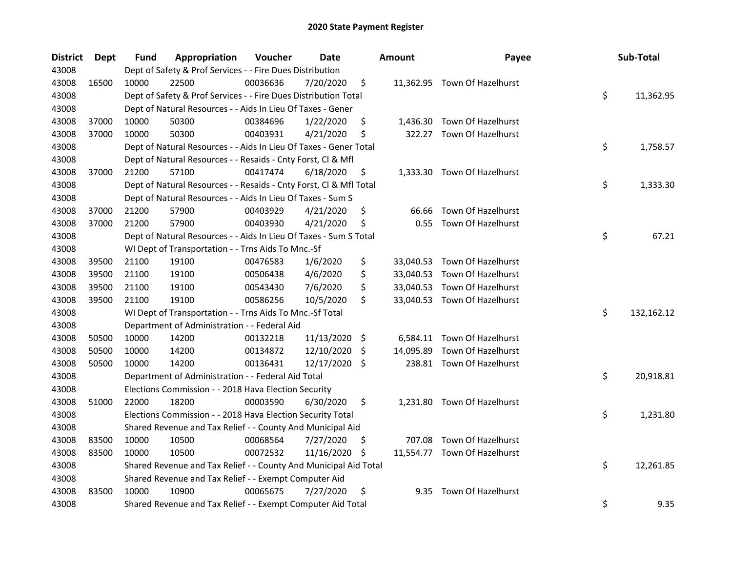| <b>District</b> | Dept  | Fund  | Appropriation                                                      | Voucher  | <b>Date</b>   |      | <b>Amount</b> | Payee                        | Sub-Total        |
|-----------------|-------|-------|--------------------------------------------------------------------|----------|---------------|------|---------------|------------------------------|------------------|
| 43008           |       |       | Dept of Safety & Prof Services - - Fire Dues Distribution          |          |               |      |               |                              |                  |
| 43008           | 16500 | 10000 | 22500                                                              | 00036636 | 7/20/2020     | \$   |               | 11,362.95 Town Of Hazelhurst |                  |
| 43008           |       |       | Dept of Safety & Prof Services - - Fire Dues Distribution Total    |          |               |      |               |                              | \$<br>11,362.95  |
| 43008           |       |       | Dept of Natural Resources - - Aids In Lieu Of Taxes - Gener        |          |               |      |               |                              |                  |
| 43008           | 37000 | 10000 | 50300                                                              | 00384696 | 1/22/2020     | \$   |               | 1,436.30 Town Of Hazelhurst  |                  |
| 43008           | 37000 | 10000 | 50300                                                              | 00403931 | 4/21/2020     | \$   | 322.27        | Town Of Hazelhurst           |                  |
| 43008           |       |       | Dept of Natural Resources - - Aids In Lieu Of Taxes - Gener Total  |          |               |      |               |                              | \$<br>1,758.57   |
| 43008           |       |       | Dept of Natural Resources - - Resaids - Cnty Forst, Cl & Mfl       |          |               |      |               |                              |                  |
| 43008           | 37000 | 21200 | 57100                                                              | 00417474 | 6/18/2020     | \$   |               | 1,333.30 Town Of Hazelhurst  |                  |
| 43008           |       |       | Dept of Natural Resources - - Resaids - Cnty Forst, Cl & Mfl Total |          |               |      |               |                              | \$<br>1,333.30   |
| 43008           |       |       | Dept of Natural Resources - - Aids In Lieu Of Taxes - Sum S        |          |               |      |               |                              |                  |
| 43008           | 37000 | 21200 | 57900                                                              | 00403929 | 4/21/2020     | \$   | 66.66         | Town Of Hazelhurst           |                  |
| 43008           | 37000 | 21200 | 57900                                                              | 00403930 | 4/21/2020     | \$   | 0.55          | Town Of Hazelhurst           |                  |
| 43008           |       |       | Dept of Natural Resources - - Aids In Lieu Of Taxes - Sum S Total  |          |               |      |               |                              | \$<br>67.21      |
| 43008           |       |       | WI Dept of Transportation - - Trns Aids To Mnc.-Sf                 |          |               |      |               |                              |                  |
| 43008           | 39500 | 21100 | 19100                                                              | 00476583 | 1/6/2020      | \$   |               | 33,040.53 Town Of Hazelhurst |                  |
| 43008           | 39500 | 21100 | 19100                                                              | 00506438 | 4/6/2020      | \$   |               | 33,040.53 Town Of Hazelhurst |                  |
| 43008           | 39500 | 21100 | 19100                                                              | 00543430 | 7/6/2020      | \$   |               | 33,040.53 Town Of Hazelhurst |                  |
| 43008           | 39500 | 21100 | 19100                                                              | 00586256 | 10/5/2020     | \$   |               | 33,040.53 Town Of Hazelhurst |                  |
| 43008           |       |       | WI Dept of Transportation - - Trns Aids To Mnc.-Sf Total           |          |               |      |               |                              | \$<br>132,162.12 |
| 43008           |       |       | Department of Administration - - Federal Aid                       |          |               |      |               |                              |                  |
| 43008           | 50500 | 10000 | 14200                                                              | 00132218 | 11/13/2020    | - \$ |               | 6,584.11 Town Of Hazelhurst  |                  |
| 43008           | 50500 | 10000 | 14200                                                              | 00134872 | 12/10/2020    | \$   |               | 14,095.89 Town Of Hazelhurst |                  |
| 43008           | 50500 | 10000 | 14200                                                              | 00136431 | 12/17/2020 \$ |      |               | 238.81 Town Of Hazelhurst    |                  |
| 43008           |       |       | Department of Administration - - Federal Aid Total                 |          |               |      |               |                              | \$<br>20,918.81  |
| 43008           |       |       | Elections Commission - - 2018 Hava Election Security               |          |               |      |               |                              |                  |
| 43008           | 51000 | 22000 | 18200                                                              | 00003590 | 6/30/2020     | \$   |               | 1,231.80 Town Of Hazelhurst  |                  |
| 43008           |       |       | Elections Commission - - 2018 Hava Election Security Total         |          |               |      |               |                              | \$<br>1,231.80   |
| 43008           |       |       | Shared Revenue and Tax Relief - - County And Municipal Aid         |          |               |      |               |                              |                  |
| 43008           | 83500 | 10000 | 10500                                                              | 00068564 | 7/27/2020     | \$   |               | 707.08 Town Of Hazelhurst    |                  |
| 43008           | 83500 | 10000 | 10500                                                              | 00072532 | 11/16/2020    | \$.  |               | 11,554.77 Town Of Hazelhurst |                  |
| 43008           |       |       | Shared Revenue and Tax Relief - - County And Municipal Aid Total   |          |               |      |               |                              | \$<br>12,261.85  |
| 43008           |       |       | Shared Revenue and Tax Relief - - Exempt Computer Aid              |          |               |      |               |                              |                  |
| 43008           | 83500 | 10000 | 10900                                                              | 00065675 | 7/27/2020     | \$   | 9.35          | Town Of Hazelhurst           |                  |
| 43008           |       |       | Shared Revenue and Tax Relief - - Exempt Computer Aid Total        |          |               |      |               |                              | \$<br>9.35       |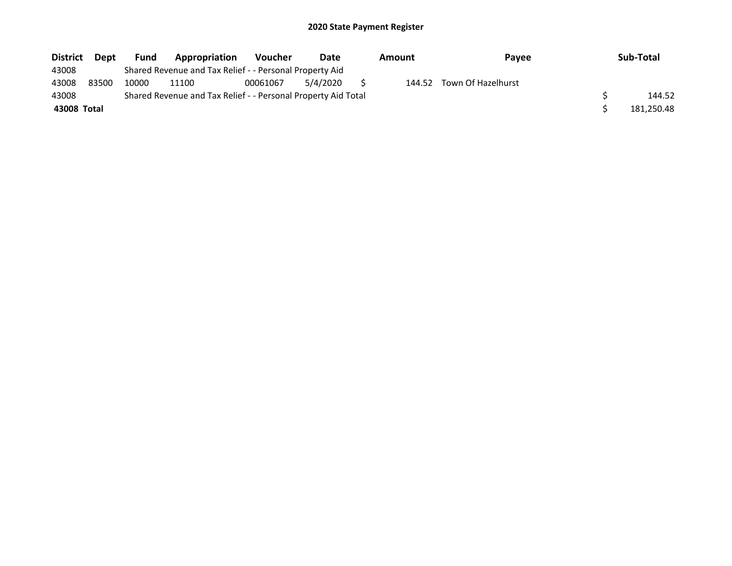| <b>District</b> | <b>Dept</b> | <b>Fund</b> | Appropriation                                                 | <b>Voucher</b> | Date     | Amount | <b>Pavee</b>       | Sub-Total  |
|-----------------|-------------|-------------|---------------------------------------------------------------|----------------|----------|--------|--------------------|------------|
| 43008           |             |             | Shared Revenue and Tax Relief - - Personal Property Aid       |                |          |        |                    |            |
| 43008           | 83500       | 10000       | 11100                                                         | 00061067       | 5/4/2020 | 144.52 | Town Of Hazelhurst |            |
| 43008           |             |             | Shared Revenue and Tax Relief - - Personal Property Aid Total |                |          |        |                    | 144.52     |
| 43008 Total     |             |             |                                                               |                |          |        |                    | 181.250.48 |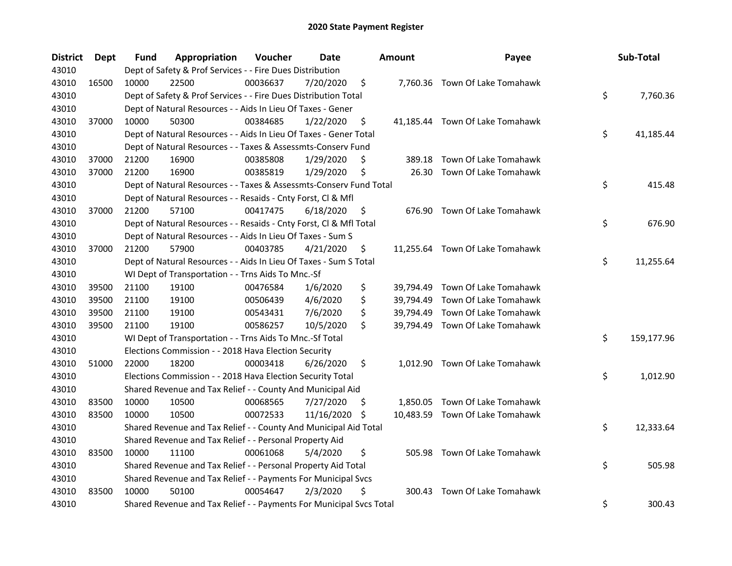| <b>District</b> | Dept  | Fund  | Appropriation                                                       | Voucher  | Date       |     | <b>Amount</b> | Payee                           | Sub-Total        |
|-----------------|-------|-------|---------------------------------------------------------------------|----------|------------|-----|---------------|---------------------------------|------------------|
| 43010           |       |       | Dept of Safety & Prof Services - - Fire Dues Distribution           |          |            |     |               |                                 |                  |
| 43010           | 16500 | 10000 | 22500                                                               | 00036637 | 7/20/2020  | \$  |               | 7,760.36 Town Of Lake Tomahawk  |                  |
| 43010           |       |       | Dept of Safety & Prof Services - - Fire Dues Distribution Total     |          |            |     |               |                                 | \$<br>7,760.36   |
| 43010           |       |       | Dept of Natural Resources - - Aids In Lieu Of Taxes - Gener         |          |            |     |               |                                 |                  |
| 43010           | 37000 | 10000 | 50300                                                               | 00384685 | 1/22/2020  | \$  |               | 41,185.44 Town Of Lake Tomahawk |                  |
| 43010           |       |       | Dept of Natural Resources - - Aids In Lieu Of Taxes - Gener Total   |          |            |     |               |                                 | \$<br>41,185.44  |
| 43010           |       |       | Dept of Natural Resources - - Taxes & Assessmts-Conserv Fund        |          |            |     |               |                                 |                  |
| 43010           | 37000 | 21200 | 16900                                                               | 00385808 | 1/29/2020  | \$  | 389.18        | Town Of Lake Tomahawk           |                  |
| 43010           | 37000 | 21200 | 16900                                                               | 00385819 | 1/29/2020  | \$  | 26.30         | Town Of Lake Tomahawk           |                  |
| 43010           |       |       | Dept of Natural Resources - - Taxes & Assessmts-Conserv Fund Total  |          |            |     |               |                                 | \$<br>415.48     |
| 43010           |       |       | Dept of Natural Resources - - Resaids - Cnty Forst, Cl & Mfl        |          |            |     |               |                                 |                  |
| 43010           | 37000 | 21200 | 57100                                                               | 00417475 | 6/18/2020  | \$. | 676.90        | Town Of Lake Tomahawk           |                  |
| 43010           |       |       | Dept of Natural Resources - - Resaids - Cnty Forst, Cl & Mfl Total  |          |            |     |               |                                 | \$<br>676.90     |
| 43010           |       |       | Dept of Natural Resources - - Aids In Lieu Of Taxes - Sum S         |          |            |     |               |                                 |                  |
| 43010           | 37000 | 21200 | 57900                                                               | 00403785 | 4/21/2020  | \$. |               | 11,255.64 Town Of Lake Tomahawk |                  |
| 43010           |       |       | Dept of Natural Resources - - Aids In Lieu Of Taxes - Sum S Total   |          |            |     |               |                                 | \$<br>11,255.64  |
| 43010           |       |       | WI Dept of Transportation - - Trns Aids To Mnc.-Sf                  |          |            |     |               |                                 |                  |
| 43010           | 39500 | 21100 | 19100                                                               | 00476584 | 1/6/2020   | \$  | 39,794.49     | Town Of Lake Tomahawk           |                  |
| 43010           | 39500 | 21100 | 19100                                                               | 00506439 | 4/6/2020   | \$  | 39,794.49     | Town Of Lake Tomahawk           |                  |
| 43010           | 39500 | 21100 | 19100                                                               | 00543431 | 7/6/2020   | \$  | 39,794.49     | Town Of Lake Tomahawk           |                  |
| 43010           | 39500 | 21100 | 19100                                                               | 00586257 | 10/5/2020  | \$  |               | 39,794.49 Town Of Lake Tomahawk |                  |
| 43010           |       |       | WI Dept of Transportation - - Trns Aids To Mnc.-Sf Total            |          |            |     |               |                                 | \$<br>159,177.96 |
| 43010           |       |       | Elections Commission - - 2018 Hava Election Security                |          |            |     |               |                                 |                  |
| 43010           | 51000 | 22000 | 18200                                                               | 00003418 | 6/26/2020  | \$  |               | 1,012.90 Town Of Lake Tomahawk  |                  |
| 43010           |       |       | Elections Commission - - 2018 Hava Election Security Total          |          |            |     |               |                                 | \$<br>1,012.90   |
| 43010           |       |       | Shared Revenue and Tax Relief - - County And Municipal Aid          |          |            |     |               |                                 |                  |
| 43010           | 83500 | 10000 | 10500                                                               | 00068565 | 7/27/2020  | \$. |               | 1,850.05 Town Of Lake Tomahawk  |                  |
| 43010           | 83500 | 10000 | 10500                                                               | 00072533 | 11/16/2020 | \$  |               | 10,483.59 Town Of Lake Tomahawk |                  |
| 43010           |       |       | Shared Revenue and Tax Relief - - County And Municipal Aid Total    |          |            |     |               |                                 | \$<br>12,333.64  |
| 43010           |       |       | Shared Revenue and Tax Relief - - Personal Property Aid             |          |            |     |               |                                 |                  |
| 43010           | 83500 | 10000 | 11100                                                               | 00061068 | 5/4/2020   | \$  |               | 505.98 Town Of Lake Tomahawk    |                  |
| 43010           |       |       | Shared Revenue and Tax Relief - - Personal Property Aid Total       |          |            |     |               |                                 | \$<br>505.98     |
| 43010           |       |       | Shared Revenue and Tax Relief - - Payments For Municipal Svcs       |          |            |     |               |                                 |                  |
| 43010           | 83500 | 10000 | 50100                                                               | 00054647 | 2/3/2020   | \$  | 300.43        | Town Of Lake Tomahawk           |                  |
| 43010           |       |       | Shared Revenue and Tax Relief - - Payments For Municipal Svcs Total |          |            |     |               |                                 | \$<br>300.43     |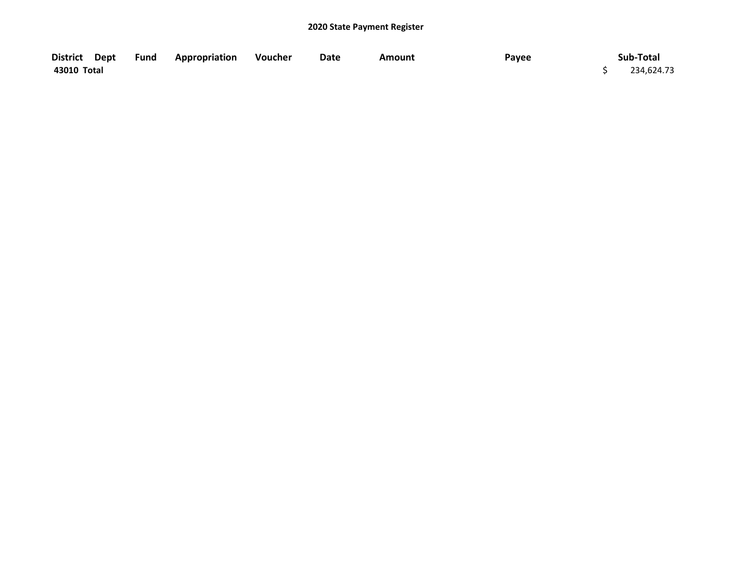| District Dept | <b>Fund Appropriation</b> | Voucher | Date | <b>Amount</b> | Payee | Sub-Total  |
|---------------|---------------------------|---------|------|---------------|-------|------------|
| 43010 Total   |                           |         |      |               |       | 234,624.73 |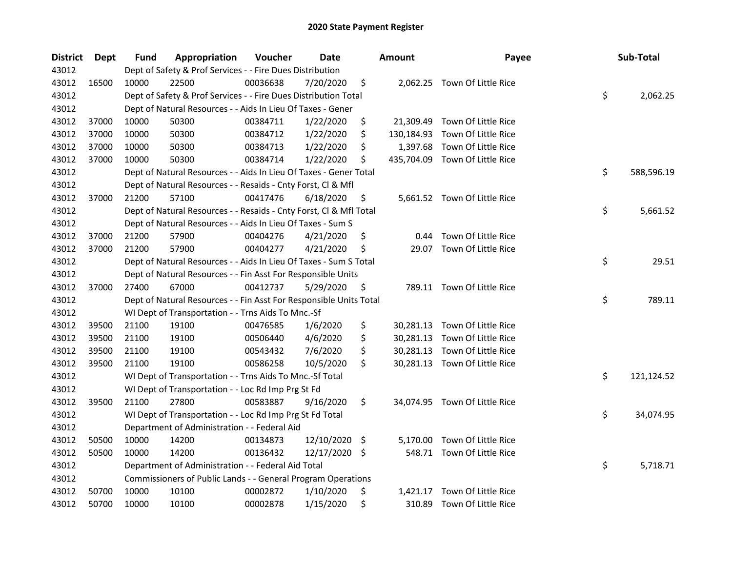| <b>District</b> | Dept  | <b>Fund</b> | Appropriation                                                      | Voucher  | <b>Date</b>   |     | <b>Amount</b> | Payee                          | Sub-Total        |
|-----------------|-------|-------------|--------------------------------------------------------------------|----------|---------------|-----|---------------|--------------------------------|------------------|
| 43012           |       |             | Dept of Safety & Prof Services - - Fire Dues Distribution          |          |               |     |               |                                |                  |
| 43012           | 16500 | 10000       | 22500                                                              | 00036638 | 7/20/2020     | \$  |               | 2,062.25 Town Of Little Rice   |                  |
| 43012           |       |             | Dept of Safety & Prof Services - - Fire Dues Distribution Total    |          |               |     |               |                                | \$<br>2,062.25   |
| 43012           |       |             | Dept of Natural Resources - - Aids In Lieu Of Taxes - Gener        |          |               |     |               |                                |                  |
| 43012           | 37000 | 10000       | 50300                                                              | 00384711 | 1/22/2020     | \$  |               | 21,309.49 Town Of Little Rice  |                  |
| 43012           | 37000 | 10000       | 50300                                                              | 00384712 | 1/22/2020     | \$  | 130,184.93    | Town Of Little Rice            |                  |
| 43012           | 37000 | 10000       | 50300                                                              | 00384713 | 1/22/2020     | \$  | 1,397.68      | Town Of Little Rice            |                  |
| 43012           | 37000 | 10000       | 50300                                                              | 00384714 | 1/22/2020     | \$  |               | 435,704.09 Town Of Little Rice |                  |
| 43012           |       |             | Dept of Natural Resources - - Aids In Lieu Of Taxes - Gener Total  |          |               |     |               |                                | \$<br>588,596.19 |
| 43012           |       |             | Dept of Natural Resources - - Resaids - Cnty Forst, Cl & Mfl       |          |               |     |               |                                |                  |
| 43012           | 37000 | 21200       | 57100                                                              | 00417476 | 6/18/2020     | \$  |               | 5,661.52 Town Of Little Rice   |                  |
| 43012           |       |             | Dept of Natural Resources - - Resaids - Cnty Forst, Cl & Mfl Total |          |               |     |               |                                | \$<br>5,661.52   |
| 43012           |       |             | Dept of Natural Resources - - Aids In Lieu Of Taxes - Sum S        |          |               |     |               |                                |                  |
| 43012           | 37000 | 21200       | 57900                                                              | 00404276 | 4/21/2020     | \$, | 0.44          | Town Of Little Rice            |                  |
| 43012           | 37000 | 21200       | 57900                                                              | 00404277 | 4/21/2020     | \$  | 29.07         | Town Of Little Rice            |                  |
| 43012           |       |             | Dept of Natural Resources - - Aids In Lieu Of Taxes - Sum S Total  |          |               |     |               |                                | \$<br>29.51      |
| 43012           |       |             | Dept of Natural Resources - - Fin Asst For Responsible Units       |          |               |     |               |                                |                  |
| 43012           | 37000 | 27400       | 67000                                                              | 00412737 | 5/29/2020     | \$  |               | 789.11 Town Of Little Rice     |                  |
| 43012           |       |             | Dept of Natural Resources - - Fin Asst For Responsible Units Total |          |               |     |               |                                | \$<br>789.11     |
| 43012           |       |             | WI Dept of Transportation - - Trns Aids To Mnc.-Sf                 |          |               |     |               |                                |                  |
| 43012           | 39500 | 21100       | 19100                                                              | 00476585 | 1/6/2020      | \$  |               | 30,281.13 Town Of Little Rice  |                  |
| 43012           | 39500 | 21100       | 19100                                                              | 00506440 | 4/6/2020      | \$  |               | 30,281.13 Town Of Little Rice  |                  |
| 43012           | 39500 | 21100       | 19100                                                              | 00543432 | 7/6/2020      | \$  |               | 30,281.13 Town Of Little Rice  |                  |
| 43012           | 39500 | 21100       | 19100                                                              | 00586258 | 10/5/2020     | \$  |               | 30,281.13 Town Of Little Rice  |                  |
| 43012           |       |             | WI Dept of Transportation - - Trns Aids To Mnc.-Sf Total           |          |               |     |               |                                | \$<br>121,124.52 |
| 43012           |       |             | WI Dept of Transportation - - Loc Rd Imp Prg St Fd                 |          |               |     |               |                                |                  |
| 43012           | 39500 | 21100       | 27800                                                              | 00583887 | 9/16/2020     | \$  |               | 34,074.95 Town Of Little Rice  |                  |
| 43012           |       |             | WI Dept of Transportation - - Loc Rd Imp Prg St Fd Total           |          |               |     |               |                                | \$<br>34,074.95  |
| 43012           |       |             | Department of Administration - - Federal Aid                       |          |               |     |               |                                |                  |
| 43012           | 50500 | 10000       | 14200                                                              | 00134873 | 12/10/2020 \$ |     |               | 5,170.00 Town Of Little Rice   |                  |
| 43012           | 50500 | 10000       | 14200                                                              | 00136432 | 12/17/2020 \$ |     |               | 548.71 Town Of Little Rice     |                  |
| 43012           |       |             | Department of Administration - - Federal Aid Total                 |          |               |     |               |                                | \$<br>5,718.71   |
| 43012           |       |             | Commissioners of Public Lands - - General Program Operations       |          |               |     |               |                                |                  |
| 43012           | 50700 | 10000       | 10100                                                              | 00002872 | 1/10/2020     | \$  | 1,421.17      | Town Of Little Rice            |                  |
| 43012           | 50700 | 10000       | 10100                                                              | 00002878 | 1/15/2020     | \$  |               | 310.89 Town Of Little Rice     |                  |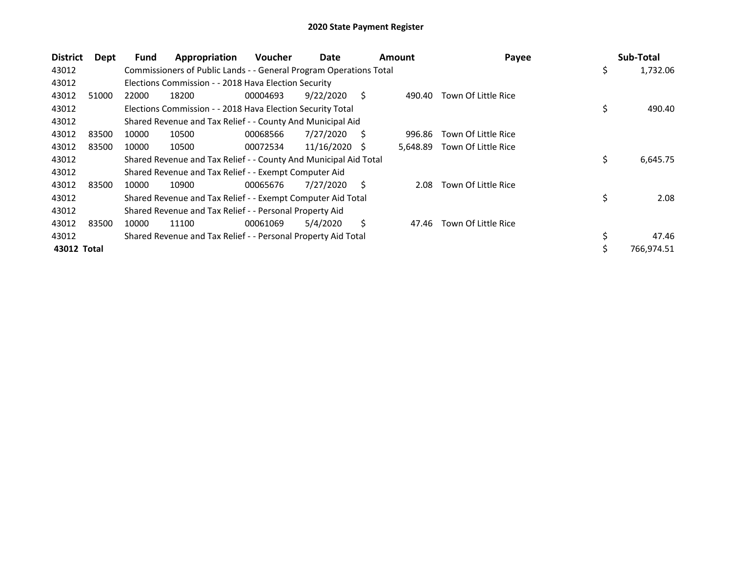| <b>District</b> | Dept  | <b>Fund</b> | Appropriation                                                      | <b>Voucher</b> | Date<br><b>Amount</b> |    |          | Payee               | Sub-Total        |
|-----------------|-------|-------------|--------------------------------------------------------------------|----------------|-----------------------|----|----------|---------------------|------------------|
| 43012           |       |             | Commissioners of Public Lands - - General Program Operations Total |                |                       |    |          |                     | \$<br>1,732.06   |
| 43012           |       |             | Elections Commission - - 2018 Hava Election Security               |                |                       |    |          |                     |                  |
| 43012           | 51000 | 22000       | 18200                                                              | 00004693       | 9/22/2020             | S. | 490.40   | Town Of Little Rice |                  |
| 43012           |       |             | Elections Commission - - 2018 Hava Election Security Total         |                |                       |    |          |                     | \$<br>490.40     |
| 43012           |       |             | Shared Revenue and Tax Relief - - County And Municipal Aid         |                |                       |    |          |                     |                  |
| 43012           | 83500 | 10000       | 10500                                                              | 00068566       | 7/27/2020             | S  | 996.86   | Town Of Little Rice |                  |
| 43012           | 83500 | 10000       | 10500                                                              | 00072534       | 11/16/2020            | -S | 5,648.89 | Town Of Little Rice |                  |
| 43012           |       |             | Shared Revenue and Tax Relief - - County And Municipal Aid Total   |                |                       |    |          |                     | \$<br>6,645.75   |
| 43012           |       |             | Shared Revenue and Tax Relief - - Exempt Computer Aid              |                |                       |    |          |                     |                  |
| 43012           | 83500 | 10000       | 10900                                                              | 00065676       | 7/27/2020             | S  | 2.08     | Town Of Little Rice |                  |
| 43012           |       |             | Shared Revenue and Tax Relief - - Exempt Computer Aid Total        |                |                       |    |          |                     | \$<br>2.08       |
| 43012           |       |             | Shared Revenue and Tax Relief - - Personal Property Aid            |                |                       |    |          |                     |                  |
| 43012           | 83500 | 10000       | 11100                                                              | 00061069       | 5/4/2020              | Ś  | 47.46    | Town Of Little Rice |                  |
| 43012           |       |             | Shared Revenue and Tax Relief - - Personal Property Aid Total      |                |                       |    |          |                     | 47.46            |
| 43012 Total     |       |             |                                                                    |                |                       |    |          |                     | \$<br>766,974.51 |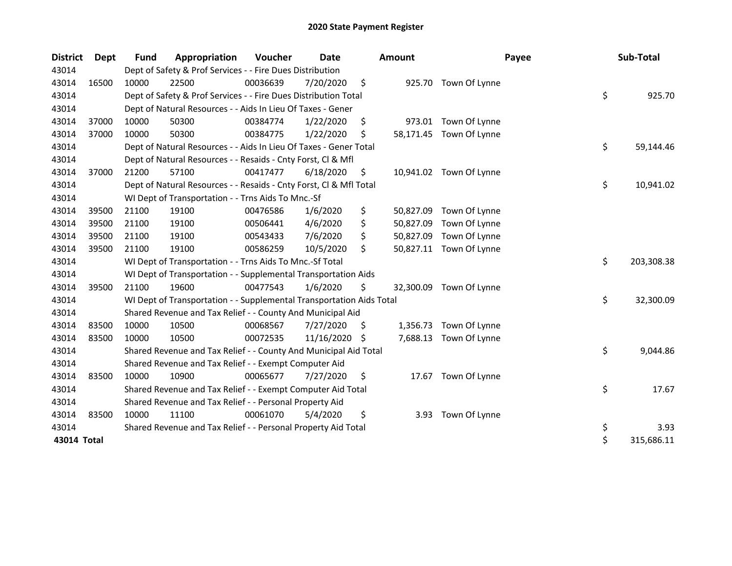| <b>District</b> | <b>Dept</b> | <b>Fund</b> | Appropriation                                                        | Voucher  | Date       |    | <b>Amount</b> | Payee                   | Sub-Total        |
|-----------------|-------------|-------------|----------------------------------------------------------------------|----------|------------|----|---------------|-------------------------|------------------|
| 43014           |             |             | Dept of Safety & Prof Services - - Fire Dues Distribution            |          |            |    |               |                         |                  |
| 43014           | 16500       | 10000       | 22500                                                                | 00036639 | 7/20/2020  | \$ |               | 925.70 Town Of Lynne    |                  |
| 43014           |             |             | Dept of Safety & Prof Services - - Fire Dues Distribution Total      |          |            |    |               |                         | \$<br>925.70     |
| 43014           |             |             | Dept of Natural Resources - - Aids In Lieu Of Taxes - Gener          |          |            |    |               |                         |                  |
| 43014           | 37000       | 10000       | 50300                                                                | 00384774 | 1/22/2020  | \$ |               | 973.01 Town Of Lynne    |                  |
| 43014           | 37000       | 10000       | 50300                                                                | 00384775 | 1/22/2020  | \$ |               | 58,171.45 Town Of Lynne |                  |
| 43014           |             |             | Dept of Natural Resources - - Aids In Lieu Of Taxes - Gener Total    |          |            |    |               |                         | \$<br>59,144.46  |
| 43014           |             |             | Dept of Natural Resources - - Resaids - Cnty Forst, Cl & Mfl         |          |            |    |               |                         |                  |
| 43014           | 37000       | 21200       | 57100                                                                | 00417477 | 6/18/2020  | \$ |               | 10,941.02 Town Of Lynne |                  |
| 43014           |             |             | Dept of Natural Resources - - Resaids - Cnty Forst, Cl & Mfl Total   |          |            |    |               |                         | \$<br>10,941.02  |
| 43014           |             |             | WI Dept of Transportation - - Trns Aids To Mnc.-Sf                   |          |            |    |               |                         |                  |
| 43014           | 39500       | 21100       | 19100                                                                | 00476586 | 1/6/2020   | \$ | 50,827.09     | Town Of Lynne           |                  |
| 43014           | 39500       | 21100       | 19100                                                                | 00506441 | 4/6/2020   | \$ | 50,827.09     | Town Of Lynne           |                  |
| 43014           | 39500       | 21100       | 19100                                                                | 00543433 | 7/6/2020   | \$ | 50,827.09     | Town Of Lynne           |                  |
| 43014           | 39500       | 21100       | 19100                                                                | 00586259 | 10/5/2020  | \$ |               | 50,827.11 Town Of Lynne |                  |
| 43014           |             |             | WI Dept of Transportation - - Trns Aids To Mnc.-Sf Total             |          |            |    |               |                         | \$<br>203,308.38 |
| 43014           |             |             | WI Dept of Transportation - - Supplemental Transportation Aids       |          |            |    |               |                         |                  |
| 43014           | 39500       | 21100       | 19600                                                                | 00477543 | 1/6/2020   | \$ | 32,300.09     | Town Of Lynne           |                  |
| 43014           |             |             | WI Dept of Transportation - - Supplemental Transportation Aids Total |          |            |    |               |                         | \$<br>32,300.09  |
| 43014           |             |             | Shared Revenue and Tax Relief - - County And Municipal Aid           |          |            |    |               |                         |                  |
| 43014           | 83500       | 10000       | 10500                                                                | 00068567 | 7/27/2020  | \$ | 1,356.73      | Town Of Lynne           |                  |
| 43014           | 83500       | 10000       | 10500                                                                | 00072535 | 11/16/2020 | Ŝ. | 7,688.13      | Town Of Lynne           |                  |
| 43014           |             |             | Shared Revenue and Tax Relief - - County And Municipal Aid Total     |          |            |    |               |                         | \$<br>9,044.86   |
| 43014           |             |             | Shared Revenue and Tax Relief - - Exempt Computer Aid                |          |            |    |               |                         |                  |
| 43014           | 83500       | 10000       | 10900                                                                | 00065677 | 7/27/2020  | \$ |               | 17.67 Town Of Lynne     |                  |
| 43014           |             |             | Shared Revenue and Tax Relief - - Exempt Computer Aid Total          |          |            |    |               |                         | \$<br>17.67      |
| 43014           |             |             | Shared Revenue and Tax Relief - - Personal Property Aid              |          |            |    |               |                         |                  |
| 43014           | 83500       | 10000       | 11100                                                                | 00061070 | 5/4/2020   | \$ | 3.93          | Town Of Lynne           |                  |
| 43014           |             |             | Shared Revenue and Tax Relief - - Personal Property Aid Total        |          |            |    |               |                         | \$<br>3.93       |
| 43014 Total     |             |             |                                                                      |          |            |    |               |                         | \$<br>315,686.11 |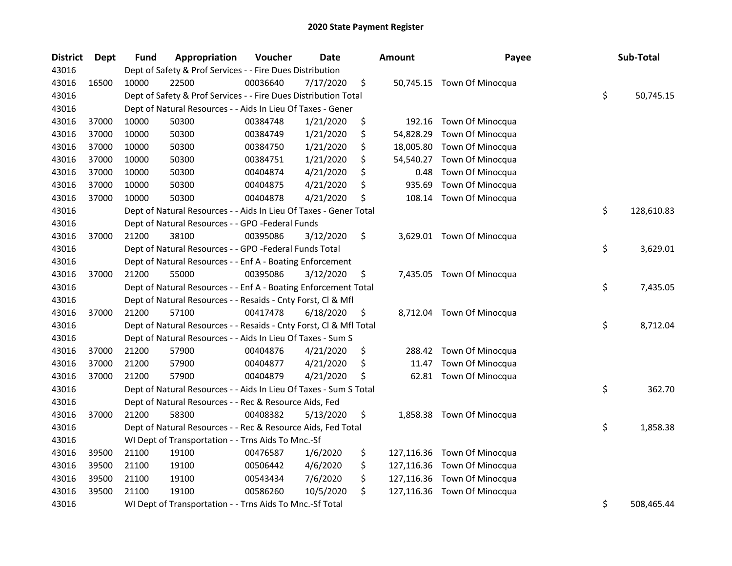| <b>District</b> | Dept  | Fund  | Appropriation                                                      | Voucher  | <b>Date</b> | <b>Amount</b>    | Payee                      | Sub-Total        |
|-----------------|-------|-------|--------------------------------------------------------------------|----------|-------------|------------------|----------------------------|------------------|
| 43016           |       |       | Dept of Safety & Prof Services - - Fire Dues Distribution          |          |             |                  |                            |                  |
| 43016           | 16500 | 10000 | 22500                                                              | 00036640 | 7/17/2020   | \$               | 50,745.15 Town Of Minocqua |                  |
| 43016           |       |       | Dept of Safety & Prof Services - - Fire Dues Distribution Total    |          |             |                  |                            | \$<br>50,745.15  |
| 43016           |       |       | Dept of Natural Resources - - Aids In Lieu Of Taxes - Gener        |          |             |                  |                            |                  |
| 43016           | 37000 | 10000 | 50300                                                              | 00384748 | 1/21/2020   | \$               | 192.16 Town Of Minocqua    |                  |
| 43016           | 37000 | 10000 | 50300                                                              | 00384749 | 1/21/2020   | \$<br>54,828.29  | Town Of Minocqua           |                  |
| 43016           | 37000 | 10000 | 50300                                                              | 00384750 | 1/21/2020   | \$<br>18,005.80  | Town Of Minocqua           |                  |
| 43016           | 37000 | 10000 | 50300                                                              | 00384751 | 1/21/2020   | \$<br>54,540.27  | Town Of Minocqua           |                  |
| 43016           | 37000 | 10000 | 50300                                                              | 00404874 | 4/21/2020   | \$<br>0.48       | <b>Town Of Minocqua</b>    |                  |
| 43016           | 37000 | 10000 | 50300                                                              | 00404875 | 4/21/2020   | \$<br>935.69     | Town Of Minocqua           |                  |
| 43016           | 37000 | 10000 | 50300                                                              | 00404878 | 4/21/2020   | \$<br>108.14     | Town Of Minocqua           |                  |
| 43016           |       |       | Dept of Natural Resources - - Aids In Lieu Of Taxes - Gener Total  |          |             |                  |                            | \$<br>128,610.83 |
| 43016           |       |       | Dept of Natural Resources - - GPO -Federal Funds                   |          |             |                  |                            |                  |
| 43016           | 37000 | 21200 | 38100                                                              | 00395086 | 3/12/2020   | \$               | 3,629.01 Town Of Minocqua  |                  |
| 43016           |       |       | Dept of Natural Resources - - GPO -Federal Funds Total             |          |             |                  |                            | \$<br>3,629.01   |
| 43016           |       |       | Dept of Natural Resources - - Enf A - Boating Enforcement          |          |             |                  |                            |                  |
| 43016           | 37000 | 21200 | 55000                                                              | 00395086 | 3/12/2020   | \$               | 7,435.05 Town Of Minocqua  |                  |
| 43016           |       |       | Dept of Natural Resources - - Enf A - Boating Enforcement Total    |          |             |                  |                            | \$<br>7,435.05   |
| 43016           |       |       | Dept of Natural Resources - - Resaids - Cnty Forst, Cl & Mfl       |          |             |                  |                            |                  |
| 43016           | 37000 | 21200 | 57100                                                              | 00417478 | 6/18/2020   | \$               | 8,712.04 Town Of Minocqua  |                  |
| 43016           |       |       | Dept of Natural Resources - - Resaids - Cnty Forst, Cl & Mfl Total |          |             |                  |                            | \$<br>8,712.04   |
| 43016           |       |       | Dept of Natural Resources - - Aids In Lieu Of Taxes - Sum S        |          |             |                  |                            |                  |
| 43016           | 37000 | 21200 | 57900                                                              | 00404876 | 4/21/2020   | \$               | 288.42 Town Of Minocqua    |                  |
| 43016           | 37000 | 21200 | 57900                                                              | 00404877 | 4/21/2020   | \$<br>11.47      | Town Of Minocqua           |                  |
| 43016           | 37000 | 21200 | 57900                                                              | 00404879 | 4/21/2020   | \$               | 62.81 Town Of Minocqua     |                  |
| 43016           |       |       | Dept of Natural Resources - - Aids In Lieu Of Taxes - Sum S Total  |          |             |                  |                            | \$<br>362.70     |
| 43016           |       |       | Dept of Natural Resources - - Rec & Resource Aids, Fed             |          |             |                  |                            |                  |
| 43016           | 37000 | 21200 | 58300                                                              | 00408382 | 5/13/2020   | \$               | 1,858.38 Town Of Minocqua  |                  |
| 43016           |       |       | Dept of Natural Resources - - Rec & Resource Aids, Fed Total       |          |             |                  |                            | \$<br>1,858.38   |
| 43016           |       |       | WI Dept of Transportation - - Trns Aids To Mnc.-Sf                 |          |             |                  |                            |                  |
| 43016           | 39500 | 21100 | 19100                                                              | 00476587 | 1/6/2020    | \$<br>127,116.36 | Town Of Minocqua           |                  |
| 43016           | 39500 | 21100 | 19100                                                              | 00506442 | 4/6/2020    | \$<br>127,116.36 | Town Of Minocqua           |                  |
| 43016           | 39500 | 21100 | 19100                                                              | 00543434 | 7/6/2020    | \$<br>127,116.36 | Town Of Minocqua           |                  |
| 43016           | 39500 | 21100 | 19100                                                              | 00586260 | 10/5/2020   | \$<br>127,116.36 | Town Of Minocqua           |                  |
| 43016           |       |       | WI Dept of Transportation - - Trns Aids To Mnc.-Sf Total           |          |             |                  |                            | \$<br>508,465.44 |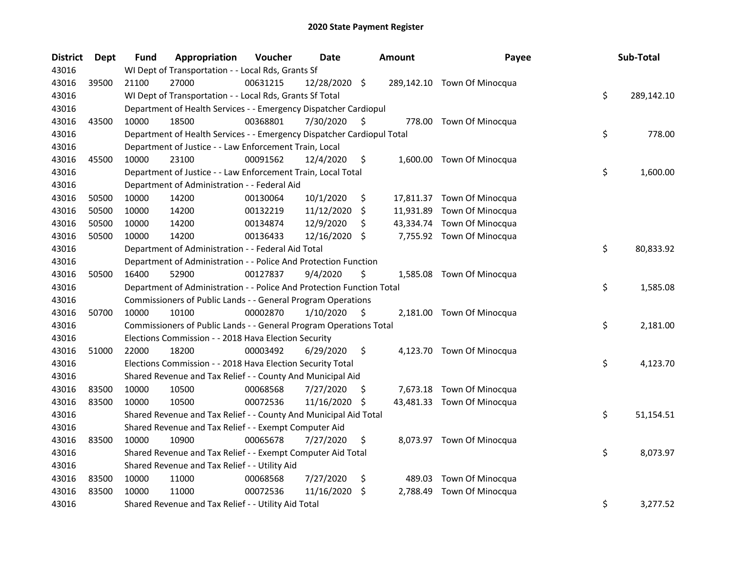| <b>District</b> | <b>Dept</b> | <b>Fund</b> | Appropriation                                                          | Voucher  | Date          |     | Amount   | Payee                       | Sub-Total        |
|-----------------|-------------|-------------|------------------------------------------------------------------------|----------|---------------|-----|----------|-----------------------------|------------------|
| 43016           |             |             | WI Dept of Transportation - - Local Rds, Grants Sf                     |          |               |     |          |                             |                  |
| 43016           | 39500       | 21100       | 27000                                                                  | 00631215 | 12/28/2020 \$ |     |          | 289,142.10 Town Of Minocqua |                  |
| 43016           |             |             | WI Dept of Transportation - - Local Rds, Grants Sf Total               |          |               |     |          |                             | \$<br>289,142.10 |
| 43016           |             |             | Department of Health Services - - Emergency Dispatcher Cardiopul       |          |               |     |          |                             |                  |
| 43016           | 43500       | 10000       | 18500                                                                  | 00368801 | 7/30/2020     | S   |          | 778.00 Town Of Minocqua     |                  |
| 43016           |             |             | Department of Health Services - - Emergency Dispatcher Cardiopul Total |          |               |     |          |                             | \$<br>778.00     |
| 43016           |             |             | Department of Justice - - Law Enforcement Train, Local                 |          |               |     |          |                             |                  |
| 43016           | 45500       | 10000       | 23100                                                                  | 00091562 | 12/4/2020     | \$  |          | 1,600.00 Town Of Minocqua   |                  |
| 43016           |             |             | Department of Justice - - Law Enforcement Train, Local Total           |          |               |     |          |                             | \$<br>1,600.00   |
| 43016           |             |             | Department of Administration - - Federal Aid                           |          |               |     |          |                             |                  |
| 43016           | 50500       | 10000       | 14200                                                                  | 00130064 | 10/1/2020     | \$  |          | 17,811.37 Town Of Minocqua  |                  |
| 43016           | 50500       | 10000       | 14200                                                                  | 00132219 | 11/12/2020    | \$  |          | 11,931.89 Town Of Minocqua  |                  |
| 43016           | 50500       | 10000       | 14200                                                                  | 00134874 | 12/9/2020     | \$  |          | 43,334.74 Town Of Minocqua  |                  |
| 43016           | 50500       | 10000       | 14200                                                                  | 00136433 | 12/16/2020    | -\$ |          | 7,755.92 Town Of Minocqua   |                  |
| 43016           |             |             | Department of Administration - - Federal Aid Total                     |          |               |     |          |                             | \$<br>80,833.92  |
| 43016           |             |             | Department of Administration - - Police And Protection Function        |          |               |     |          |                             |                  |
| 43016           | 50500       | 16400       | 52900                                                                  | 00127837 | 9/4/2020      | \$  |          | 1,585.08 Town Of Minocqua   |                  |
| 43016           |             |             | Department of Administration - - Police And Protection Function Total  |          |               |     |          |                             | \$<br>1,585.08   |
| 43016           |             |             | Commissioners of Public Lands - - General Program Operations           |          |               |     |          |                             |                  |
| 43016           | 50700       | 10000       | 10100                                                                  | 00002870 | 1/10/2020     | \$  |          | 2,181.00 Town Of Minocqua   |                  |
| 43016           |             |             | Commissioners of Public Lands - - General Program Operations Total     |          |               |     |          |                             | \$<br>2,181.00   |
| 43016           |             |             | Elections Commission - - 2018 Hava Election Security                   |          |               |     |          |                             |                  |
| 43016           | 51000       | 22000       | 18200                                                                  | 00003492 | 6/29/2020     | \$  |          | 4,123.70 Town Of Minocqua   |                  |
| 43016           |             |             | Elections Commission - - 2018 Hava Election Security Total             |          |               |     |          |                             | \$<br>4,123.70   |
| 43016           |             |             | Shared Revenue and Tax Relief - - County And Municipal Aid             |          |               |     |          |                             |                  |
| 43016           | 83500       | 10000       | 10500                                                                  | 00068568 | 7/27/2020     | \$. |          | 7,673.18 Town Of Minocqua   |                  |
| 43016           | 83500       | 10000       | 10500                                                                  | 00072536 | 11/16/2020 \$ |     |          | 43,481.33 Town Of Minocqua  |                  |
| 43016           |             |             | Shared Revenue and Tax Relief - - County And Municipal Aid Total       |          |               |     |          |                             | \$<br>51,154.51  |
| 43016           |             |             | Shared Revenue and Tax Relief - - Exempt Computer Aid                  |          |               |     |          |                             |                  |
| 43016           | 83500       | 10000       | 10900                                                                  | 00065678 | 7/27/2020     | \$  |          | 8,073.97 Town Of Minocqua   |                  |
| 43016           |             |             | Shared Revenue and Tax Relief - - Exempt Computer Aid Total            |          |               |     |          |                             | \$<br>8,073.97   |
| 43016           |             |             | Shared Revenue and Tax Relief - - Utility Aid                          |          |               |     |          |                             |                  |
| 43016           | 83500       | 10000       | 11000                                                                  | 00068568 | 7/27/2020     | \$  | 489.03   | Town Of Minocqua            |                  |
| 43016           | 83500       | 10000       | 11000                                                                  | 00072536 | 11/16/2020    | \$. | 2,788.49 | Town Of Minocqua            |                  |
| 43016           |             |             | Shared Revenue and Tax Relief - - Utility Aid Total                    |          |               |     |          |                             | \$<br>3,277.52   |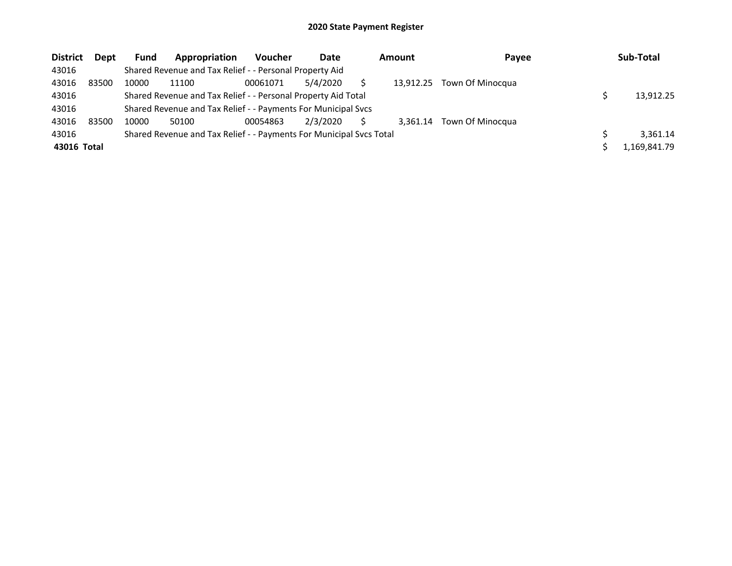| <b>District</b> | <b>Dept</b> | <b>Fund</b> | Appropriation                                                       | <b>Voucher</b> | Date     | <b>Amount</b> |           | Payee            |  | Sub-Total    |
|-----------------|-------------|-------------|---------------------------------------------------------------------|----------------|----------|---------------|-----------|------------------|--|--------------|
| 43016           |             |             | Shared Revenue and Tax Relief - - Personal Property Aid             |                |          |               |           |                  |  |              |
| 43016           | 83500       | 10000       | 11100                                                               | 00061071       | 5/4/2020 |               | 13.912.25 | Town Of Minocqua |  |              |
| 43016           |             |             | Shared Revenue and Tax Relief - - Personal Property Aid Total       |                |          |               |           |                  |  | 13.912.25    |
| 43016           |             |             | Shared Revenue and Tax Relief - - Payments For Municipal Svcs       |                |          |               |           |                  |  |              |
| 43016           | 83500       | 10000       | 50100                                                               | 00054863       | 2/3/2020 |               | 3.361.14  | Town Of Minocqua |  |              |
| 43016           |             |             | Shared Revenue and Tax Relief - - Payments For Municipal Svcs Total |                |          |               |           |                  |  | 3.361.14     |
| 43016 Total     |             |             |                                                                     |                |          |               |           |                  |  | 1.169.841.79 |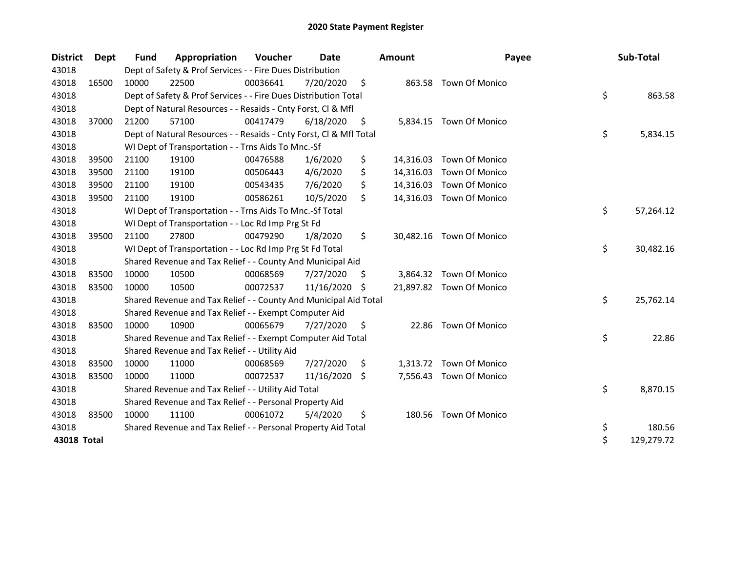| <b>District</b> | Dept  | <b>Fund</b> | Appropriation                                                      | Voucher  | Date       |     | <b>Amount</b> | Payee                    | Sub-Total        |
|-----------------|-------|-------------|--------------------------------------------------------------------|----------|------------|-----|---------------|--------------------------|------------------|
| 43018           |       |             | Dept of Safety & Prof Services - - Fire Dues Distribution          |          |            |     |               |                          |                  |
| 43018           | 16500 | 10000       | 22500                                                              | 00036641 | 7/20/2020  | \$  |               | 863.58 Town Of Monico    |                  |
| 43018           |       |             | Dept of Safety & Prof Services - - Fire Dues Distribution Total    |          |            |     |               |                          | \$<br>863.58     |
| 43018           |       |             | Dept of Natural Resources - - Resaids - Cnty Forst, Cl & Mfl       |          |            |     |               |                          |                  |
| 43018           | 37000 | 21200       | 57100                                                              | 00417479 | 6/18/2020  | \$  | 5,834.15      | <b>Town Of Monico</b>    |                  |
| 43018           |       |             | Dept of Natural Resources - - Resaids - Cnty Forst, Cl & Mfl Total |          |            |     |               |                          | \$<br>5,834.15   |
| 43018           |       |             | WI Dept of Transportation - - Trns Aids To Mnc.-Sf                 |          |            |     |               |                          |                  |
| 43018           | 39500 | 21100       | 19100                                                              | 00476588 | 1/6/2020   | \$  |               | 14,316.03 Town Of Monico |                  |
| 43018           | 39500 | 21100       | 19100                                                              | 00506443 | 4/6/2020   | \$  |               | 14,316.03 Town Of Monico |                  |
| 43018           | 39500 | 21100       | 19100                                                              | 00543435 | 7/6/2020   | \$  |               | 14,316.03 Town Of Monico |                  |
| 43018           | 39500 | 21100       | 19100                                                              | 00586261 | 10/5/2020  | \$  |               | 14,316.03 Town Of Monico |                  |
| 43018           |       |             | WI Dept of Transportation - - Trns Aids To Mnc.-Sf Total           |          |            |     |               |                          | \$<br>57,264.12  |
| 43018           |       |             | WI Dept of Transportation - - Loc Rd Imp Prg St Fd                 |          |            |     |               |                          |                  |
| 43018           | 39500 | 21100       | 27800                                                              | 00479290 | 1/8/2020   | \$  |               | 30,482.16 Town Of Monico |                  |
| 43018           |       |             | WI Dept of Transportation - - Loc Rd Imp Prg St Fd Total           |          |            |     |               |                          | \$<br>30,482.16  |
| 43018           |       |             | Shared Revenue and Tax Relief - - County And Municipal Aid         |          |            |     |               |                          |                  |
| 43018           | 83500 | 10000       | 10500                                                              | 00068569 | 7/27/2020  | \$. | 3,864.32      | <b>Town Of Monico</b>    |                  |
| 43018           | 83500 | 10000       | 10500                                                              | 00072537 | 11/16/2020 | S   |               | 21,897.82 Town Of Monico |                  |
| 43018           |       |             | Shared Revenue and Tax Relief - - County And Municipal Aid Total   |          |            |     |               |                          | \$<br>25,762.14  |
| 43018           |       |             | Shared Revenue and Tax Relief - - Exempt Computer Aid              |          |            |     |               |                          |                  |
| 43018           | 83500 | 10000       | 10900                                                              | 00065679 | 7/27/2020  | \$  | 22.86         | <b>Town Of Monico</b>    |                  |
| 43018           |       |             | Shared Revenue and Tax Relief - - Exempt Computer Aid Total        |          |            |     |               |                          | \$<br>22.86      |
| 43018           |       |             | Shared Revenue and Tax Relief - - Utility Aid                      |          |            |     |               |                          |                  |
| 43018           | 83500 | 10000       | 11000                                                              | 00068569 | 7/27/2020  | \$  | 1,313.72      | <b>Town Of Monico</b>    |                  |
| 43018           | 83500 | 10000       | 11000                                                              | 00072537 | 11/16/2020 | Ŝ.  | 7,556.43      | Town Of Monico           |                  |
| 43018           |       |             | Shared Revenue and Tax Relief - - Utility Aid Total                |          |            |     |               |                          | \$<br>8,870.15   |
| 43018           |       |             | Shared Revenue and Tax Relief - - Personal Property Aid            |          |            |     |               |                          |                  |
| 43018           | 83500 | 10000       | 11100                                                              | 00061072 | 5/4/2020   | \$  | 180.56        | <b>Town Of Monico</b>    |                  |
| 43018           |       |             | Shared Revenue and Tax Relief - - Personal Property Aid Total      |          |            |     |               |                          | \$<br>180.56     |
| 43018 Total     |       |             |                                                                    |          |            |     |               |                          | \$<br>129,279.72 |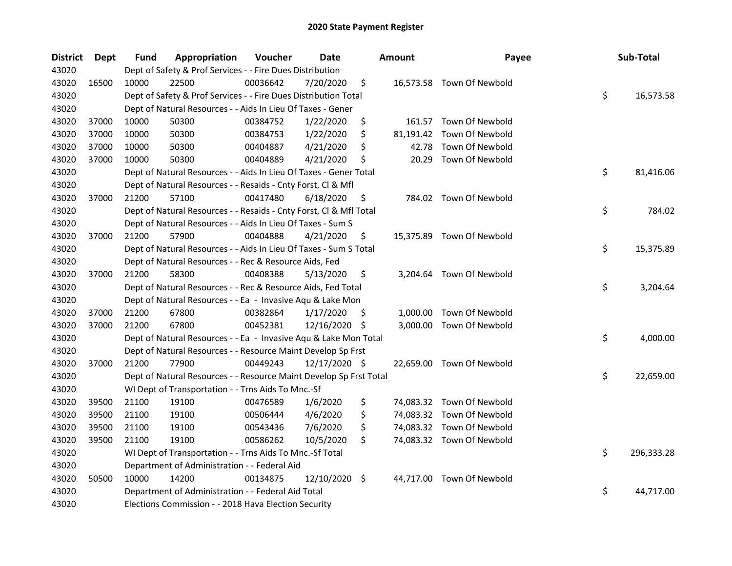| <b>District</b> | Dept  | Fund  | Appropriation                                                      | Voucher  | <b>Date</b>   |     | <b>Amount</b> | Payee                     | Sub-Total        |
|-----------------|-------|-------|--------------------------------------------------------------------|----------|---------------|-----|---------------|---------------------------|------------------|
| 43020           |       |       | Dept of Safety & Prof Services - - Fire Dues Distribution          |          |               |     |               |                           |                  |
| 43020           | 16500 | 10000 | 22500                                                              | 00036642 | 7/20/2020     | \$  |               | 16,573.58 Town Of Newbold |                  |
| 43020           |       |       | Dept of Safety & Prof Services - - Fire Dues Distribution Total    |          |               |     |               |                           | \$<br>16,573.58  |
| 43020           |       |       | Dept of Natural Resources - - Aids In Lieu Of Taxes - Gener        |          |               |     |               |                           |                  |
| 43020           | 37000 | 10000 | 50300                                                              | 00384752 | 1/22/2020     | \$  |               | 161.57 Town Of Newbold    |                  |
| 43020           | 37000 | 10000 | 50300                                                              | 00384753 | 1/22/2020     | \$  |               | 81,191.42 Town Of Newbold |                  |
| 43020           | 37000 | 10000 | 50300                                                              | 00404887 | 4/21/2020     | \$  | 42.78         | Town Of Newbold           |                  |
| 43020           | 37000 | 10000 | 50300                                                              | 00404889 | 4/21/2020     | \$  | 20.29         | Town Of Newbold           |                  |
| 43020           |       |       | Dept of Natural Resources - - Aids In Lieu Of Taxes - Gener Total  |          |               |     |               |                           | \$<br>81,416.06  |
| 43020           |       |       | Dept of Natural Resources - - Resaids - Cnty Forst, Cl & Mfl       |          |               |     |               |                           |                  |
| 43020           | 37000 | 21200 | 57100                                                              | 00417480 | 6/18/2020     | \$  |               | 784.02 Town Of Newbold    |                  |
| 43020           |       |       | Dept of Natural Resources - - Resaids - Cnty Forst, Cl & Mfl Total |          |               |     |               |                           | \$<br>784.02     |
| 43020           |       |       | Dept of Natural Resources - - Aids In Lieu Of Taxes - Sum S        |          |               |     |               |                           |                  |
| 43020           | 37000 | 21200 | 57900                                                              | 00404888 | 4/21/2020     | \$  |               | 15,375.89 Town Of Newbold |                  |
| 43020           |       |       | Dept of Natural Resources - - Aids In Lieu Of Taxes - Sum S Total  |          |               |     |               |                           | \$<br>15,375.89  |
| 43020           |       |       | Dept of Natural Resources - - Rec & Resource Aids, Fed             |          |               |     |               |                           |                  |
| 43020           | 37000 | 21200 | 58300                                                              | 00408388 | 5/13/2020     | \$  |               | 3,204.64 Town Of Newbold  |                  |
| 43020           |       |       | Dept of Natural Resources - - Rec & Resource Aids, Fed Total       |          |               |     |               |                           | \$<br>3,204.64   |
| 43020           |       |       | Dept of Natural Resources - - Ea - Invasive Aqu & Lake Mon         |          |               |     |               |                           |                  |
| 43020           | 37000 | 21200 | 67800                                                              | 00382864 | 1/17/2020     | \$. | 1,000.00      | Town Of Newbold           |                  |
| 43020           | 37000 | 21200 | 67800                                                              | 00452381 | 12/16/2020 \$ |     | 3,000.00      | Town Of Newbold           |                  |
| 43020           |       |       | Dept of Natural Resources - - Ea - Invasive Aqu & Lake Mon Total   |          |               |     |               |                           | \$<br>4,000.00   |
| 43020           |       |       | Dept of Natural Resources - - Resource Maint Develop Sp Frst       |          |               |     |               |                           |                  |
| 43020           | 37000 | 21200 | 77900                                                              | 00449243 | 12/17/2020 \$ |     |               | 22,659.00 Town Of Newbold |                  |
| 43020           |       |       | Dept of Natural Resources - - Resource Maint Develop Sp Frst Total |          |               |     |               |                           | \$<br>22,659.00  |
| 43020           |       |       | WI Dept of Transportation - - Trns Aids To Mnc.-Sf                 |          |               |     |               |                           |                  |
| 43020           | 39500 | 21100 | 19100                                                              | 00476589 | 1/6/2020      | \$  |               | 74,083.32 Town Of Newbold |                  |
| 43020           | 39500 | 21100 | 19100                                                              | 00506444 | 4/6/2020      | \$  |               | 74,083.32 Town Of Newbold |                  |
| 43020           | 39500 | 21100 | 19100                                                              | 00543436 | 7/6/2020      | \$  |               | 74,083.32 Town Of Newbold |                  |
| 43020           | 39500 | 21100 | 19100                                                              | 00586262 | 10/5/2020     | \$  |               | 74,083.32 Town Of Newbold |                  |
| 43020           |       |       | WI Dept of Transportation - - Trns Aids To Mnc.-Sf Total           |          |               |     |               |                           | \$<br>296,333.28 |
| 43020           |       |       | Department of Administration - - Federal Aid                       |          |               |     |               |                           |                  |
| 43020           | 50500 | 10000 | 14200                                                              | 00134875 | 12/10/2020 \$ |     |               | 44,717.00 Town Of Newbold |                  |
| 43020           |       |       | Department of Administration - - Federal Aid Total                 |          |               |     |               |                           | \$<br>44,717.00  |
| 43020           |       |       | Elections Commission - - 2018 Hava Election Security               |          |               |     |               |                           |                  |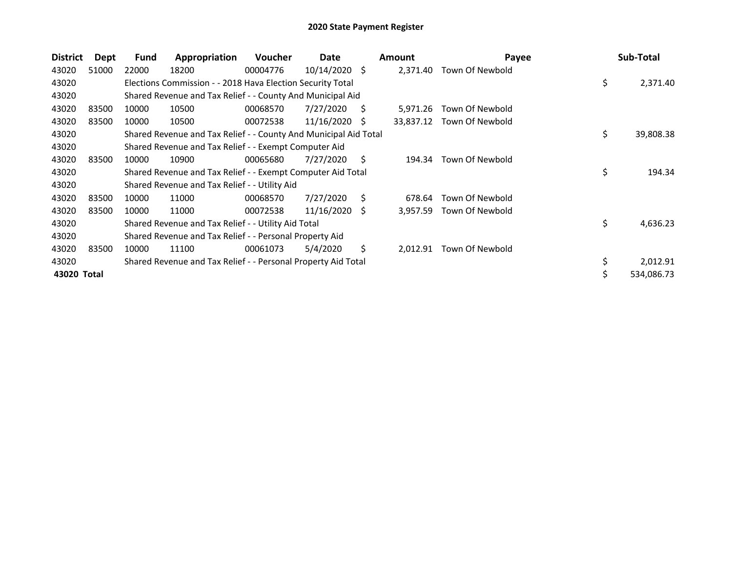| <b>District</b> | Dept  | Fund  | Appropriation                                                    | <b>Voucher</b> | Date            |    | <b>Amount</b> | Payee           | Sub-Total       |
|-----------------|-------|-------|------------------------------------------------------------------|----------------|-----------------|----|---------------|-----------------|-----------------|
| 43020           | 51000 | 22000 | 18200                                                            | 00004776       | $10/14/2020$ \$ |    | 2,371.40      | Town Of Newbold |                 |
| 43020           |       |       | Elections Commission - - 2018 Hava Election Security Total       |                |                 |    |               |                 | \$<br>2,371.40  |
| 43020           |       |       | Shared Revenue and Tax Relief - - County And Municipal Aid       |                |                 |    |               |                 |                 |
| 43020           | 83500 | 10000 | 10500                                                            | 00068570       | 7/27/2020       | S  | 5,971.26      | Town Of Newbold |                 |
| 43020           | 83500 | 10000 | 10500                                                            | 00072538       | 11/16/2020      | -S | 33,837.12     | Town Of Newbold |                 |
| 43020           |       |       | Shared Revenue and Tax Relief - - County And Municipal Aid Total |                |                 |    |               |                 | \$<br>39,808.38 |
| 43020           |       |       | Shared Revenue and Tax Relief - - Exempt Computer Aid            |                |                 |    |               |                 |                 |
| 43020           | 83500 | 10000 | 10900                                                            | 00065680       | 7/27/2020       | S. | 194.34        | Town Of Newbold |                 |
| 43020           |       |       | Shared Revenue and Tax Relief - - Exempt Computer Aid Total      |                |                 |    |               |                 | \$<br>194.34    |
| 43020           |       |       | Shared Revenue and Tax Relief - - Utility Aid                    |                |                 |    |               |                 |                 |
| 43020           | 83500 | 10000 | 11000                                                            | 00068570       | 7/27/2020       | S  | 678.64        | Town Of Newbold |                 |
| 43020           | 83500 | 10000 | 11000                                                            | 00072538       | 11/16/2020      | -S | 3,957.59      | Town Of Newbold |                 |
| 43020           |       |       | Shared Revenue and Tax Relief - - Utility Aid Total              |                |                 |    |               |                 | \$<br>4,636.23  |
| 43020           |       |       | Shared Revenue and Tax Relief - - Personal Property Aid          |                |                 |    |               |                 |                 |
| 43020           | 83500 | 10000 | 11100                                                            | 00061073       | 5/4/2020        | Ŝ. | 2,012.91      | Town Of Newbold |                 |
| 43020           |       |       | Shared Revenue and Tax Relief - - Personal Property Aid Total    |                |                 |    |               |                 | 2,012.91        |
| 43020 Total     |       |       |                                                                  |                |                 |    |               |                 | 534,086.73      |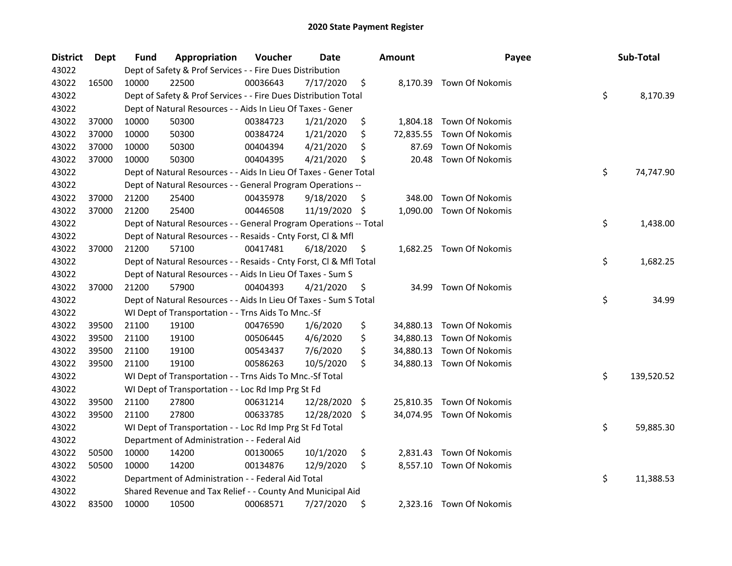| <b>District</b> | Dept  | <b>Fund</b> | Appropriation                                                      | Voucher  | <b>Date</b> | <b>Amount</b>   | Payee                     | Sub-Total        |
|-----------------|-------|-------------|--------------------------------------------------------------------|----------|-------------|-----------------|---------------------------|------------------|
| 43022           |       |             | Dept of Safety & Prof Services - - Fire Dues Distribution          |          |             |                 |                           |                  |
| 43022           | 16500 | 10000       | 22500                                                              | 00036643 | 7/17/2020   | \$              | 8,170.39 Town Of Nokomis  |                  |
| 43022           |       |             | Dept of Safety & Prof Services - - Fire Dues Distribution Total    |          |             |                 |                           | \$<br>8,170.39   |
| 43022           |       |             | Dept of Natural Resources - - Aids In Lieu Of Taxes - Gener        |          |             |                 |                           |                  |
| 43022           | 37000 | 10000       | 50300                                                              | 00384723 | 1/21/2020   | \$<br>1,804.18  | <b>Town Of Nokomis</b>    |                  |
| 43022           | 37000 | 10000       | 50300                                                              | 00384724 | 1/21/2020   | \$<br>72,835.55 | Town Of Nokomis           |                  |
| 43022           | 37000 | 10000       | 50300                                                              | 00404394 | 4/21/2020   | \$<br>87.69     | Town Of Nokomis           |                  |
| 43022           | 37000 | 10000       | 50300                                                              | 00404395 | 4/21/2020   | \$<br>20.48     | Town Of Nokomis           |                  |
| 43022           |       |             | Dept of Natural Resources - - Aids In Lieu Of Taxes - Gener Total  |          |             |                 |                           | \$<br>74,747.90  |
| 43022           |       |             | Dept of Natural Resources - - General Program Operations --        |          |             |                 |                           |                  |
| 43022           | 37000 | 21200       | 25400                                                              | 00435978 | 9/18/2020   | \$<br>348.00    | Town Of Nokomis           |                  |
| 43022           | 37000 | 21200       | 25400                                                              | 00446508 | 11/19/2020  | \$<br>1,090.00  | Town Of Nokomis           |                  |
| 43022           |       |             | Dept of Natural Resources - - General Program Operations -- Total  |          |             |                 |                           | \$<br>1,438.00   |
| 43022           |       |             | Dept of Natural Resources - - Resaids - Cnty Forst, Cl & Mfl       |          |             |                 |                           |                  |
| 43022           | 37000 | 21200       | 57100                                                              | 00417481 | 6/18/2020   | \$<br>1,682.25  | Town Of Nokomis           |                  |
| 43022           |       |             | Dept of Natural Resources - - Resaids - Cnty Forst, Cl & Mfl Total |          |             |                 |                           | \$<br>1,682.25   |
| 43022           |       |             | Dept of Natural Resources - - Aids In Lieu Of Taxes - Sum S        |          |             |                 |                           |                  |
| 43022           | 37000 | 21200       | 57900                                                              | 00404393 | 4/21/2020   | \$<br>34.99     | Town Of Nokomis           |                  |
| 43022           |       |             | Dept of Natural Resources - - Aids In Lieu Of Taxes - Sum S Total  |          |             |                 |                           | \$<br>34.99      |
| 43022           |       |             | WI Dept of Transportation - - Trns Aids To Mnc.-Sf                 |          |             |                 |                           |                  |
| 43022           | 39500 | 21100       | 19100                                                              | 00476590 | 1/6/2020    | \$              | 34,880.13 Town Of Nokomis |                  |
| 43022           | 39500 | 21100       | 19100                                                              | 00506445 | 4/6/2020    | \$              | 34,880.13 Town Of Nokomis |                  |
| 43022           | 39500 | 21100       | 19100                                                              | 00543437 | 7/6/2020    | \$              | 34,880.13 Town Of Nokomis |                  |
| 43022           | 39500 | 21100       | 19100                                                              | 00586263 | 10/5/2020   | \$              | 34,880.13 Town Of Nokomis |                  |
| 43022           |       |             | WI Dept of Transportation - - Trns Aids To Mnc.-Sf Total           |          |             |                 |                           | \$<br>139,520.52 |
| 43022           |       |             | WI Dept of Transportation - - Loc Rd Imp Prg St Fd                 |          |             |                 |                           |                  |
| 43022           | 39500 | 21100       | 27800                                                              | 00631214 | 12/28/2020  | \$              | 25,810.35 Town Of Nokomis |                  |
| 43022           | 39500 | 21100       | 27800                                                              | 00633785 | 12/28/2020  | \$              | 34,074.95 Town Of Nokomis |                  |
| 43022           |       |             | WI Dept of Transportation - - Loc Rd Imp Prg St Fd Total           |          |             |                 |                           | \$<br>59,885.30  |
| 43022           |       |             | Department of Administration - - Federal Aid                       |          |             |                 |                           |                  |
| 43022           | 50500 | 10000       | 14200                                                              | 00130065 | 10/1/2020   | \$              | 2,831.43 Town Of Nokomis  |                  |
| 43022           | 50500 | 10000       | 14200                                                              | 00134876 | 12/9/2020   | \$              | 8,557.10 Town Of Nokomis  |                  |
| 43022           |       |             | Department of Administration - - Federal Aid Total                 |          |             |                 |                           | \$<br>11,388.53  |
| 43022           |       |             | Shared Revenue and Tax Relief - - County And Municipal Aid         |          |             |                 |                           |                  |
| 43022           | 83500 | 10000       | 10500                                                              | 00068571 | 7/27/2020   | \$              | 2,323.16 Town Of Nokomis  |                  |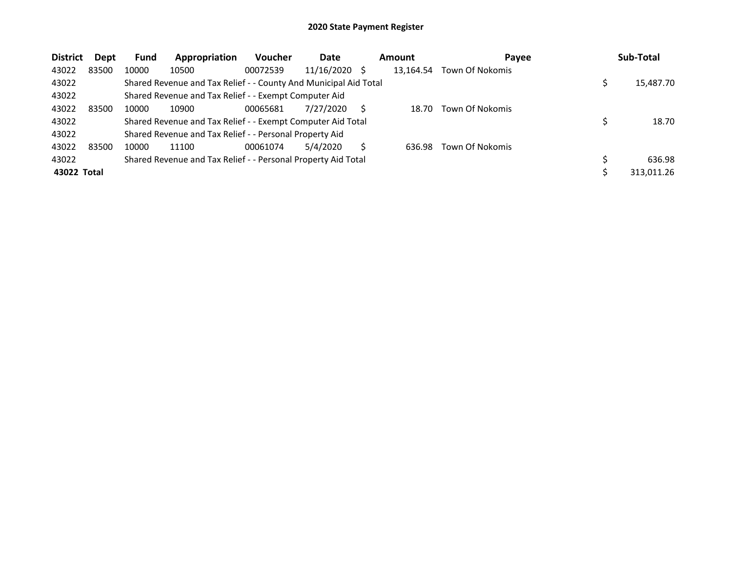| <b>District</b> | Dept  | <b>Fund</b> | Appropriation                                                    | <b>Voucher</b> | Date          | Amount    | Payee                  | Sub-Total  |
|-----------------|-------|-------------|------------------------------------------------------------------|----------------|---------------|-----------|------------------------|------------|
| 43022           | 83500 | 10000       | 10500                                                            | 00072539       | 11/16/2020 \$ | 13.164.54 | <b>Town Of Nokomis</b> |            |
| 43022           |       |             | Shared Revenue and Tax Relief - - County And Municipal Aid Total |                |               |           |                        | 15,487.70  |
| 43022           |       |             | Shared Revenue and Tax Relief - - Exempt Computer Aid            |                |               |           |                        |            |
| 43022           | 83500 | 10000       | 10900                                                            | 00065681       | 7/27/2020     | 18.70     | Town Of Nokomis        |            |
| 43022           |       |             | Shared Revenue and Tax Relief - - Exempt Computer Aid Total      |                |               |           |                        | 18.70      |
| 43022           |       |             | Shared Revenue and Tax Relief - - Personal Property Aid          |                |               |           |                        |            |
| 43022           | 83500 | 10000       | 11100                                                            | 00061074       | 5/4/2020      | 636.98    | Town Of Nokomis        |            |
| 43022           |       |             | Shared Revenue and Tax Relief - - Personal Property Aid Total    |                |               |           |                        | 636.98     |
| 43022 Total     |       |             |                                                                  |                |               |           |                        | 313,011.26 |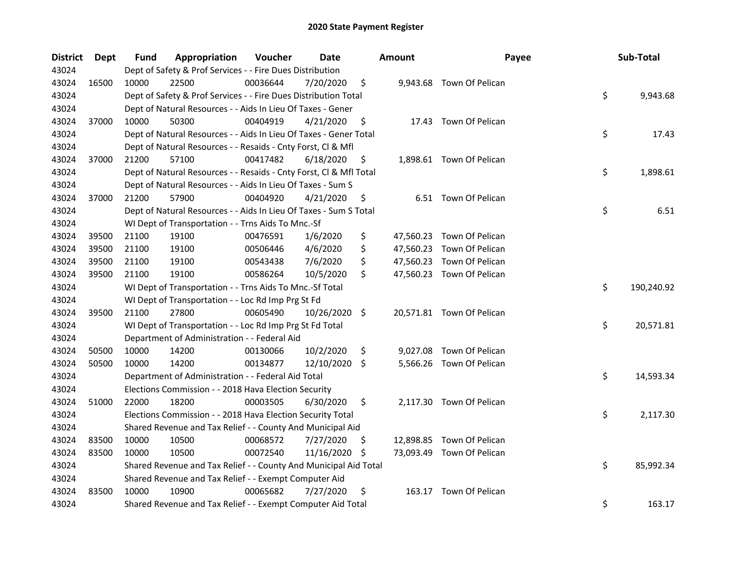| <b>District</b> | <b>Dept</b> | Fund  | Appropriation                                                      | Voucher  | <b>Date</b>   |    | <b>Amount</b> | Payee                     | Sub-Total        |
|-----------------|-------------|-------|--------------------------------------------------------------------|----------|---------------|----|---------------|---------------------------|------------------|
| 43024           |             |       | Dept of Safety & Prof Services - - Fire Dues Distribution          |          |               |    |               |                           |                  |
| 43024           | 16500       | 10000 | 22500                                                              | 00036644 | 7/20/2020     | \$ |               | 9,943.68 Town Of Pelican  |                  |
| 43024           |             |       | Dept of Safety & Prof Services - - Fire Dues Distribution Total    |          |               |    |               |                           | \$<br>9,943.68   |
| 43024           |             |       | Dept of Natural Resources - - Aids In Lieu Of Taxes - Gener        |          |               |    |               |                           |                  |
| 43024           | 37000       | 10000 | 50300                                                              | 00404919 | 4/21/2020     | \$ |               | 17.43 Town Of Pelican     |                  |
| 43024           |             |       | Dept of Natural Resources - - Aids In Lieu Of Taxes - Gener Total  |          |               |    |               |                           | \$<br>17.43      |
| 43024           |             |       | Dept of Natural Resources - - Resaids - Cnty Forst, Cl & Mfl       |          |               |    |               |                           |                  |
| 43024           | 37000       | 21200 | 57100                                                              | 00417482 | 6/18/2020     | \$ |               | 1,898.61 Town Of Pelican  |                  |
| 43024           |             |       | Dept of Natural Resources - - Resaids - Cnty Forst, Cl & Mfl Total |          |               |    |               |                           | \$<br>1,898.61   |
| 43024           |             |       | Dept of Natural Resources - - Aids In Lieu Of Taxes - Sum S        |          |               |    |               |                           |                  |
| 43024           | 37000       | 21200 | 57900                                                              | 00404920 | 4/21/2020     | \$ |               | 6.51 Town Of Pelican      |                  |
| 43024           |             |       | Dept of Natural Resources - - Aids In Lieu Of Taxes - Sum S Total  |          |               |    |               |                           | \$<br>6.51       |
| 43024           |             |       | WI Dept of Transportation - - Trns Aids To Mnc.-Sf                 |          |               |    |               |                           |                  |
| 43024           | 39500       | 21100 | 19100                                                              | 00476591 | 1/6/2020      | \$ |               | 47,560.23 Town Of Pelican |                  |
| 43024           | 39500       | 21100 | 19100                                                              | 00506446 | 4/6/2020      | \$ |               | 47,560.23 Town Of Pelican |                  |
| 43024           | 39500       | 21100 | 19100                                                              | 00543438 | 7/6/2020      | \$ |               | 47,560.23 Town Of Pelican |                  |
| 43024           | 39500       | 21100 | 19100                                                              | 00586264 | 10/5/2020     | \$ |               | 47,560.23 Town Of Pelican |                  |
| 43024           |             |       | WI Dept of Transportation - - Trns Aids To Mnc.-Sf Total           |          |               |    |               |                           | \$<br>190,240.92 |
| 43024           |             |       | WI Dept of Transportation - - Loc Rd Imp Prg St Fd                 |          |               |    |               |                           |                  |
| 43024           | 39500       | 21100 | 27800                                                              | 00605490 | 10/26/2020 \$ |    |               | 20,571.81 Town Of Pelican |                  |
| 43024           |             |       | WI Dept of Transportation - - Loc Rd Imp Prg St Fd Total           |          |               |    |               |                           | \$<br>20,571.81  |
| 43024           |             |       | Department of Administration - - Federal Aid                       |          |               |    |               |                           |                  |
| 43024           | 50500       | 10000 | 14200                                                              | 00130066 | 10/2/2020     | \$ |               | 9,027.08 Town Of Pelican  |                  |
| 43024           | 50500       | 10000 | 14200                                                              | 00134877 | 12/10/2020 \$ |    |               | 5,566.26 Town Of Pelican  |                  |
| 43024           |             |       | Department of Administration - - Federal Aid Total                 |          |               |    |               |                           | \$<br>14,593.34  |
| 43024           |             |       | Elections Commission - - 2018 Hava Election Security               |          |               |    |               |                           |                  |
| 43024           | 51000       | 22000 | 18200                                                              | 00003505 | 6/30/2020     | \$ |               | 2,117.30 Town Of Pelican  |                  |
| 43024           |             |       | Elections Commission - - 2018 Hava Election Security Total         |          |               |    |               |                           | \$<br>2,117.30   |
| 43024           |             |       | Shared Revenue and Tax Relief - - County And Municipal Aid         |          |               |    |               |                           |                  |
| 43024           | 83500       | 10000 | 10500                                                              | 00068572 | 7/27/2020     | \$ |               | 12,898.85 Town Of Pelican |                  |
| 43024           | 83500       | 10000 | 10500                                                              | 00072540 | 11/16/2020    | -S |               | 73,093.49 Town Of Pelican |                  |
| 43024           |             |       | Shared Revenue and Tax Relief - - County And Municipal Aid Total   |          |               |    |               |                           | \$<br>85,992.34  |
| 43024           |             |       | Shared Revenue and Tax Relief - - Exempt Computer Aid              |          |               |    |               |                           |                  |
| 43024           | 83500       | 10000 | 10900                                                              | 00065682 | 7/27/2020     | \$ |               | 163.17 Town Of Pelican    |                  |
| 43024           |             |       | Shared Revenue and Tax Relief - - Exempt Computer Aid Total        |          |               |    |               |                           | \$<br>163.17     |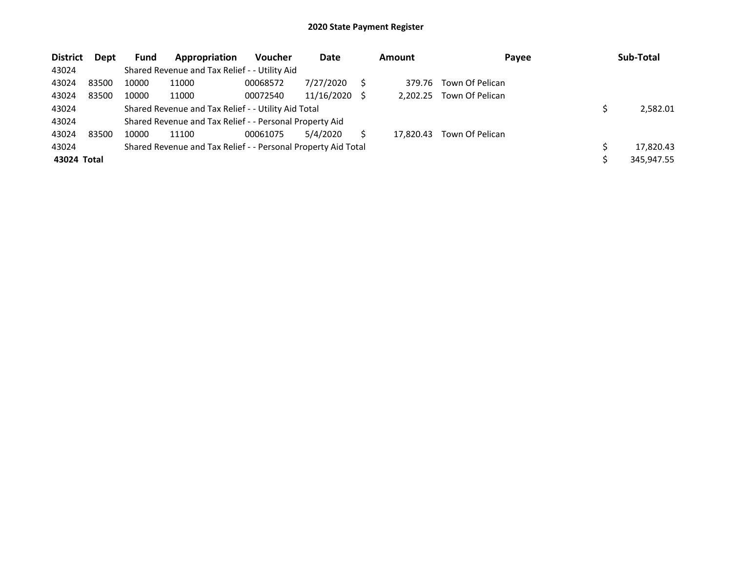| <b>District</b> | <b>Dept</b> | <b>Fund</b> | Appropriation                                                 | <b>Voucher</b> | Date       |     | <b>Amount</b> | Payee           | Sub-Total  |
|-----------------|-------------|-------------|---------------------------------------------------------------|----------------|------------|-----|---------------|-----------------|------------|
| 43024           |             |             | Shared Revenue and Tax Relief - - Utility Aid                 |                |            |     |               |                 |            |
| 43024           | 83500       | 10000       | 11000                                                         | 00068572       | 7/27/2020  |     | 379.76        | Town Of Pelican |            |
| 43024           | 83500       | 10000       | 11000                                                         | 00072540       | 11/16/2020 | - S | 2.202.25      | Town Of Pelican |            |
| 43024           |             |             | Shared Revenue and Tax Relief - - Utility Aid Total           |                |            |     |               |                 | 2.582.01   |
| 43024           |             |             | Shared Revenue and Tax Relief - - Personal Property Aid       |                |            |     |               |                 |            |
| 43024           | 83500       | 10000       | 11100                                                         | 00061075       | 5/4/2020   |     | 17.820.43     | Town Of Pelican |            |
| 43024           |             |             | Shared Revenue and Tax Relief - - Personal Property Aid Total |                |            |     |               |                 | 17,820.43  |
| 43024 Total     |             |             |                                                               |                |            |     |               |                 | 345,947.55 |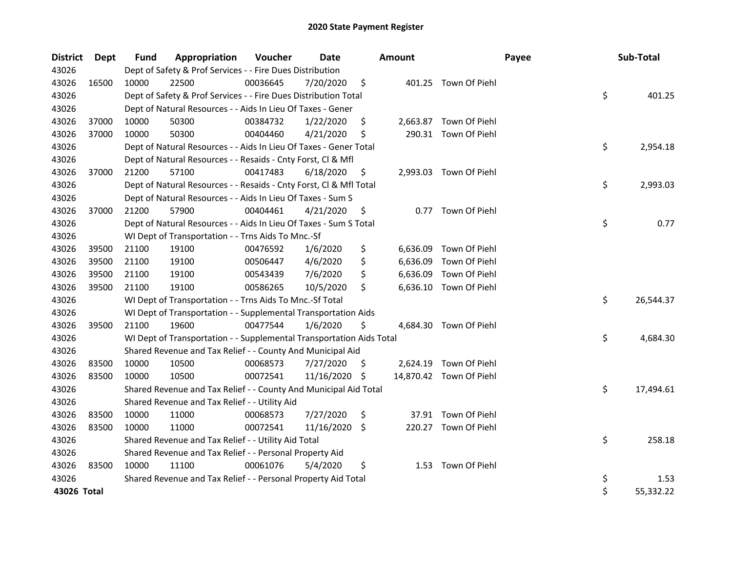| <b>District</b> | Dept  | Fund  | Appropriation                                                        | Voucher  | <b>Date</b> |     | <b>Amount</b> |                         | Payee | Sub-Total |           |
|-----------------|-------|-------|----------------------------------------------------------------------|----------|-------------|-----|---------------|-------------------------|-------|-----------|-----------|
| 43026           |       |       | Dept of Safety & Prof Services - - Fire Dues Distribution            |          |             |     |               |                         |       |           |           |
| 43026           | 16500 | 10000 | 22500                                                                | 00036645 | 7/20/2020   | \$. |               | 401.25 Town Of Piehl    |       |           |           |
| 43026           |       |       | Dept of Safety & Prof Services - - Fire Dues Distribution Total      |          |             |     |               |                         | \$    |           | 401.25    |
| 43026           |       |       | Dept of Natural Resources - - Aids In Lieu Of Taxes - Gener          |          |             |     |               |                         |       |           |           |
| 43026           | 37000 | 10000 | 50300                                                                | 00384732 | 1/22/2020   | \$  |               | 2,663.87 Town Of Piehl  |       |           |           |
| 43026           | 37000 | 10000 | 50300                                                                | 00404460 | 4/21/2020   | \$. |               | 290.31 Town Of Piehl    |       |           |           |
| 43026           |       |       | Dept of Natural Resources - - Aids In Lieu Of Taxes - Gener Total    |          |             |     |               |                         | \$    |           | 2,954.18  |
| 43026           |       |       | Dept of Natural Resources - - Resaids - Cnty Forst, Cl & Mfl         |          |             |     |               |                         |       |           |           |
| 43026           | 37000 | 21200 | 57100                                                                | 00417483 | 6/18/2020   | \$  |               | 2,993.03 Town Of Piehl  |       |           |           |
| 43026           |       |       | Dept of Natural Resources - - Resaids - Cnty Forst, Cl & Mfl Total   |          |             |     |               |                         | \$    |           | 2,993.03  |
| 43026           |       |       | Dept of Natural Resources - - Aids In Lieu Of Taxes - Sum S          |          |             |     |               |                         |       |           |           |
| 43026           | 37000 | 21200 | 57900                                                                | 00404461 | 4/21/2020   | \$  |               | 0.77 Town Of Piehl      |       |           |           |
| 43026           |       |       | Dept of Natural Resources - - Aids In Lieu Of Taxes - Sum S Total    |          |             |     |               |                         | \$    |           | 0.77      |
| 43026           |       |       | WI Dept of Transportation - - Trns Aids To Mnc.-Sf                   |          |             |     |               |                         |       |           |           |
| 43026           | 39500 | 21100 | 19100                                                                | 00476592 | 1/6/2020    | \$  | 6,636.09      | Town Of Piehl           |       |           |           |
| 43026           | 39500 | 21100 | 19100                                                                | 00506447 | 4/6/2020    | \$  | 6,636.09      | Town Of Piehl           |       |           |           |
| 43026           | 39500 | 21100 | 19100                                                                | 00543439 | 7/6/2020    | \$  | 6,636.09      | Town Of Piehl           |       |           |           |
| 43026           | 39500 | 21100 | 19100                                                                | 00586265 | 10/5/2020   | \$  |               | 6,636.10 Town Of Piehl  |       |           |           |
| 43026           |       |       | WI Dept of Transportation - - Trns Aids To Mnc.-Sf Total             |          |             |     |               |                         | \$    |           | 26,544.37 |
| 43026           |       |       | WI Dept of Transportation - - Supplemental Transportation Aids       |          |             |     |               |                         |       |           |           |
| 43026           | 39500 | 21100 | 19600                                                                | 00477544 | 1/6/2020    | \$  |               | 4,684.30 Town Of Piehl  |       |           |           |
| 43026           |       |       | WI Dept of Transportation - - Supplemental Transportation Aids Total |          |             |     |               |                         | \$    |           | 4,684.30  |
| 43026           |       |       | Shared Revenue and Tax Relief - - County And Municipal Aid           |          |             |     |               |                         |       |           |           |
| 43026           | 83500 | 10000 | 10500                                                                | 00068573 | 7/27/2020   | \$  |               | 2,624.19 Town Of Piehl  |       |           |           |
| 43026           | 83500 | 10000 | 10500                                                                | 00072541 | 11/16/2020  | \$. |               | 14,870.42 Town Of Piehl |       |           |           |
| 43026           |       |       | Shared Revenue and Tax Relief - - County And Municipal Aid Total     |          |             |     |               |                         | \$    |           | 17,494.61 |
| 43026           |       |       | Shared Revenue and Tax Relief - - Utility Aid                        |          |             |     |               |                         |       |           |           |
| 43026           | 83500 | 10000 | 11000                                                                | 00068573 | 7/27/2020   | \$  |               | 37.91 Town Of Piehl     |       |           |           |
| 43026           | 83500 | 10000 | 11000                                                                | 00072541 | 11/16/2020  | \$. |               | 220.27 Town Of Piehl    |       |           |           |
| 43026           |       |       | Shared Revenue and Tax Relief - - Utility Aid Total                  |          |             |     |               |                         | \$    |           | 258.18    |
| 43026           |       |       | Shared Revenue and Tax Relief - - Personal Property Aid              |          |             |     |               |                         |       |           |           |
| 43026           | 83500 | 10000 | 11100                                                                | 00061076 | 5/4/2020    | \$  |               | 1.53 Town Of Piehl      |       |           |           |
| 43026           |       |       | Shared Revenue and Tax Relief - - Personal Property Aid Total        |          |             |     |               |                         | \$    |           | 1.53      |
| 43026 Total     |       |       |                                                                      |          |             |     |               |                         | \$    |           | 55,332.22 |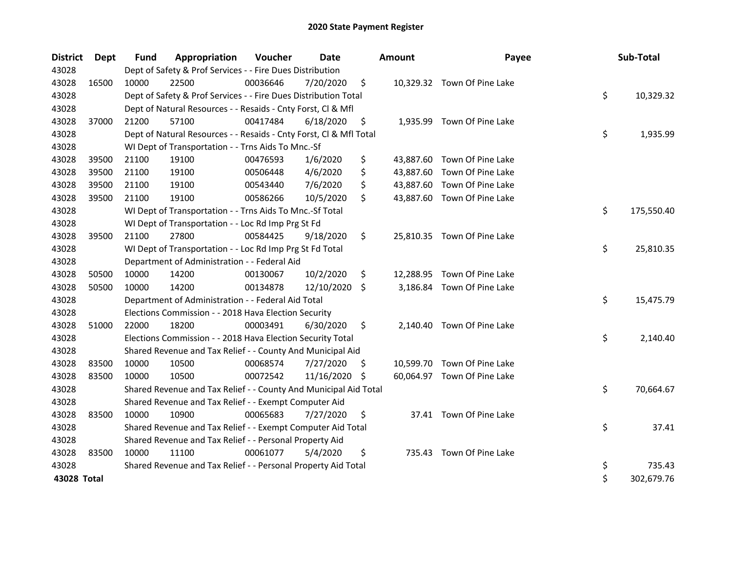| <b>District</b> | <b>Dept</b> | Fund  | Appropriation                                                      | Voucher  | <b>Date</b>   |     | <b>Amount</b> | Payee                       | Sub-Total        |
|-----------------|-------------|-------|--------------------------------------------------------------------|----------|---------------|-----|---------------|-----------------------------|------------------|
| 43028           |             |       | Dept of Safety & Prof Services - - Fire Dues Distribution          |          |               |     |               |                             |                  |
| 43028           | 16500       | 10000 | 22500                                                              | 00036646 | 7/20/2020     | \$  |               | 10,329.32 Town Of Pine Lake |                  |
| 43028           |             |       | Dept of Safety & Prof Services - - Fire Dues Distribution Total    |          |               |     |               |                             | \$<br>10,329.32  |
| 43028           |             |       | Dept of Natural Resources - - Resaids - Cnty Forst, CI & Mfl       |          |               |     |               |                             |                  |
| 43028           | 37000       | 21200 | 57100                                                              | 00417484 | 6/18/2020     | \$  | 1,935.99      | Town Of Pine Lake           |                  |
| 43028           |             |       | Dept of Natural Resources - - Resaids - Cnty Forst, Cl & Mfl Total |          |               |     |               |                             | \$<br>1,935.99   |
| 43028           |             |       | WI Dept of Transportation - - Trns Aids To Mnc.-Sf                 |          |               |     |               |                             |                  |
| 43028           | 39500       | 21100 | 19100                                                              | 00476593 | 1/6/2020      | \$  |               | 43,887.60 Town Of Pine Lake |                  |
| 43028           | 39500       | 21100 | 19100                                                              | 00506448 | 4/6/2020      | \$  |               | 43,887.60 Town Of Pine Lake |                  |
| 43028           | 39500       | 21100 | 19100                                                              | 00543440 | 7/6/2020      | \$  | 43,887.60     | Town Of Pine Lake           |                  |
| 43028           | 39500       | 21100 | 19100                                                              | 00586266 | 10/5/2020     | \$  |               | 43,887.60 Town Of Pine Lake |                  |
| 43028           |             |       | WI Dept of Transportation - - Trns Aids To Mnc.-Sf Total           |          |               |     |               |                             | \$<br>175,550.40 |
| 43028           |             |       | WI Dept of Transportation - - Loc Rd Imp Prg St Fd                 |          |               |     |               |                             |                  |
| 43028           | 39500       | 21100 | 27800                                                              | 00584425 | 9/18/2020     | \$  |               | 25,810.35 Town Of Pine Lake |                  |
| 43028           |             |       | WI Dept of Transportation - - Loc Rd Imp Prg St Fd Total           |          |               |     |               |                             | \$<br>25,810.35  |
| 43028           |             |       | Department of Administration - - Federal Aid                       |          |               |     |               |                             |                  |
| 43028           | 50500       | 10000 | 14200                                                              | 00130067 | 10/2/2020     | \$  |               | 12,288.95 Town Of Pine Lake |                  |
| 43028           | 50500       | 10000 | 14200                                                              | 00134878 | 12/10/2020 \$ |     |               | 3,186.84 Town Of Pine Lake  |                  |
| 43028           |             |       | Department of Administration - - Federal Aid Total                 |          |               |     |               |                             | \$<br>15,475.79  |
| 43028           |             |       | Elections Commission - - 2018 Hava Election Security               |          |               |     |               |                             |                  |
| 43028           | 51000       | 22000 | 18200                                                              | 00003491 | 6/30/2020     | \$  |               | 2,140.40 Town Of Pine Lake  |                  |
| 43028           |             |       | Elections Commission - - 2018 Hava Election Security Total         |          |               |     |               |                             | \$<br>2,140.40   |
| 43028           |             |       | Shared Revenue and Tax Relief - - County And Municipal Aid         |          |               |     |               |                             |                  |
| 43028           | 83500       | 10000 | 10500                                                              | 00068574 | 7/27/2020     | \$. |               | 10,599.70 Town Of Pine Lake |                  |
| 43028           | 83500       | 10000 | 10500                                                              | 00072542 | 11/16/2020    | \$  |               | 60,064.97 Town Of Pine Lake |                  |
| 43028           |             |       | Shared Revenue and Tax Relief - - County And Municipal Aid Total   |          |               |     |               |                             | \$<br>70,664.67  |
| 43028           |             |       | Shared Revenue and Tax Relief - - Exempt Computer Aid              |          |               |     |               |                             |                  |
| 43028           | 83500       | 10000 | 10900                                                              | 00065683 | 7/27/2020     | \$  |               | 37.41 Town Of Pine Lake     |                  |
| 43028           |             |       | Shared Revenue and Tax Relief - - Exempt Computer Aid Total        |          |               |     |               |                             | \$<br>37.41      |
| 43028           |             |       | Shared Revenue and Tax Relief - - Personal Property Aid            |          |               |     |               |                             |                  |
| 43028           | 83500       | 10000 | 11100                                                              | 00061077 | 5/4/2020      | \$  |               | 735.43 Town Of Pine Lake    |                  |
| 43028           |             |       | Shared Revenue and Tax Relief - - Personal Property Aid Total      |          |               |     |               |                             | \$<br>735.43     |
| 43028 Total     |             |       |                                                                    |          |               |     |               |                             | \$<br>302,679.76 |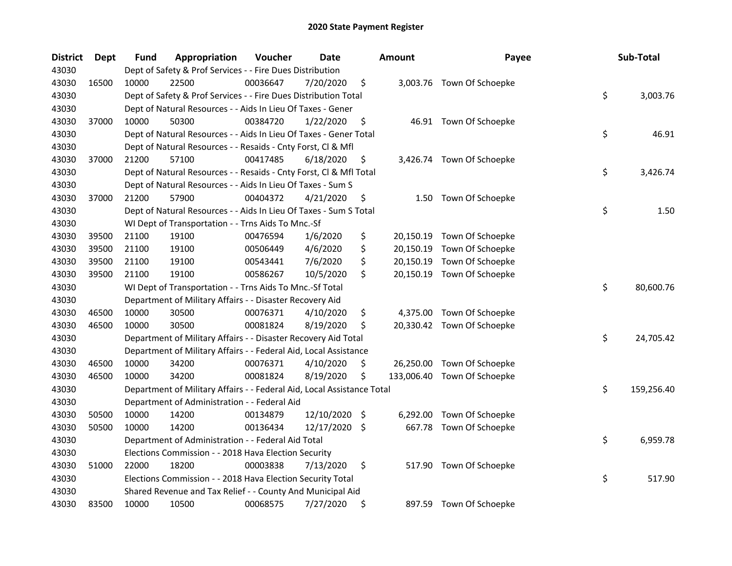| <b>District</b> | Dept  | Fund  | Appropriation                                                          | Voucher  | <b>Date</b>   |     | <b>Amount</b> | Payee                      | Sub-Total        |
|-----------------|-------|-------|------------------------------------------------------------------------|----------|---------------|-----|---------------|----------------------------|------------------|
| 43030           |       |       | Dept of Safety & Prof Services - - Fire Dues Distribution              |          |               |     |               |                            |                  |
| 43030           | 16500 | 10000 | 22500                                                                  | 00036647 | 7/20/2020     | \$  |               | 3,003.76 Town Of Schoepke  |                  |
| 43030           |       |       | Dept of Safety & Prof Services - - Fire Dues Distribution Total        |          |               |     |               |                            | \$<br>3,003.76   |
| 43030           |       |       | Dept of Natural Resources - - Aids In Lieu Of Taxes - Gener            |          |               |     |               |                            |                  |
| 43030           | 37000 | 10000 | 50300                                                                  | 00384720 | 1/22/2020     | \$  |               | 46.91 Town Of Schoepke     |                  |
| 43030           |       |       | Dept of Natural Resources - - Aids In Lieu Of Taxes - Gener Total      |          |               |     |               |                            | \$<br>46.91      |
| 43030           |       |       | Dept of Natural Resources - - Resaids - Cnty Forst, Cl & Mfl           |          |               |     |               |                            |                  |
| 43030           | 37000 | 21200 | 57100                                                                  | 00417485 | 6/18/2020     | \$  |               | 3,426.74 Town Of Schoepke  |                  |
| 43030           |       |       | Dept of Natural Resources - - Resaids - Cnty Forst, Cl & Mfl Total     |          |               |     |               |                            | \$<br>3,426.74   |
| 43030           |       |       | Dept of Natural Resources - - Aids In Lieu Of Taxes - Sum S            |          |               |     |               |                            |                  |
| 43030           | 37000 | 21200 | 57900                                                                  | 00404372 | 4/21/2020     | \$  | 1.50          | Town Of Schoepke           |                  |
| 43030           |       |       | Dept of Natural Resources - - Aids In Lieu Of Taxes - Sum S Total      |          |               |     |               |                            | \$<br>1.50       |
| 43030           |       |       | WI Dept of Transportation - - Trns Aids To Mnc.-Sf                     |          |               |     |               |                            |                  |
| 43030           | 39500 | 21100 | 19100                                                                  | 00476594 | 1/6/2020      | \$  | 20,150.19     | Town Of Schoepke           |                  |
| 43030           | 39500 | 21100 | 19100                                                                  | 00506449 | 4/6/2020      | \$  |               | 20,150.19 Town Of Schoepke |                  |
| 43030           | 39500 | 21100 | 19100                                                                  | 00543441 | 7/6/2020      | \$  | 20,150.19     | Town Of Schoepke           |                  |
| 43030           | 39500 | 21100 | 19100                                                                  | 00586267 | 10/5/2020     | \$  |               | 20,150.19 Town Of Schoepke |                  |
| 43030           |       |       | WI Dept of Transportation - - Trns Aids To Mnc.-Sf Total               |          |               |     |               |                            | \$<br>80,600.76  |
| 43030           |       |       | Department of Military Affairs - - Disaster Recovery Aid               |          |               |     |               |                            |                  |
| 43030           | 46500 | 10000 | 30500                                                                  | 00076371 | 4/10/2020     | \$  | 4,375.00      | Town Of Schoepke           |                  |
| 43030           | 46500 | 10000 | 30500                                                                  | 00081824 | 8/19/2020     | \$  |               | 20,330.42 Town Of Schoepke |                  |
| 43030           |       |       | Department of Military Affairs - - Disaster Recovery Aid Total         |          |               |     |               |                            | \$<br>24,705.42  |
| 43030           |       |       | Department of Military Affairs - - Federal Aid, Local Assistance       |          |               |     |               |                            |                  |
| 43030           | 46500 | 10000 | 34200                                                                  | 00076371 | 4/10/2020     | \$  | 26,250.00     | Town Of Schoepke           |                  |
| 43030           | 46500 | 10000 | 34200                                                                  | 00081824 | 8/19/2020     | \$  | 133,006.40    | Town Of Schoepke           |                  |
| 43030           |       |       | Department of Military Affairs - - Federal Aid, Local Assistance Total |          |               |     |               |                            | \$<br>159,256.40 |
| 43030           |       |       | Department of Administration - - Federal Aid                           |          |               |     |               |                            |                  |
| 43030           | 50500 | 10000 | 14200                                                                  | 00134879 | 12/10/2020 \$ |     | 6,292.00      | Town Of Schoepke           |                  |
| 43030           | 50500 | 10000 | 14200                                                                  | 00136434 | 12/17/2020    | \$. |               | 667.78 Town Of Schoepke    |                  |
| 43030           |       |       | Department of Administration - - Federal Aid Total                     |          |               |     |               |                            | \$<br>6,959.78   |
| 43030           |       |       | Elections Commission - - 2018 Hava Election Security                   |          |               |     |               |                            |                  |
| 43030           | 51000 | 22000 | 18200                                                                  | 00003838 | 7/13/2020     | \$  | 517.90        | Town Of Schoepke           |                  |
| 43030           |       |       | Elections Commission - - 2018 Hava Election Security Total             |          |               |     |               |                            | \$<br>517.90     |
| 43030           |       |       | Shared Revenue and Tax Relief - - County And Municipal Aid             |          |               |     |               |                            |                  |
| 43030           | 83500 | 10000 | 10500                                                                  | 00068575 | 7/27/2020     | \$  | 897.59        | Town Of Schoepke           |                  |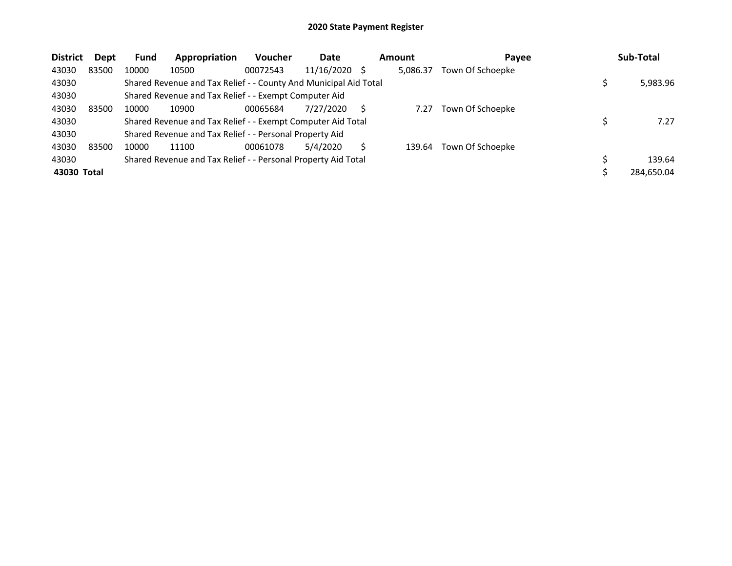| <b>District</b> | <b>Dept</b> | <b>Fund</b> | Appropriation                                                    | <b>Voucher</b> | Date       | <b>Amount</b> | Payee            | Sub-Total  |
|-----------------|-------------|-------------|------------------------------------------------------------------|----------------|------------|---------------|------------------|------------|
| 43030           | 83500       | 10000       | 10500                                                            | 00072543       | 11/16/2020 | 5,086.37      | Town Of Schoepke |            |
| 43030           |             |             | Shared Revenue and Tax Relief - - County And Municipal Aid Total |                |            |               |                  | 5,983.96   |
| 43030           |             |             | Shared Revenue and Tax Relief - - Exempt Computer Aid            |                |            |               |                  |            |
| 43030           | 83500       | 10000       | 10900                                                            | 00065684       | 7/27/2020  | 7.27          | Town Of Schoepke |            |
| 43030           |             |             | Shared Revenue and Tax Relief - - Exempt Computer Aid Total      |                |            |               |                  | 7.27       |
| 43030           |             |             | Shared Revenue and Tax Relief - - Personal Property Aid          |                |            |               |                  |            |
| 43030           | 83500       | 10000       | 11100                                                            | 00061078       | 5/4/2020   | 139.64        | Town Of Schoepke |            |
| 43030           |             |             | Shared Revenue and Tax Relief - - Personal Property Aid Total    |                |            |               |                  | 139.64     |
| 43030 Total     |             |             |                                                                  |                |            |               |                  | 284,650.04 |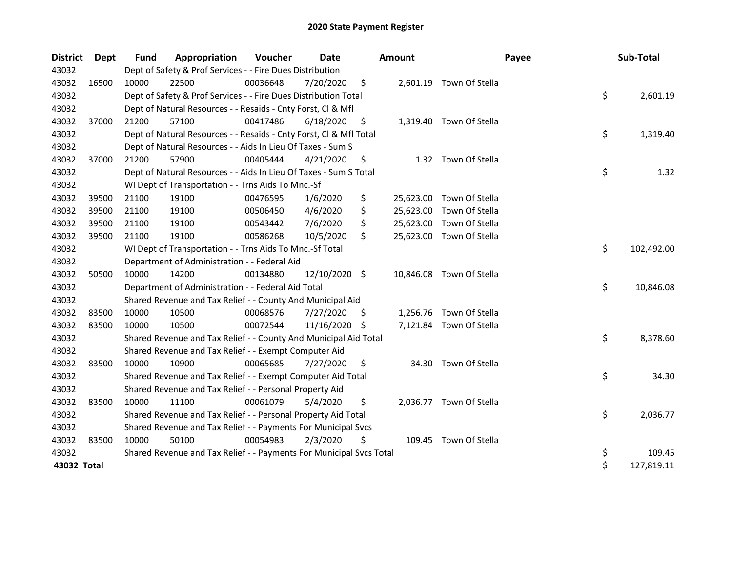| <b>District</b> | Dept  | Fund  | Appropriation                                                       | Voucher  | Date          |     | Amount    |                          | Payee | Sub-Total        |
|-----------------|-------|-------|---------------------------------------------------------------------|----------|---------------|-----|-----------|--------------------------|-------|------------------|
| 43032           |       |       | Dept of Safety & Prof Services - - Fire Dues Distribution           |          |               |     |           |                          |       |                  |
| 43032           | 16500 | 10000 | 22500                                                               | 00036648 | 7/20/2020     | \$  |           | 2,601.19 Town Of Stella  |       |                  |
| 43032           |       |       | Dept of Safety & Prof Services - - Fire Dues Distribution Total     |          |               |     |           |                          |       | \$<br>2,601.19   |
| 43032           |       |       | Dept of Natural Resources - - Resaids - Cnty Forst, Cl & Mfl        |          |               |     |           |                          |       |                  |
| 43032           | 37000 | 21200 | 57100                                                               | 00417486 | 6/18/2020     | \$  |           | 1,319.40 Town Of Stella  |       |                  |
| 43032           |       |       | Dept of Natural Resources - - Resaids - Cnty Forst, Cl & Mfl Total  |          |               |     |           |                          |       | \$<br>1,319.40   |
| 43032           |       |       | Dept of Natural Resources - - Aids In Lieu Of Taxes - Sum S         |          |               |     |           |                          |       |                  |
| 43032           | 37000 | 21200 | 57900                                                               | 00405444 | 4/21/2020     | S   |           | 1.32 Town Of Stella      |       |                  |
| 43032           |       |       | Dept of Natural Resources - - Aids In Lieu Of Taxes - Sum S Total   |          |               |     |           |                          |       | \$<br>1.32       |
| 43032           |       |       | WI Dept of Transportation - - Trns Aids To Mnc.-Sf                  |          |               |     |           |                          |       |                  |
| 43032           | 39500 | 21100 | 19100                                                               | 00476595 | 1/6/2020      | \$  |           | 25,623.00 Town Of Stella |       |                  |
| 43032           | 39500 | 21100 | 19100                                                               | 00506450 | 4/6/2020      | \$  | 25,623.00 | Town Of Stella           |       |                  |
| 43032           | 39500 | 21100 | 19100                                                               | 00543442 | 7/6/2020      | \$  |           | 25,623.00 Town Of Stella |       |                  |
| 43032           | 39500 | 21100 | 19100                                                               | 00586268 | 10/5/2020     | \$  |           | 25,623.00 Town Of Stella |       |                  |
| 43032           |       |       | WI Dept of Transportation - - Trns Aids To Mnc.-Sf Total            |          |               |     |           |                          |       | \$<br>102,492.00 |
| 43032           |       |       | Department of Administration - - Federal Aid                        |          |               |     |           |                          |       |                  |
| 43032           | 50500 | 10000 | 14200                                                               | 00134880 | 12/10/2020 \$ |     |           | 10,846.08 Town Of Stella |       |                  |
| 43032           |       |       | Department of Administration - - Federal Aid Total                  |          |               |     |           |                          |       | \$<br>10,846.08  |
| 43032           |       |       | Shared Revenue and Tax Relief - - County And Municipal Aid          |          |               |     |           |                          |       |                  |
| 43032           | 83500 | 10000 | 10500                                                               | 00068576 | 7/27/2020     | S.  |           | 1,256.76 Town Of Stella  |       |                  |
| 43032           | 83500 | 10000 | 10500                                                               | 00072544 | 11/16/2020 \$ |     |           | 7,121.84 Town Of Stella  |       |                  |
| 43032           |       |       | Shared Revenue and Tax Relief - - County And Municipal Aid Total    |          |               |     |           |                          |       | \$<br>8,378.60   |
| 43032           |       |       | Shared Revenue and Tax Relief - - Exempt Computer Aid               |          |               |     |           |                          |       |                  |
| 43032           | 83500 | 10000 | 10900                                                               | 00065685 | 7/27/2020     | \$. | 34.30     | Town Of Stella           |       |                  |
| 43032           |       |       | Shared Revenue and Tax Relief - - Exempt Computer Aid Total         |          |               |     |           |                          |       | \$<br>34.30      |
| 43032           |       |       | Shared Revenue and Tax Relief - - Personal Property Aid             |          |               |     |           |                          |       |                  |
| 43032           | 83500 | 10000 | 11100                                                               | 00061079 | 5/4/2020      | \$  | 2,036.77  | Town Of Stella           |       |                  |
| 43032           |       |       | Shared Revenue and Tax Relief - - Personal Property Aid Total       |          |               |     |           |                          |       | \$<br>2,036.77   |
| 43032           |       |       | Shared Revenue and Tax Relief - - Payments For Municipal Svcs       |          |               |     |           |                          |       |                  |
| 43032           | 83500 | 10000 | 50100                                                               | 00054983 | 2/3/2020      | \$  |           | 109.45 Town Of Stella    |       |                  |
| 43032           |       |       | Shared Revenue and Tax Relief - - Payments For Municipal Svcs Total |          |               |     |           |                          |       | \$<br>109.45     |
| 43032 Total     |       |       |                                                                     |          |               |     |           |                          |       | \$<br>127,819.11 |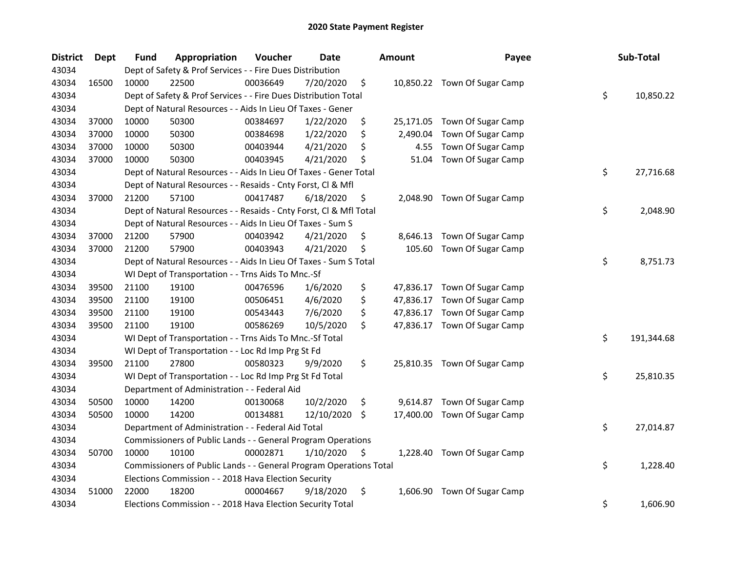| <b>District</b> | <b>Dept</b> | <b>Fund</b> | Appropriation                                                      | Voucher  | <b>Date</b> | <b>Amount</b>   | Payee                        | Sub-Total        |
|-----------------|-------------|-------------|--------------------------------------------------------------------|----------|-------------|-----------------|------------------------------|------------------|
| 43034           |             |             | Dept of Safety & Prof Services - - Fire Dues Distribution          |          |             |                 |                              |                  |
| 43034           | 16500       | 10000       | 22500                                                              | 00036649 | 7/20/2020   | \$              | 10,850.22 Town Of Sugar Camp |                  |
| 43034           |             |             | Dept of Safety & Prof Services - - Fire Dues Distribution Total    |          |             |                 |                              | \$<br>10,850.22  |
| 43034           |             |             | Dept of Natural Resources - - Aids In Lieu Of Taxes - Gener        |          |             |                 |                              |                  |
| 43034           | 37000       | 10000       | 50300                                                              | 00384697 | 1/22/2020   | \$              | 25,171.05 Town Of Sugar Camp |                  |
| 43034           | 37000       | 10000       | 50300                                                              | 00384698 | 1/22/2020   | \$<br>2,490.04  | Town Of Sugar Camp           |                  |
| 43034           | 37000       | 10000       | 50300                                                              | 00403944 | 4/21/2020   | \$<br>4.55      | Town Of Sugar Camp           |                  |
| 43034           | 37000       | 10000       | 50300                                                              | 00403945 | 4/21/2020   | \$<br>51.04     | Town Of Sugar Camp           |                  |
| 43034           |             |             | Dept of Natural Resources - - Aids In Lieu Of Taxes - Gener Total  |          |             |                 |                              | \$<br>27,716.68  |
| 43034           |             |             | Dept of Natural Resources - - Resaids - Cnty Forst, Cl & Mfl       |          |             |                 |                              |                  |
| 43034           | 37000       | 21200       | 57100                                                              | 00417487 | 6/18/2020   | \$              | 2,048.90 Town Of Sugar Camp  |                  |
| 43034           |             |             | Dept of Natural Resources - - Resaids - Cnty Forst, Cl & Mfl Total |          |             |                 |                              | \$<br>2,048.90   |
| 43034           |             |             | Dept of Natural Resources - - Aids In Lieu Of Taxes - Sum S        |          |             |                 |                              |                  |
| 43034           | 37000       | 21200       | 57900                                                              | 00403942 | 4/21/2020   | \$<br>8,646.13  | Town Of Sugar Camp           |                  |
| 43034           | 37000       | 21200       | 57900                                                              | 00403943 | 4/21/2020   | \$<br>105.60    | Town Of Sugar Camp           |                  |
| 43034           |             |             | Dept of Natural Resources - - Aids In Lieu Of Taxes - Sum S Total  |          |             |                 |                              | \$<br>8,751.73   |
| 43034           |             |             | WI Dept of Transportation - - Trns Aids To Mnc.-Sf                 |          |             |                 |                              |                  |
| 43034           | 39500       | 21100       | 19100                                                              | 00476596 | 1/6/2020    | \$<br>47,836.17 | Town Of Sugar Camp           |                  |
| 43034           | 39500       | 21100       | 19100                                                              | 00506451 | 4/6/2020    | \$<br>47,836.17 | Town Of Sugar Camp           |                  |
| 43034           | 39500       | 21100       | 19100                                                              | 00543443 | 7/6/2020    | \$<br>47,836.17 | Town Of Sugar Camp           |                  |
| 43034           | 39500       | 21100       | 19100                                                              | 00586269 | 10/5/2020   | \$              | 47,836.17 Town Of Sugar Camp |                  |
| 43034           |             |             | WI Dept of Transportation - - Trns Aids To Mnc.-Sf Total           |          |             |                 |                              | \$<br>191,344.68 |
| 43034           |             |             | WI Dept of Transportation - - Loc Rd Imp Prg St Fd                 |          |             |                 |                              |                  |
| 43034           | 39500       | 21100       | 27800                                                              | 00580323 | 9/9/2020    | \$              | 25,810.35 Town Of Sugar Camp |                  |
| 43034           |             |             | WI Dept of Transportation - - Loc Rd Imp Prg St Fd Total           |          |             |                 |                              | \$<br>25,810.35  |
| 43034           |             |             | Department of Administration - - Federal Aid                       |          |             |                 |                              |                  |
| 43034           | 50500       | 10000       | 14200                                                              | 00130068 | 10/2/2020   | \$              | 9,614.87 Town Of Sugar Camp  |                  |
| 43034           | 50500       | 10000       | 14200                                                              | 00134881 | 12/10/2020  | \$              | 17,400.00 Town Of Sugar Camp |                  |
| 43034           |             |             | Department of Administration - - Federal Aid Total                 |          |             |                 |                              | \$<br>27,014.87  |
| 43034           |             |             | Commissioners of Public Lands - - General Program Operations       |          |             |                 |                              |                  |
| 43034           | 50700       | 10000       | 10100                                                              | 00002871 | 1/10/2020   | \$              | 1,228.40 Town Of Sugar Camp  |                  |
| 43034           |             |             | Commissioners of Public Lands - - General Program Operations Total |          |             |                 |                              | \$<br>1,228.40   |
| 43034           |             |             | Elections Commission - - 2018 Hava Election Security               |          |             |                 |                              |                  |
| 43034           | 51000       | 22000       | 18200                                                              | 00004667 | 9/18/2020   | \$              | 1,606.90 Town Of Sugar Camp  |                  |
| 43034           |             |             | Elections Commission - - 2018 Hava Election Security Total         |          |             |                 |                              | \$<br>1,606.90   |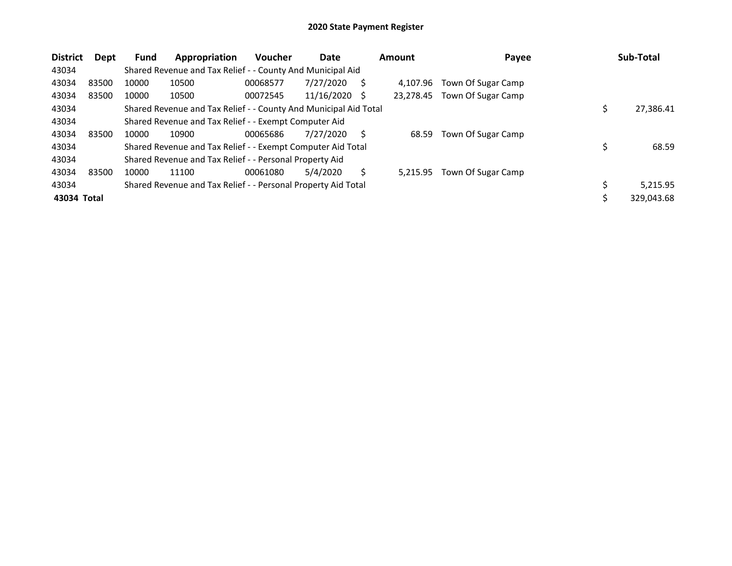| <b>District</b> | <b>Dept</b> | <b>Fund</b> | Appropriation                                                    | <b>Voucher</b> | Date          |   | <b>Amount</b> | Payee              | Sub-Total      |
|-----------------|-------------|-------------|------------------------------------------------------------------|----------------|---------------|---|---------------|--------------------|----------------|
| 43034           |             |             | Shared Revenue and Tax Relief - - County And Municipal Aid       |                |               |   |               |                    |                |
| 43034           | 83500       | 10000       | 10500                                                            | 00068577       | 7/27/2020     | S | 4.107.96      | Town Of Sugar Camp |                |
| 43034           | 83500       | 10000       | 10500                                                            | 00072545       | 11/16/2020 \$ |   | 23,278.45     | Town Of Sugar Camp |                |
| 43034           |             |             | Shared Revenue and Tax Relief - - County And Municipal Aid Total |                |               |   |               |                    | 27,386.41      |
| 43034           |             |             | Shared Revenue and Tax Relief - - Exempt Computer Aid            |                |               |   |               |                    |                |
| 43034           | 83500       | 10000       | 10900                                                            | 00065686       | 7/27/2020     | S | 68.59         | Town Of Sugar Camp |                |
| 43034           |             |             | Shared Revenue and Tax Relief - - Exempt Computer Aid Total      |                |               |   |               |                    | 68.59          |
| 43034           |             |             | Shared Revenue and Tax Relief - - Personal Property Aid          |                |               |   |               |                    |                |
| 43034           | 83500       | 10000       | 11100                                                            | 00061080       | 5/4/2020      | Ś | 5.215.95      | Town Of Sugar Camp |                |
| 43034           |             |             | Shared Revenue and Tax Relief - - Personal Property Aid Total    |                |               |   |               |                    | \$<br>5,215.95 |
| 43034 Total     |             |             |                                                                  |                |               |   |               |                    | 329,043.68     |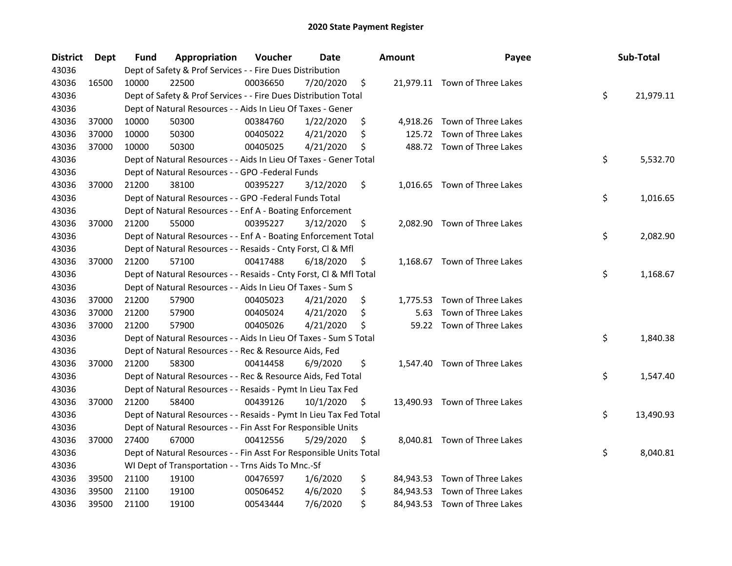| <b>District</b> | Dept  | Fund  | Appropriation                                                      | Voucher  | <b>Date</b> |     | <b>Amount</b> | Payee                         | Sub-Total       |
|-----------------|-------|-------|--------------------------------------------------------------------|----------|-------------|-----|---------------|-------------------------------|-----------------|
| 43036           |       |       | Dept of Safety & Prof Services - - Fire Dues Distribution          |          |             |     |               |                               |                 |
| 43036           | 16500 | 10000 | 22500                                                              | 00036650 | 7/20/2020   | \$  |               | 21,979.11 Town of Three Lakes |                 |
| 43036           |       |       | Dept of Safety & Prof Services - - Fire Dues Distribution Total    |          |             |     |               |                               | \$<br>21,979.11 |
| 43036           |       |       | Dept of Natural Resources - - Aids In Lieu Of Taxes - Gener        |          |             |     |               |                               |                 |
| 43036           | 37000 | 10000 | 50300                                                              | 00384760 | 1/22/2020   | \$  |               | 4,918.26 Town of Three Lakes  |                 |
| 43036           | 37000 | 10000 | 50300                                                              | 00405022 | 4/21/2020   | \$  |               | 125.72 Town of Three Lakes    |                 |
| 43036           | 37000 | 10000 | 50300                                                              | 00405025 | 4/21/2020   | \$  |               | 488.72 Town of Three Lakes    |                 |
| 43036           |       |       | Dept of Natural Resources - - Aids In Lieu Of Taxes - Gener Total  |          |             |     |               |                               | \$<br>5,532.70  |
| 43036           |       |       | Dept of Natural Resources - - GPO -Federal Funds                   |          |             |     |               |                               |                 |
| 43036           | 37000 | 21200 | 38100                                                              | 00395227 | 3/12/2020   | \$  |               | 1,016.65 Town of Three Lakes  |                 |
| 43036           |       |       | Dept of Natural Resources - - GPO -Federal Funds Total             |          |             |     |               |                               | \$<br>1,016.65  |
| 43036           |       |       | Dept of Natural Resources - - Enf A - Boating Enforcement          |          |             |     |               |                               |                 |
| 43036           | 37000 | 21200 | 55000                                                              | 00395227 | 3/12/2020   | \$  |               | 2,082.90 Town of Three Lakes  |                 |
| 43036           |       |       | Dept of Natural Resources - - Enf A - Boating Enforcement Total    |          |             |     |               |                               | \$<br>2,082.90  |
| 43036           |       |       | Dept of Natural Resources - - Resaids - Cnty Forst, Cl & Mfl       |          |             |     |               |                               |                 |
| 43036           | 37000 | 21200 | 57100                                                              | 00417488 | 6/18/2020   | \$  |               | 1,168.67 Town of Three Lakes  |                 |
| 43036           |       |       | Dept of Natural Resources - - Resaids - Cnty Forst, Cl & Mfl Total |          |             |     |               |                               | \$<br>1,168.67  |
| 43036           |       |       | Dept of Natural Resources - - Aids In Lieu Of Taxes - Sum S        |          |             |     |               |                               |                 |
| 43036           | 37000 | 21200 | 57900                                                              | 00405023 | 4/21/2020   | \$  |               | 1,775.53 Town of Three Lakes  |                 |
| 43036           | 37000 | 21200 | 57900                                                              | 00405024 | 4/21/2020   | \$  | 5.63          | Town of Three Lakes           |                 |
| 43036           | 37000 | 21200 | 57900                                                              | 00405026 | 4/21/2020   | \$  |               | 59.22 Town of Three Lakes     |                 |
| 43036           |       |       | Dept of Natural Resources - - Aids In Lieu Of Taxes - Sum S Total  |          |             |     |               |                               | \$<br>1,840.38  |
| 43036           |       |       | Dept of Natural Resources - - Rec & Resource Aids, Fed             |          |             |     |               |                               |                 |
| 43036           | 37000 | 21200 | 58300                                                              | 00414458 | 6/9/2020    | \$  |               | 1,547.40 Town of Three Lakes  |                 |
| 43036           |       |       | Dept of Natural Resources - - Rec & Resource Aids, Fed Total       |          |             |     |               |                               | \$<br>1,547.40  |
| 43036           |       |       | Dept of Natural Resources - - Resaids - Pymt In Lieu Tax Fed       |          |             |     |               |                               |                 |
| 43036           | 37000 | 21200 | 58400                                                              | 00439126 | 10/1/2020   | \$. |               | 13,490.93 Town of Three Lakes |                 |
| 43036           |       |       | Dept of Natural Resources - - Resaids - Pymt In Lieu Tax Fed Total |          |             |     |               |                               | \$<br>13,490.93 |
| 43036           |       |       | Dept of Natural Resources - - Fin Asst For Responsible Units       |          |             |     |               |                               |                 |
| 43036           | 37000 | 27400 | 67000                                                              | 00412556 | 5/29/2020   | \$. |               | 8,040.81 Town of Three Lakes  |                 |
| 43036           |       |       | Dept of Natural Resources - - Fin Asst For Responsible Units Total |          |             |     |               |                               | \$<br>8,040.81  |
| 43036           |       |       | WI Dept of Transportation - - Trns Aids To Mnc.-Sf                 |          |             |     |               |                               |                 |
| 43036           | 39500 | 21100 | 19100                                                              | 00476597 | 1/6/2020    | \$  |               | 84,943.53 Town of Three Lakes |                 |
| 43036           | 39500 | 21100 | 19100                                                              | 00506452 | 4/6/2020    | \$  |               | 84,943.53 Town of Three Lakes |                 |
| 43036           | 39500 | 21100 | 19100                                                              | 00543444 | 7/6/2020    | \$  |               | 84,943.53 Town of Three Lakes |                 |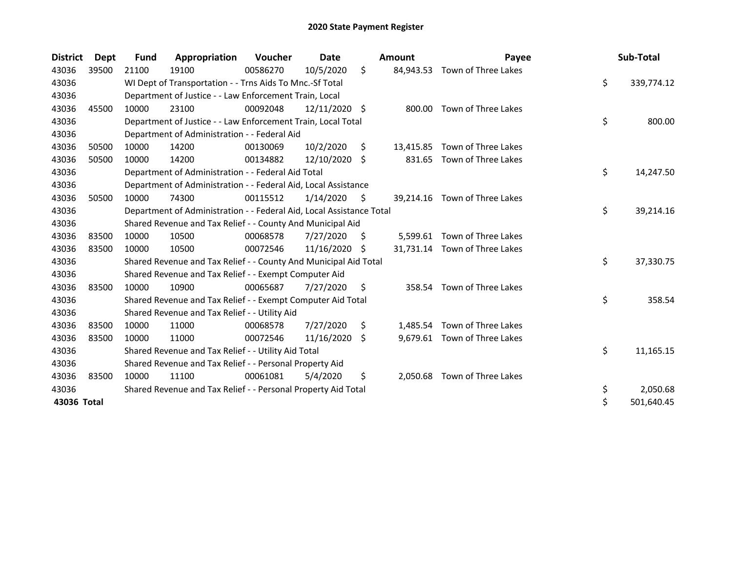| <b>District</b> | Dept  | <b>Fund</b> | Appropriation                                                        | <b>Voucher</b> | Date          |     | Amount    | Payee                         | Sub-Total        |
|-----------------|-------|-------------|----------------------------------------------------------------------|----------------|---------------|-----|-----------|-------------------------------|------------------|
| 43036           | 39500 | 21100       | 19100                                                                | 00586270       | 10/5/2020     | \$  | 84,943.53 | Town of Three Lakes           |                  |
| 43036           |       |             | WI Dept of Transportation - - Trns Aids To Mnc.-Sf Total             |                |               |     |           |                               | \$<br>339,774.12 |
| 43036           |       |             | Department of Justice - - Law Enforcement Train, Local               |                |               |     |           |                               |                  |
| 43036           | 45500 | 10000       | 23100                                                                | 00092048       | 12/11/2020 \$ |     | 800.00    | Town of Three Lakes           |                  |
| 43036           |       |             | Department of Justice - - Law Enforcement Train, Local Total         |                |               |     |           |                               | \$<br>800.00     |
| 43036           |       |             | Department of Administration - - Federal Aid                         |                |               |     |           |                               |                  |
| 43036           | 50500 | 10000       | 14200                                                                | 00130069       | 10/2/2020     | \$. | 13,415.85 | Town of Three Lakes           |                  |
| 43036           | 50500 | 10000       | 14200                                                                | 00134882       | 12/10/2020 \$ |     |           | 831.65 Town of Three Lakes    |                  |
| 43036           |       |             | Department of Administration - - Federal Aid Total                   |                |               |     |           |                               | \$<br>14,247.50  |
| 43036           |       |             | Department of Administration - - Federal Aid, Local Assistance       |                |               |     |           |                               |                  |
| 43036           | 50500 | 10000       | 74300                                                                | 00115512       | 1/14/2020     | \$  |           | 39,214.16 Town of Three Lakes |                  |
| 43036           |       |             | Department of Administration - - Federal Aid, Local Assistance Total |                |               |     |           |                               | \$<br>39,214.16  |
| 43036           |       |             | Shared Revenue and Tax Relief - - County And Municipal Aid           |                |               |     |           |                               |                  |
| 43036           | 83500 | 10000       | 10500                                                                | 00068578       | 7/27/2020     | \$  |           | 5,599.61 Town of Three Lakes  |                  |
| 43036           | 83500 | 10000       | 10500                                                                | 00072546       | 11/16/2020    | -S  |           | 31,731.14 Town of Three Lakes |                  |
| 43036           |       |             | Shared Revenue and Tax Relief - - County And Municipal Aid Total     |                |               |     |           |                               | \$<br>37,330.75  |
| 43036           |       |             | Shared Revenue and Tax Relief - - Exempt Computer Aid                |                |               |     |           |                               |                  |
| 43036           | 83500 | 10000       | 10900                                                                | 00065687       | 7/27/2020     | S.  |           | 358.54 Town of Three Lakes    |                  |
| 43036           |       |             | Shared Revenue and Tax Relief - - Exempt Computer Aid Total          |                |               |     |           |                               | \$<br>358.54     |
| 43036           |       |             | Shared Revenue and Tax Relief - - Utility Aid                        |                |               |     |           |                               |                  |
| 43036           | 83500 | 10000       | 11000                                                                | 00068578       | 7/27/2020     | Ŝ.  |           | 1,485.54 Town of Three Lakes  |                  |
| 43036           | 83500 | 10000       | 11000                                                                | 00072546       | 11/16/2020    | Ŝ.  |           | 9,679.61 Town of Three Lakes  |                  |
| 43036           |       |             | Shared Revenue and Tax Relief - - Utility Aid Total                  |                |               |     |           |                               | \$<br>11,165.15  |
| 43036           |       |             | Shared Revenue and Tax Relief - - Personal Property Aid              |                |               |     |           |                               |                  |
| 43036           | 83500 | 10000       | 11100                                                                | 00061081       | 5/4/2020      | \$  | 2,050.68  | Town of Three Lakes           |                  |
| 43036           |       |             | Shared Revenue and Tax Relief - - Personal Property Aid Total        |                |               |     |           |                               | \$<br>2,050.68   |
| 43036 Total     |       |             |                                                                      |                |               |     |           |                               | \$<br>501,640.45 |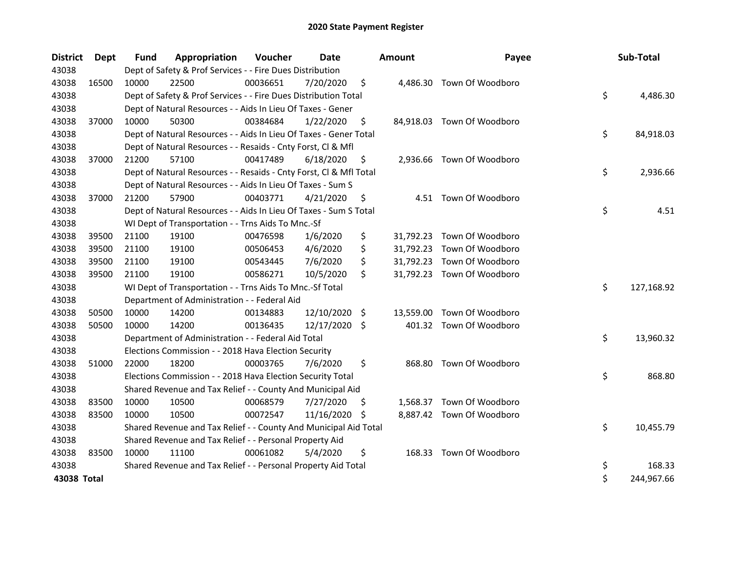| <b>District</b> | <b>Dept</b> | <b>Fund</b> | Appropriation                                                      | Voucher  | <b>Date</b>   |     | <b>Amount</b> | Payee                      |    | Sub-Total  |
|-----------------|-------------|-------------|--------------------------------------------------------------------|----------|---------------|-----|---------------|----------------------------|----|------------|
| 43038           |             |             | Dept of Safety & Prof Services - - Fire Dues Distribution          |          |               |     |               |                            |    |            |
| 43038           | 16500       | 10000       | 22500                                                              | 00036651 | 7/20/2020     | \$  |               | 4,486.30 Town Of Woodboro  |    |            |
| 43038           |             |             | Dept of Safety & Prof Services - - Fire Dues Distribution Total    |          |               |     |               |                            | \$ | 4,486.30   |
| 43038           |             |             | Dept of Natural Resources - - Aids In Lieu Of Taxes - Gener        |          |               |     |               |                            |    |            |
| 43038           | 37000       | 10000       | 50300                                                              | 00384684 | 1/22/2020     | \$  |               | 84,918.03 Town Of Woodboro |    |            |
| 43038           |             |             | Dept of Natural Resources - - Aids In Lieu Of Taxes - Gener Total  |          |               |     |               |                            | \$ | 84,918.03  |
| 43038           |             |             | Dept of Natural Resources - - Resaids - Cnty Forst, Cl & Mfl       |          |               |     |               |                            |    |            |
| 43038           | 37000       | 21200       | 57100                                                              | 00417489 | 6/18/2020     | \$  |               | 2,936.66 Town Of Woodboro  |    |            |
| 43038           |             |             | Dept of Natural Resources - - Resaids - Cnty Forst, Cl & Mfl Total |          |               |     |               |                            | \$ | 2,936.66   |
| 43038           |             |             | Dept of Natural Resources - - Aids In Lieu Of Taxes - Sum S        |          |               |     |               |                            |    |            |
| 43038           | 37000       | 21200       | 57900                                                              | 00403771 | 4/21/2020     | S   |               | 4.51 Town Of Woodboro      |    |            |
| 43038           |             |             | Dept of Natural Resources - - Aids In Lieu Of Taxes - Sum S Total  |          |               |     |               |                            | \$ | 4.51       |
| 43038           |             |             | WI Dept of Transportation - - Trns Aids To Mnc.-Sf                 |          |               |     |               |                            |    |            |
| 43038           | 39500       | 21100       | 19100                                                              | 00476598 | 1/6/2020      | \$  |               | 31,792.23 Town Of Woodboro |    |            |
| 43038           | 39500       | 21100       | 19100                                                              | 00506453 | 4/6/2020      | \$  |               | 31,792.23 Town Of Woodboro |    |            |
| 43038           | 39500       | 21100       | 19100                                                              | 00543445 | 7/6/2020      | \$  |               | 31,792.23 Town Of Woodboro |    |            |
| 43038           | 39500       | 21100       | 19100                                                              | 00586271 | 10/5/2020     | \$  |               | 31,792.23 Town Of Woodboro |    |            |
| 43038           |             |             | WI Dept of Transportation - - Trns Aids To Mnc.-Sf Total           |          |               |     |               |                            | \$ | 127,168.92 |
| 43038           |             |             | Department of Administration - - Federal Aid                       |          |               |     |               |                            |    |            |
| 43038           | 50500       | 10000       | 14200                                                              | 00134883 | 12/10/2020    | -\$ |               | 13,559.00 Town Of Woodboro |    |            |
| 43038           | 50500       | 10000       | 14200                                                              | 00136435 | 12/17/2020    | \$  |               | 401.32 Town Of Woodboro    |    |            |
| 43038           |             |             | Department of Administration - - Federal Aid Total                 |          |               |     |               |                            | \$ | 13,960.32  |
| 43038           |             |             | Elections Commission - - 2018 Hava Election Security               |          |               |     |               |                            |    |            |
| 43038           | 51000       | 22000       | 18200                                                              | 00003765 | 7/6/2020      | \$  |               | 868.80 Town Of Woodboro    |    |            |
| 43038           |             |             | Elections Commission - - 2018 Hava Election Security Total         |          |               |     |               |                            | \$ | 868.80     |
| 43038           |             |             | Shared Revenue and Tax Relief - - County And Municipal Aid         |          |               |     |               |                            |    |            |
| 43038           | 83500       | 10000       | 10500                                                              | 00068579 | 7/27/2020     | \$  |               | 1,568.37 Town Of Woodboro  |    |            |
| 43038           | 83500       | 10000       | 10500                                                              | 00072547 | 11/16/2020 \$ |     |               | 8,887.42 Town Of Woodboro  |    |            |
| 43038           |             |             | Shared Revenue and Tax Relief - - County And Municipal Aid Total   |          |               |     |               |                            | \$ | 10,455.79  |
| 43038           |             |             | Shared Revenue and Tax Relief - - Personal Property Aid            |          |               |     |               |                            |    |            |
| 43038           | 83500       | 10000       | 11100                                                              | 00061082 | 5/4/2020      | \$  |               | 168.33 Town Of Woodboro    |    |            |
| 43038           |             |             | Shared Revenue and Tax Relief - - Personal Property Aid Total      |          |               |     |               |                            | \$ | 168.33     |
| 43038 Total     |             |             |                                                                    |          |               |     |               |                            | \$ | 244,967.66 |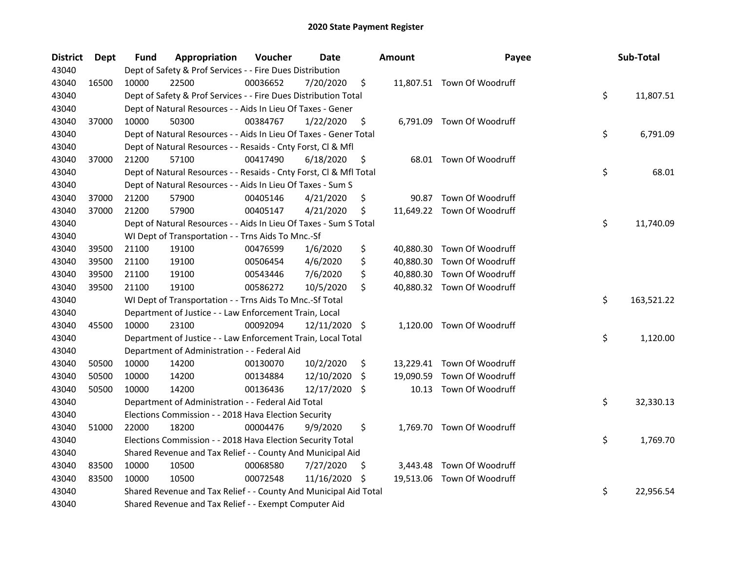| <b>District</b> | <b>Dept</b> | Fund                                                         | Appropriation                                                      | Voucher  | <b>Date</b>   |     | <b>Amount</b> | Payee                      |    | Sub-Total  |
|-----------------|-------------|--------------------------------------------------------------|--------------------------------------------------------------------|----------|---------------|-----|---------------|----------------------------|----|------------|
| 43040           |             |                                                              | Dept of Safety & Prof Services - - Fire Dues Distribution          |          |               |     |               |                            |    |            |
| 43040           | 16500       | 10000                                                        | 22500                                                              | 00036652 | 7/20/2020     | \$  |               | 11,807.51 Town Of Woodruff |    |            |
| 43040           |             |                                                              | Dept of Safety & Prof Services - - Fire Dues Distribution Total    |          |               |     |               |                            | \$ | 11,807.51  |
| 43040           |             |                                                              | Dept of Natural Resources - - Aids In Lieu Of Taxes - Gener        |          |               |     |               |                            |    |            |
| 43040           | 37000       | 10000                                                        | 50300                                                              | 00384767 | 1/22/2020     | \$  |               | 6,791.09 Town Of Woodruff  |    |            |
| 43040           |             |                                                              | Dept of Natural Resources - - Aids In Lieu Of Taxes - Gener Total  |          |               |     |               |                            | \$ | 6,791.09   |
| 43040           |             | Dept of Natural Resources - - Resaids - Cnty Forst, Cl & Mfl |                                                                    |          |               |     |               |                            |    |            |
| 43040           | 37000       | 21200                                                        | 57100                                                              | 00417490 | 6/18/2020     | \$  |               | 68.01 Town Of Woodruff     |    |            |
| 43040           |             |                                                              | Dept of Natural Resources - - Resaids - Cnty Forst, Cl & Mfl Total |          |               |     |               |                            | \$ | 68.01      |
| 43040           |             | Dept of Natural Resources - - Aids In Lieu Of Taxes - Sum S  |                                                                    |          |               |     |               |                            |    |            |
| 43040           | 37000       | 21200                                                        | 57900                                                              | 00405146 | 4/21/2020     | \$  | 90.87         | Town Of Woodruff           |    |            |
| 43040           | 37000       | 21200                                                        | 57900                                                              | 00405147 | 4/21/2020     | \$  |               | 11,649.22 Town Of Woodruff |    |            |
| 43040           |             |                                                              | Dept of Natural Resources - - Aids In Lieu Of Taxes - Sum S Total  |          |               |     |               |                            | \$ | 11,740.09  |
| 43040           |             |                                                              | WI Dept of Transportation - - Trns Aids To Mnc.-Sf                 |          |               |     |               |                            |    |            |
| 43040           | 39500       | 21100                                                        | 19100                                                              | 00476599 | 1/6/2020      | \$  | 40,880.30     | Town Of Woodruff           |    |            |
| 43040           | 39500       | 21100                                                        | 19100                                                              | 00506454 | 4/6/2020      | \$  | 40,880.30     | Town Of Woodruff           |    |            |
| 43040           | 39500       | 21100                                                        | 19100                                                              | 00543446 | 7/6/2020      | \$  | 40,880.30     | Town Of Woodruff           |    |            |
| 43040           | 39500       | 21100                                                        | 19100                                                              | 00586272 | 10/5/2020     | \$  |               | 40,880.32 Town Of Woodruff |    |            |
| 43040           |             |                                                              | WI Dept of Transportation - - Trns Aids To Mnc.-Sf Total           |          |               |     |               |                            | \$ | 163,521.22 |
| 43040           |             |                                                              | Department of Justice - - Law Enforcement Train, Local             |          |               |     |               |                            |    |            |
| 43040           | 45500       | 10000                                                        | 23100                                                              | 00092094 | 12/11/2020    | \$  | 1,120.00      | Town Of Woodruff           |    |            |
| 43040           |             |                                                              | Department of Justice - - Law Enforcement Train, Local Total       |          |               |     |               |                            | \$ | 1,120.00   |
| 43040           |             |                                                              | Department of Administration - - Federal Aid                       |          |               |     |               |                            |    |            |
| 43040           | 50500       | 10000                                                        | 14200                                                              | 00130070 | 10/2/2020     | \$  |               | 13,229.41 Town Of Woodruff |    |            |
| 43040           | 50500       | 10000                                                        | 14200                                                              | 00134884 | 12/10/2020    | \$. | 19,090.59     | Town Of Woodruff           |    |            |
| 43040           | 50500       | 10000                                                        | 14200                                                              | 00136436 | 12/17/2020 \$ |     |               | 10.13 Town Of Woodruff     |    |            |
| 43040           |             |                                                              | Department of Administration - - Federal Aid Total                 |          |               |     |               |                            | \$ | 32,330.13  |
| 43040           |             |                                                              | Elections Commission - - 2018 Hava Election Security               |          |               |     |               |                            |    |            |
| 43040           | 51000       | 22000                                                        | 18200                                                              | 00004476 | 9/9/2020      | \$  |               | 1,769.70 Town Of Woodruff  |    |            |
| 43040           |             |                                                              | Elections Commission - - 2018 Hava Election Security Total         |          |               |     |               |                            | \$ | 1,769.70   |
| 43040           |             | Shared Revenue and Tax Relief - - County And Municipal Aid   |                                                                    |          |               |     |               |                            |    |            |
| 43040           | 83500       | 10000                                                        | 10500                                                              | 00068580 | 7/27/2020     | \$  |               | 3,443.48 Town Of Woodruff  |    |            |
| 43040           | 83500       | 10000                                                        | 10500                                                              | 00072548 | 11/16/2020    | \$  |               | 19,513.06 Town Of Woodruff |    |            |
| 43040           |             |                                                              | Shared Revenue and Tax Relief - - County And Municipal Aid Total   |          |               |     |               |                            | \$ | 22,956.54  |
| 43040           |             |                                                              | Shared Revenue and Tax Relief - - Exempt Computer Aid              |          |               |     |               |                            |    |            |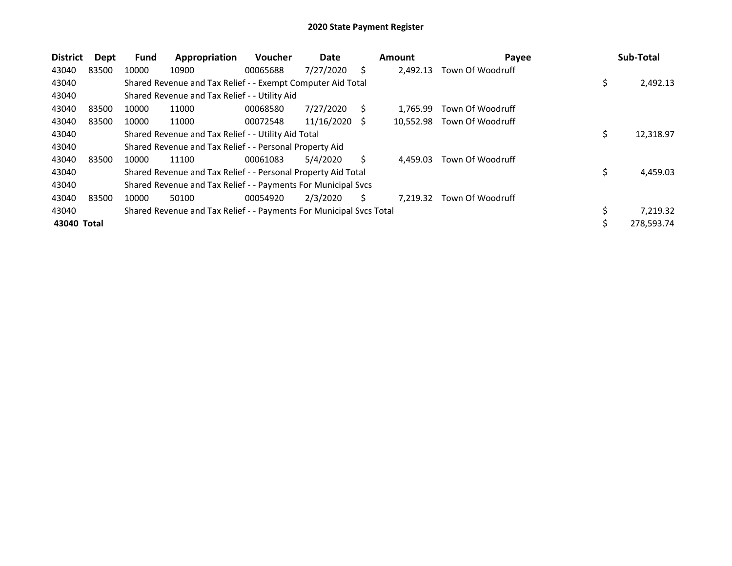| <b>District</b> | <b>Dept</b> | Fund  | Appropriation                                                       | Voucher  | Date       |    | <b>Amount</b> | Payee            |    | Sub-Total  |  |
|-----------------|-------------|-------|---------------------------------------------------------------------|----------|------------|----|---------------|------------------|----|------------|--|
| 43040           | 83500       | 10000 | 10900                                                               | 00065688 | 7/27/2020  | Ś  | 2.492.13      | Town Of Woodruff |    |            |  |
| 43040           |             |       | Shared Revenue and Tax Relief - - Exempt Computer Aid Total         |          |            |    |               |                  | \$ | 2,492.13   |  |
| 43040           |             |       | Shared Revenue and Tax Relief - - Utility Aid                       |          |            |    |               |                  |    |            |  |
| 43040           | 83500       | 10000 | 11000                                                               | 00068580 | 7/27/2020  | S  | 1.765.99      | Town Of Woodruff |    |            |  |
| 43040           | 83500       | 10000 | 11000                                                               | 00072548 | 11/16/2020 | S  | 10.552.98     | Town Of Woodruff |    |            |  |
| 43040           |             |       | Shared Revenue and Tax Relief - - Utility Aid Total                 | \$       | 12,318.97  |    |               |                  |    |            |  |
| 43040           |             |       | Shared Revenue and Tax Relief - - Personal Property Aid             |          |            |    |               |                  |    |            |  |
| 43040           | 83500       | 10000 | 11100                                                               | 00061083 | 5/4/2020   | Ś  | 4.459.03      | Town Of Woodruff |    |            |  |
| 43040           |             |       | Shared Revenue and Tax Relief - - Personal Property Aid Total       |          |            |    |               |                  | \$ | 4,459.03   |  |
| 43040           |             |       | Shared Revenue and Tax Relief - - Payments For Municipal Svcs       |          |            |    |               |                  |    |            |  |
| 43040           | 83500       | 10000 | 50100                                                               | 00054920 | 2/3/2020   | Ś. | 7.219.32      | Town Of Woodruff |    |            |  |
| 43040           |             |       | Shared Revenue and Tax Relief - - Payments For Municipal Svcs Total |          |            |    |               |                  | \$ | 7,219.32   |  |
| 43040 Total     |             |       |                                                                     |          |            |    |               |                  | ১  | 278,593.74 |  |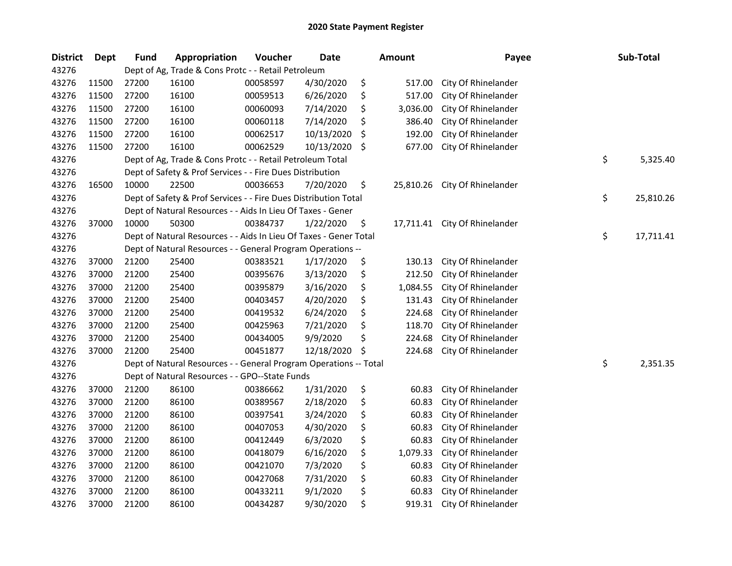| <b>District</b> | <b>Dept</b> | <b>Fund</b> | Appropriation                                                     | Voucher  | <b>Date</b> | <b>Amount</b>   | Payee                         | Sub-Total       |
|-----------------|-------------|-------------|-------------------------------------------------------------------|----------|-------------|-----------------|-------------------------------|-----------------|
| 43276           |             |             | Dept of Ag, Trade & Cons Protc - - Retail Petroleum               |          |             |                 |                               |                 |
| 43276           | 11500       | 27200       | 16100                                                             | 00058597 | 4/30/2020   | \$<br>517.00    | City Of Rhinelander           |                 |
| 43276           | 11500       | 27200       | 16100                                                             | 00059513 | 6/26/2020   | \$<br>517.00    | City Of Rhinelander           |                 |
| 43276           | 11500       | 27200       | 16100                                                             | 00060093 | 7/14/2020   | \$<br>3,036.00  | City Of Rhinelander           |                 |
| 43276           | 11500       | 27200       | 16100                                                             | 00060118 | 7/14/2020   | \$<br>386.40    | City Of Rhinelander           |                 |
| 43276           | 11500       | 27200       | 16100                                                             | 00062517 | 10/13/2020  | \$<br>192.00    | City Of Rhinelander           |                 |
| 43276           | 11500       | 27200       | 16100                                                             | 00062529 | 10/13/2020  | \$<br>677.00    | City Of Rhinelander           |                 |
| 43276           |             |             | Dept of Ag, Trade & Cons Protc - - Retail Petroleum Total         |          |             |                 |                               | \$<br>5,325.40  |
| 43276           |             |             | Dept of Safety & Prof Services - - Fire Dues Distribution         |          |             |                 |                               |                 |
| 43276           | 16500       | 10000       | 22500                                                             | 00036653 | 7/20/2020   | \$<br>25,810.26 | City Of Rhinelander           |                 |
| 43276           |             |             | Dept of Safety & Prof Services - - Fire Dues Distribution Total   |          |             |                 |                               | \$<br>25,810.26 |
| 43276           |             |             | Dept of Natural Resources - - Aids In Lieu Of Taxes - Gener       |          |             |                 |                               |                 |
| 43276           | 37000       | 10000       | 50300                                                             | 00384737 | 1/22/2020   | \$              | 17,711.41 City Of Rhinelander |                 |
| 43276           |             |             | Dept of Natural Resources - - Aids In Lieu Of Taxes - Gener Total |          |             |                 |                               | \$<br>17,711.41 |
| 43276           |             |             | Dept of Natural Resources - - General Program Operations --       |          |             |                 |                               |                 |
| 43276           | 37000       | 21200       | 25400                                                             | 00383521 | 1/17/2020   | \$<br>130.13    | City Of Rhinelander           |                 |
| 43276           | 37000       | 21200       | 25400                                                             | 00395676 | 3/13/2020   | \$<br>212.50    | City Of Rhinelander           |                 |
| 43276           | 37000       | 21200       | 25400                                                             | 00395879 | 3/16/2020   | \$<br>1,084.55  | City Of Rhinelander           |                 |
| 43276           | 37000       | 21200       | 25400                                                             | 00403457 | 4/20/2020   | \$<br>131.43    | City Of Rhinelander           |                 |
| 43276           | 37000       | 21200       | 25400                                                             | 00419532 | 6/24/2020   | \$<br>224.68    | City Of Rhinelander           |                 |
| 43276           | 37000       | 21200       | 25400                                                             | 00425963 | 7/21/2020   | \$<br>118.70    | City Of Rhinelander           |                 |
| 43276           | 37000       | 21200       | 25400                                                             | 00434005 | 9/9/2020    | \$<br>224.68    | City Of Rhinelander           |                 |
| 43276           | 37000       | 21200       | 25400                                                             | 00451877 | 12/18/2020  | \$<br>224.68    | City Of Rhinelander           |                 |
| 43276           |             |             | Dept of Natural Resources - - General Program Operations -- Total |          |             |                 |                               | \$<br>2,351.35  |
| 43276           |             |             | Dept of Natural Resources - - GPO--State Funds                    |          |             |                 |                               |                 |
| 43276           | 37000       | 21200       | 86100                                                             | 00386662 | 1/31/2020   | \$<br>60.83     | City Of Rhinelander           |                 |
| 43276           | 37000       | 21200       | 86100                                                             | 00389567 | 2/18/2020   | \$<br>60.83     | City Of Rhinelander           |                 |
| 43276           | 37000       | 21200       | 86100                                                             | 00397541 | 3/24/2020   | \$<br>60.83     | City Of Rhinelander           |                 |
| 43276           | 37000       | 21200       | 86100                                                             | 00407053 | 4/30/2020   | \$<br>60.83     | City Of Rhinelander           |                 |
| 43276           | 37000       | 21200       | 86100                                                             | 00412449 | 6/3/2020    | \$<br>60.83     | City Of Rhinelander           |                 |
| 43276           | 37000       | 21200       | 86100                                                             | 00418079 | 6/16/2020   | \$<br>1,079.33  | City Of Rhinelander           |                 |
| 43276           | 37000       | 21200       | 86100                                                             | 00421070 | 7/3/2020    | \$<br>60.83     | City Of Rhinelander           |                 |
| 43276           | 37000       | 21200       | 86100                                                             | 00427068 | 7/31/2020   | \$<br>60.83     | City Of Rhinelander           |                 |
| 43276           | 37000       | 21200       | 86100                                                             | 00433211 | 9/1/2020    | \$<br>60.83     | City Of Rhinelander           |                 |
| 43276           | 37000       | 21200       | 86100                                                             | 00434287 | 9/30/2020   | \$<br>919.31    | City Of Rhinelander           |                 |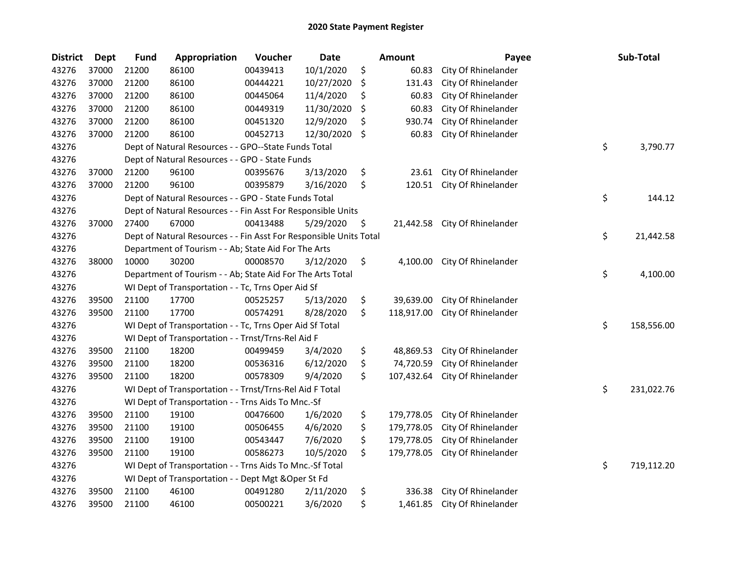| <b>District</b> | <b>Dept</b> | <b>Fund</b>                                         | Appropriation                                                      | Voucher  | <b>Date</b> |    | Amount     | Payee               |    | Sub-Total  |
|-----------------|-------------|-----------------------------------------------------|--------------------------------------------------------------------|----------|-------------|----|------------|---------------------|----|------------|
| 43276           | 37000       | 21200                                               | 86100                                                              | 00439413 | 10/1/2020   | \$ | 60.83      | City Of Rhinelander |    |            |
| 43276           | 37000       | 21200                                               | 86100                                                              | 00444221 | 10/27/2020  | \$ | 131.43     | City Of Rhinelander |    |            |
| 43276           | 37000       | 21200                                               | 86100                                                              | 00445064 | 11/4/2020   | \$ | 60.83      | City Of Rhinelander |    |            |
| 43276           | 37000       | 21200                                               | 86100                                                              | 00449319 | 11/30/2020  | \$ | 60.83      | City Of Rhinelander |    |            |
| 43276           | 37000       | 21200                                               | 86100                                                              | 00451320 | 12/9/2020   | \$ | 930.74     | City Of Rhinelander |    |            |
| 43276           | 37000       | 21200                                               | 86100                                                              | 00452713 | 12/30/2020  | \$ | 60.83      | City Of Rhinelander |    |            |
| 43276           |             |                                                     | Dept of Natural Resources - - GPO--State Funds Total               |          |             |    |            |                     | \$ | 3,790.77   |
| 43276           |             |                                                     | Dept of Natural Resources - - GPO - State Funds                    |          |             |    |            |                     |    |            |
| 43276           | 37000       | 21200                                               | 96100                                                              | 00395676 | 3/13/2020   | \$ | 23.61      | City Of Rhinelander |    |            |
| 43276           | 37000       | 21200                                               | 96100                                                              | 00395879 | 3/16/2020   | \$ | 120.51     | City Of Rhinelander |    |            |
| 43276           |             |                                                     | Dept of Natural Resources - - GPO - State Funds Total              |          |             |    |            |                     | \$ | 144.12     |
| 43276           |             |                                                     | Dept of Natural Resources - - Fin Asst For Responsible Units       |          |             |    |            |                     |    |            |
| 43276           | 37000       | 27400                                               | 67000                                                              | 00413488 | 5/29/2020   | \$ | 21,442.58  | City Of Rhinelander |    |            |
| 43276           |             |                                                     | Dept of Natural Resources - - Fin Asst For Responsible Units Total |          |             |    |            |                     | \$ | 21,442.58  |
| 43276           |             |                                                     | Department of Tourism - - Ab; State Aid For The Arts               |          |             |    |            |                     |    |            |
| 43276           | 38000       | 10000                                               | 30200                                                              | 00008570 | 3/12/2020   | \$ | 4,100.00   | City Of Rhinelander |    |            |
| 43276           |             |                                                     | Department of Tourism - - Ab; State Aid For The Arts Total         |          |             |    |            |                     | \$ | 4,100.00   |
| 43276           |             |                                                     | WI Dept of Transportation - - Tc, Trns Oper Aid Sf                 |          |             |    |            |                     |    |            |
| 43276           | 39500       | 21100                                               | 17700                                                              | 00525257 | 5/13/2020   | \$ | 39,639.00  | City Of Rhinelander |    |            |
| 43276           | 39500       | 21100                                               | 17700                                                              | 00574291 | 8/28/2020   | \$ | 118,917.00 | City Of Rhinelander |    |            |
| 43276           |             |                                                     | WI Dept of Transportation - - Tc, Trns Oper Aid Sf Total           |          |             |    |            |                     | \$ | 158,556.00 |
| 43276           |             |                                                     | WI Dept of Transportation - - Trnst/Trns-Rel Aid F                 |          |             |    |            |                     |    |            |
| 43276           | 39500       | 21100                                               | 18200                                                              | 00499459 | 3/4/2020    | \$ | 48,869.53  | City Of Rhinelander |    |            |
| 43276           | 39500       | 21100                                               | 18200                                                              | 00536316 | 6/12/2020   | \$ | 74,720.59  | City Of Rhinelander |    |            |
| 43276           | 39500       | 21100                                               | 18200                                                              | 00578309 | 9/4/2020    | \$ | 107,432.64 | City Of Rhinelander |    |            |
| 43276           |             |                                                     | WI Dept of Transportation - - Trnst/Trns-Rel Aid F Total           |          |             |    |            |                     | \$ | 231,022.76 |
| 43276           |             |                                                     | WI Dept of Transportation - - Trns Aids To Mnc.-Sf                 |          |             |    |            |                     |    |            |
| 43276           | 39500       | 21100                                               | 19100                                                              | 00476600 | 1/6/2020    | \$ | 179,778.05 | City Of Rhinelander |    |            |
| 43276           | 39500       | 21100                                               | 19100                                                              | 00506455 | 4/6/2020    | \$ | 179,778.05 | City Of Rhinelander |    |            |
| 43276           | 39500       | 21100                                               | 19100                                                              | 00543447 | 7/6/2020    | \$ | 179,778.05 | City Of Rhinelander |    |            |
| 43276           | 39500       | 21100                                               | 19100                                                              | 00586273 | 10/5/2020   | \$ | 179,778.05 | City Of Rhinelander |    |            |
| 43276           |             |                                                     | WI Dept of Transportation - - Trns Aids To Mnc.-Sf Total           |          |             |    |            |                     | \$ | 719,112.20 |
| 43276           |             | WI Dept of Transportation - - Dept Mgt & Oper St Fd |                                                                    |          |             |    |            |                     |    |            |
| 43276           | 39500       | 21100                                               | 46100                                                              | 00491280 | 2/11/2020   | \$ | 336.38     | City Of Rhinelander |    |            |
| 43276           | 39500       | 21100                                               | 46100                                                              | 00500221 | 3/6/2020    | \$ | 1,461.85   | City Of Rhinelander |    |            |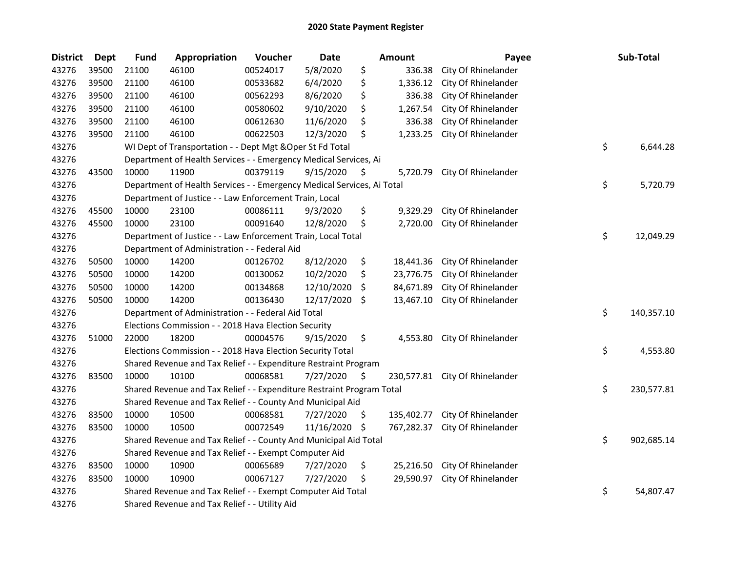| <b>District</b> | <b>Dept</b> | <b>Fund</b> | Appropriation                                                          | Voucher  | Date          |    | <b>Amount</b> | Payee               | Sub-Total        |
|-----------------|-------------|-------------|------------------------------------------------------------------------|----------|---------------|----|---------------|---------------------|------------------|
| 43276           | 39500       | 21100       | 46100                                                                  | 00524017 | 5/8/2020      | \$ | 336.38        | City Of Rhinelander |                  |
| 43276           | 39500       | 21100       | 46100                                                                  | 00533682 | 6/4/2020      | \$ | 1,336.12      | City Of Rhinelander |                  |
| 43276           | 39500       | 21100       | 46100                                                                  | 00562293 | 8/6/2020      | \$ | 336.38        | City Of Rhinelander |                  |
| 43276           | 39500       | 21100       | 46100                                                                  | 00580602 | 9/10/2020     | \$ | 1,267.54      | City Of Rhinelander |                  |
| 43276           | 39500       | 21100       | 46100                                                                  | 00612630 | 11/6/2020     | \$ | 336.38        | City Of Rhinelander |                  |
| 43276           | 39500       | 21100       | 46100                                                                  | 00622503 | 12/3/2020     | \$ | 1,233.25      | City Of Rhinelander |                  |
| 43276           |             |             | WI Dept of Transportation - - Dept Mgt & Oper St Fd Total              |          |               |    |               |                     | \$<br>6,644.28   |
| 43276           |             |             | Department of Health Services - - Emergency Medical Services, Ai       |          |               |    |               |                     |                  |
| 43276           | 43500       | 10000       | 11900                                                                  | 00379119 | 9/15/2020     | S  | 5,720.79      | City Of Rhinelander |                  |
| 43276           |             |             | Department of Health Services - - Emergency Medical Services, Ai Total |          |               |    |               |                     | \$<br>5,720.79   |
| 43276           |             |             | Department of Justice - - Law Enforcement Train, Local                 |          |               |    |               |                     |                  |
| 43276           | 45500       | 10000       | 23100                                                                  | 00086111 | 9/3/2020      | \$ | 9,329.29      | City Of Rhinelander |                  |
| 43276           | 45500       | 10000       | 23100                                                                  | 00091640 | 12/8/2020     | \$ | 2,720.00      | City Of Rhinelander |                  |
| 43276           |             |             | Department of Justice - - Law Enforcement Train, Local Total           |          |               |    |               |                     | \$<br>12,049.29  |
| 43276           |             |             | Department of Administration - - Federal Aid                           |          |               |    |               |                     |                  |
| 43276           | 50500       | 10000       | 14200                                                                  | 00126702 | 8/12/2020     | \$ | 18,441.36     | City Of Rhinelander |                  |
| 43276           | 50500       | 10000       | 14200                                                                  | 00130062 | 10/2/2020     | \$ | 23,776.75     | City Of Rhinelander |                  |
| 43276           | 50500       | 10000       | 14200                                                                  | 00134868 | 12/10/2020    | S  | 84,671.89     | City Of Rhinelander |                  |
| 43276           | 50500       | 10000       | 14200                                                                  | 00136430 | 12/17/2020    | \$ | 13,467.10     | City Of Rhinelander |                  |
| 43276           |             |             | Department of Administration - - Federal Aid Total                     |          |               |    |               |                     | \$<br>140,357.10 |
| 43276           |             |             | Elections Commission - - 2018 Hava Election Security                   |          |               |    |               |                     |                  |
| 43276           | 51000       | 22000       | 18200                                                                  | 00004576 | 9/15/2020     | \$ | 4,553.80      | City Of Rhinelander |                  |
| 43276           |             |             | Elections Commission - - 2018 Hava Election Security Total             |          |               |    |               |                     | \$<br>4,553.80   |
| 43276           |             |             | Shared Revenue and Tax Relief - - Expenditure Restraint Program        |          |               |    |               |                     |                  |
| 43276           | 83500       | 10000       | 10100                                                                  | 00068581 | 7/27/2020     | \$ | 230,577.81    | City Of Rhinelander |                  |
| 43276           |             |             | Shared Revenue and Tax Relief - - Expenditure Restraint Program Total  |          |               |    |               |                     | \$<br>230,577.81 |
| 43276           |             |             | Shared Revenue and Tax Relief - - County And Municipal Aid             |          |               |    |               |                     |                  |
| 43276           | 83500       | 10000       | 10500                                                                  | 00068581 | 7/27/2020     | \$ | 135,402.77    | City Of Rhinelander |                  |
| 43276           | 83500       | 10000       | 10500                                                                  | 00072549 | 11/16/2020 \$ |    | 767,282.37    | City Of Rhinelander |                  |
| 43276           |             |             | Shared Revenue and Tax Relief - - County And Municipal Aid Total       |          |               |    |               |                     | \$<br>902,685.14 |
| 43276           |             |             | Shared Revenue and Tax Relief - - Exempt Computer Aid                  |          |               |    |               |                     |                  |
| 43276           | 83500       | 10000       | 10900                                                                  | 00065689 | 7/27/2020     | \$ | 25,216.50     | City Of Rhinelander |                  |
| 43276           | 83500       | 10000       | 10900                                                                  | 00067127 | 7/27/2020     | \$ | 29,590.97     | City Of Rhinelander |                  |
| 43276           |             |             | Shared Revenue and Tax Relief - - Exempt Computer Aid Total            |          |               |    |               |                     | \$<br>54,807.47  |
| 43276           |             |             | Shared Revenue and Tax Relief - - Utility Aid                          |          |               |    |               |                     |                  |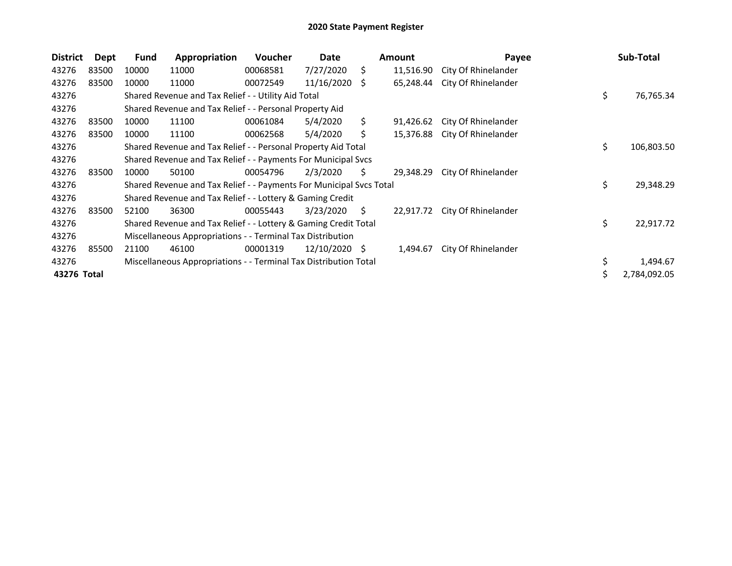| <b>District</b> | <b>Dept</b> | <b>Fund</b> | Appropriation                                                       | Voucher  | Date       |            | <b>Amount</b> | Payee               |    | Sub-Total    |
|-----------------|-------------|-------------|---------------------------------------------------------------------|----------|------------|------------|---------------|---------------------|----|--------------|
| 43276           | 83500       | 10000       | 11000                                                               | 00068581 | 7/27/2020  | \$.        | 11,516.90     | City Of Rhinelander |    |              |
| 43276           | 83500       | 10000       | 11000                                                               | 00072549 | 11/16/2020 | \$.        | 65,248.44     | City Of Rhinelander |    |              |
| 43276           |             |             | Shared Revenue and Tax Relief - - Utility Aid Total                 |          |            |            |               |                     | \$ | 76,765.34    |
| 43276           |             |             | Shared Revenue and Tax Relief - - Personal Property Aid             |          |            |            |               |                     |    |              |
| 43276           | 83500       | 10000       | 11100                                                               | 00061084 | 5/4/2020   | Ś.         | 91,426.62     | City Of Rhinelander |    |              |
| 43276           | 83500       | 10000       | 11100                                                               | 00062568 | 5/4/2020   | \$         | 15,376.88     | City Of Rhinelander |    |              |
| 43276           |             |             | Shared Revenue and Tax Relief - - Personal Property Aid Total       |          | \$.        | 106,803.50 |               |                     |    |              |
| 43276           |             |             | Shared Revenue and Tax Relief - - Payments For Municipal Svcs       |          |            |            |               |                     |    |              |
| 43276           | 83500       | 10000       | 50100                                                               | 00054796 | 2/3/2020   | S          | 29,348.29     | City Of Rhinelander |    |              |
| 43276           |             |             | Shared Revenue and Tax Relief - - Payments For Municipal Svcs Total |          |            |            |               |                     | \$ | 29,348.29    |
| 43276           |             |             | Shared Revenue and Tax Relief - - Lottery & Gaming Credit           |          |            |            |               |                     |    |              |
| 43276           | 83500       | 52100       | 36300                                                               | 00055443 | 3/23/2020  | S          | 22,917.72     | City Of Rhinelander |    |              |
| 43276           |             |             | Shared Revenue and Tax Relief - - Lottery & Gaming Credit Total     |          |            |            |               |                     | \$ | 22,917.72    |
| 43276           |             |             | Miscellaneous Appropriations - - Terminal Tax Distribution          |          |            |            |               |                     |    |              |
| 43276           | 85500       | 21100       | 46100                                                               | 00001319 | 12/10/2020 | -S         | 1,494.67      | City Of Rhinelander |    |              |
| 43276           |             |             | Miscellaneous Appropriations - - Terminal Tax Distribution Total    |          |            |            |               |                     | \$ | 1,494.67     |
| 43276 Total     |             |             |                                                                     |          |            |            |               |                     |    | 2,784,092.05 |